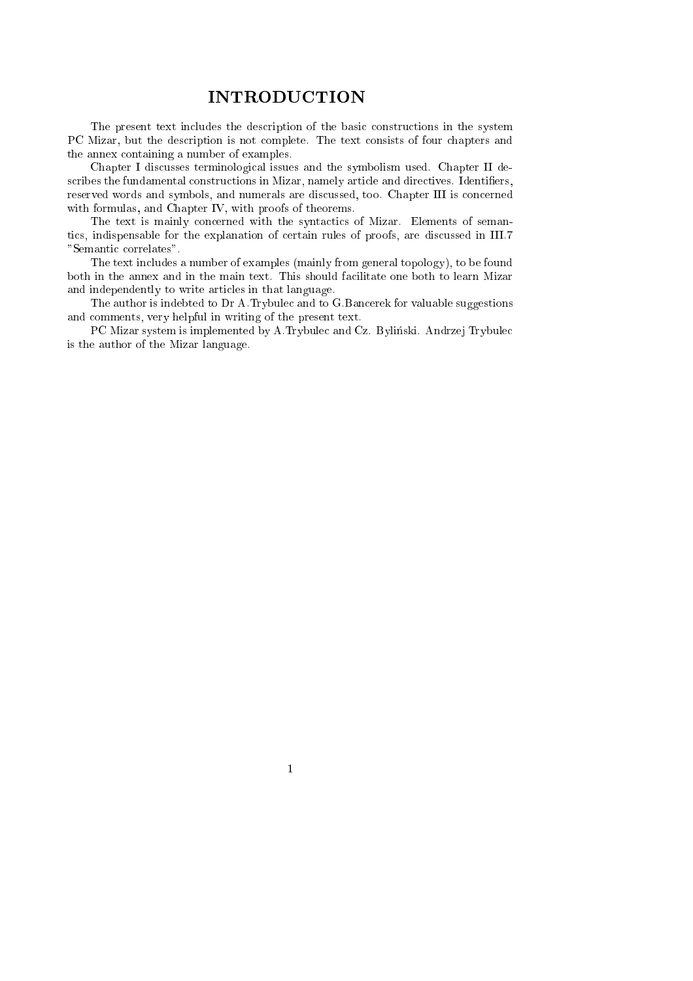### INTRODUCTION

The present text includes the description of the basic constructions in the system PC Mizar, but the description is not complete. The text consists of four chapters and the annex ontaining a number of examples.

Chapter I discusses terminological issues and the symbolism used. Chapter II describes the fundamental constructions in Mizar, namely article and directives. Identifiers, reserved words and symbols, and numerals are discussed, too. Chapter III is concerned with formulas, and Chapter IV, with proofs of theorems.

The text is mainly concerned with the syntactics of Mizar. Elements of semantics, indispensable for the explanation of certain rules of proofs, are discussed in III.7 "Semantic correlates".

The text in
ludes a number of examples (mainly from general topology), to be found both in the annex and in the main text. This should facilitate one both to learn Mizar and independently to write arti
les in that language.

The author is indebted to Dr A.Trybule and to G.Ban
erek for valuable suggestions and omments, very helpful in writing of the present text.

PC Mizar system is implemented by A.Trybulec and Cz. Byliński. Andrzej Trybulec is the author of the Mizar language.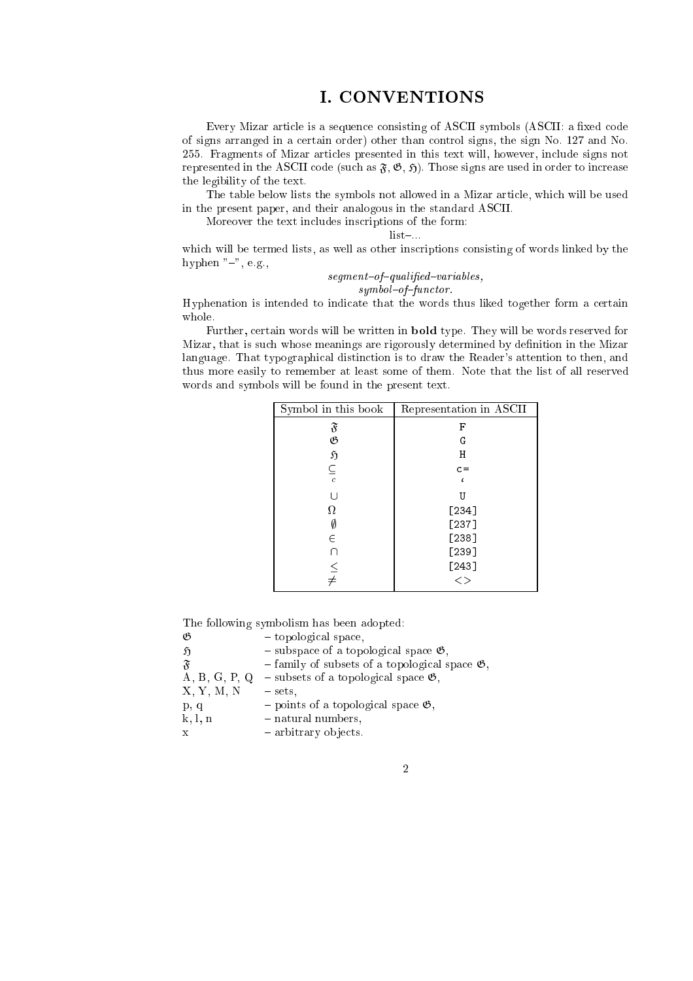### I. CONVENTIONS

Every Mizar article is a sequence consisting of ASCII symbols (ASCII: a fixed code of signs arranged in a ertain order) other than ontrol signs, the sign No. 127 and No. 255. Fragments of Mizar arti
les presented in this text will, however, in
lude signs not represented in the ASCII code (such as  $\mathfrak{F}, \mathfrak{G}, \mathfrak{H}$ ). Those signs are used in order to increase the legibility of the text.

The table below lists the symbols not allowed in a Mizar article, which will be used in the present paper, and their analogous in the standard ASCII.

Moreover the text in
ludes ins
riptions of the form:

 $list-.$ 

which will be termed lists, as well as other inscriptions consisting of words linked by the hyphen  $"-"$ , e.g.,

### $segment-of-qualified-variables,$  $symbol-of-function$ .

Hyphenation is intended to indicate that the words thus liked together form a certain whole.

Further, ertain words will be written in bold type. They will be words reserved for Mizar, that is such whose meanings are rigorously determined by definition in the Mizar language. That typographical distinction is to draw the Reader's attention to then, and thus more easily to remember at least some of them. Note that the list of all reserved words and symbols will be found in the present text.

| Symbol in this book | Representation in ASCII |
|---------------------|-------------------------|
| $\mathfrak{F}$      | F                       |
| B                   | G                       |
| $\mathfrak{H}$      | Η                       |
| $\subseteq$         | $c =$                   |
| $\overline{c}$      |                         |
|                     | U                       |
| Ω                   | $[234]$                 |
|                     | $[237]$                 |
| E                   | $[238]$                 |
| 1 I                 | [239]                   |
|                     | $[243]$                 |
| $\leq$<br>$\neq$    | $<\,$                   |

The following symbolism has been adopted:

| B                         | - topological space,                                          |
|---------------------------|---------------------------------------------------------------|
| Ñ                         | $-$ subspace of a topological space $\mathfrak{G}$ ,          |
| $\widetilde{\mathcal{X}}$ | $-$ family of subsets of a topological space $\mathfrak{G}$ , |
| A, B, G, P, Q             | $-$ subsets of a topological space $\mathfrak{G}$ ,           |
| X, Y, M, N                | $-$ sets.                                                     |
| p, q                      | - points of a topological space $\mathfrak{G}$ ,              |
| k, l, n                   | - natural numbers,                                            |
| x                         | - arbitrary objects.                                          |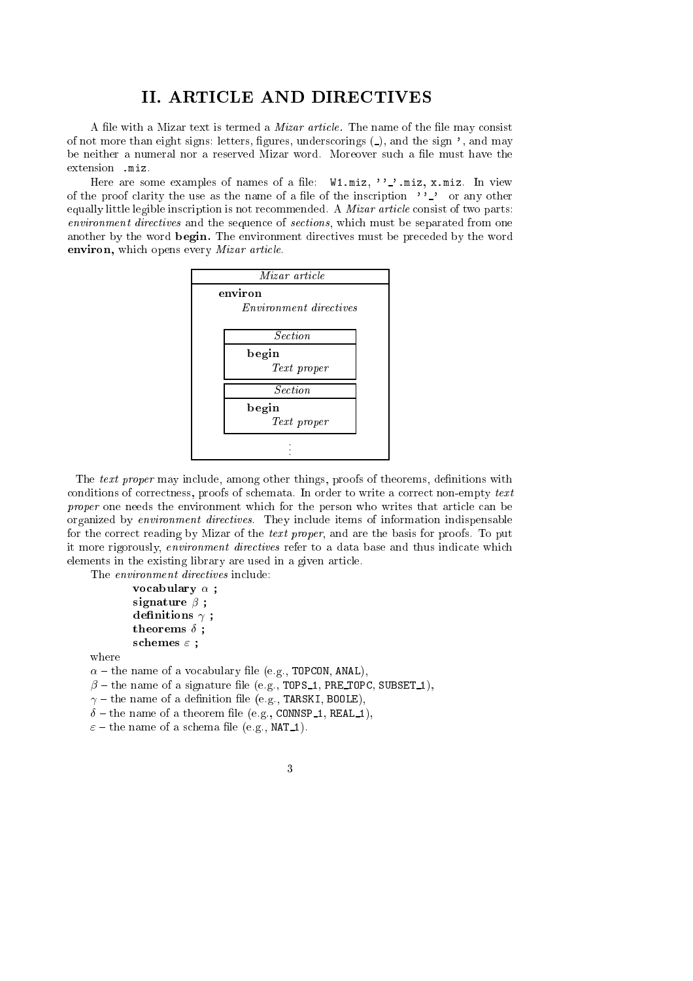### II. ARTICLE AND DIRECTIVES

A file with a Mizar text is termed a *Mizar article*. The name of the file may consist of not more than eight signs: letters, figures, underscorings  $(\_)$ , and the sign ', and may be neither a numeral nor a reserved Mizar word. Moreover such a file must have the extension .miz.

Here are some examples of names of a file:  $W1.miz, ' '.'..miz, x.miz.$  In view of the proof clarity the use as the name of a file of the inscription  $\cdot$ '  $\cdot$ ' or any other equally little legible inscription is not recommended. A *Mizar article* consist of two parts: environment directives and the sequence of sections, which must be separated from one another by the word begin. The environment directives must be preceded by the word environ, whi
h opens every Mizar arti
le.



The text proper may include, among other things, proofs of theorems, definitions with conditions of correctness, proofs of schemata. In order to write a correct non-empty text proper one needs the environment which for the person who writes that article can be organized by *environment directives*. They include items of information indispensable for the correct reading by Mizar of the *text proper*, and are the basis for proofs. To put it more rigorously, environment directives refer to a data base and thus indicate which elements in the existing library are used in a given arti
le.

The *environment directives* include:

```
\cdots . \cdots \cdots \cdots \cdotssignature signature in the set of the set of the set of the set of the set of the set of the set of the set of
denitions 
 ;
theorems Æ ;
```
s
hemes " ;

where

 $\alpha$  – the name of a vocabulary file (e.g., TOPCON, ANAL),

 $\beta$  – the name of a signature file (e.g., TOPS 1, PRE TOPC, SUBSET 1),

 $\gamma$  - the name of a definition file (e.g., TARSKI, BOOLE),

 $\delta$  - the name of a theorem file (e.g., CONNSP<sub>1</sub>, REAL<sub>1</sub>),

 $\varepsilon$  – the name of a schema file (e.g., NAT<sub>1</sub>).

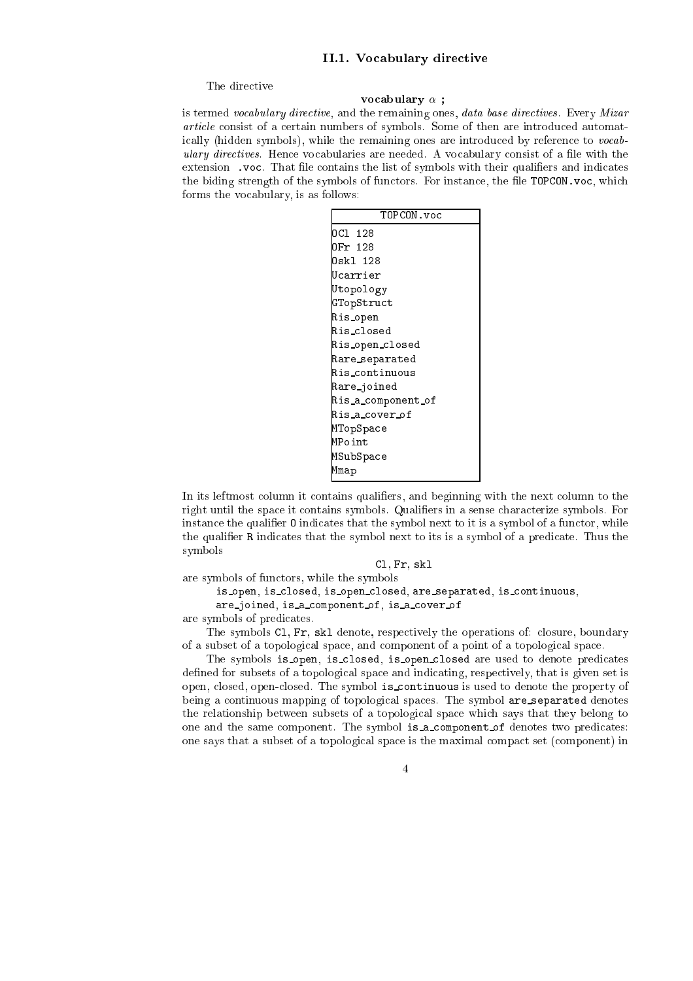### II.1. Vocabulary directive

The directive

### volta e abulary e abulary e abulary e abulary e abulary e abulary e abulary e abulary e abulary e abulary e ab

is termed vocabulary directive, and the remaining ones, data base directives. Every Mizar article consist of a certain numbers of symbols. Some of then are introduced automatically (hidden symbols), while the remaining ones are introduced by reference to vocabulary directives. Hence vocabularies are needed. A vocabulary consist of a file with the extension . voc. That file contains the list of symbols with their qualifiers and indicates the biding strength of the symbols of functors. For instance, the file TOPCON.voc, which forms the vo
abulary, is as follows:

| TOPCON.voc         |
|--------------------|
| OC1 128            |
| DFr 128            |
| Oskl 128           |
| Ucarrier           |
| Utopology          |
| GTopStruct         |
| Ris_open           |
| Ris_closed         |
| Ris_open_closed    |
| Rare_separated     |
| Ris_continuous     |
| Rare_joined        |
| Ris_a_component_of |
| Ris_a_cover_of     |
| MTopSpace          |
| MPoint             |
| MSubSpace          |
| Mmap               |

In its leftmost column it contains qualifiers, and beginning with the next column to the right until the space it contains symbols. Qualifiers in a sense characterize symbols. For instance the qualifier 0 indicates that the symbol next to it is a symbol of a functor, while the qualifier R indicates that the symbol next to its is a symbol of a predicate. Thus the symbols

Cl, Fr, skl

are symbols of fun
tors, while the symbols

```
is open, is closed, is open closed, are separated, is continuous,
```
are\_joined, is\_a\_component\_of, is\_a\_cover\_of

are symbols of predi
ates.

The symbols Cl, Fr, skl denote, respe
tively the operations of: losure, boundary of a subset of a topologi
al spa
e, and omponent of a point of a topologi
al spa
e.

The symbols is open, is closed, is open closed are used to denote predicates defined for subsets of a topological space and indicating, respectively, that is given set is open, closed, open-closed. The symbol is continuous is used to denote the property of being a continuous mapping of topological spaces. The symbol are separated denotes the relationship between subsets of a topologi
al spa
e whi
h says that they belong to one and the same component. The symbol is a component of denotes two predicates: one says that a subset of a topologi
al spa
e is the maximal ompa
t set (
omponent) in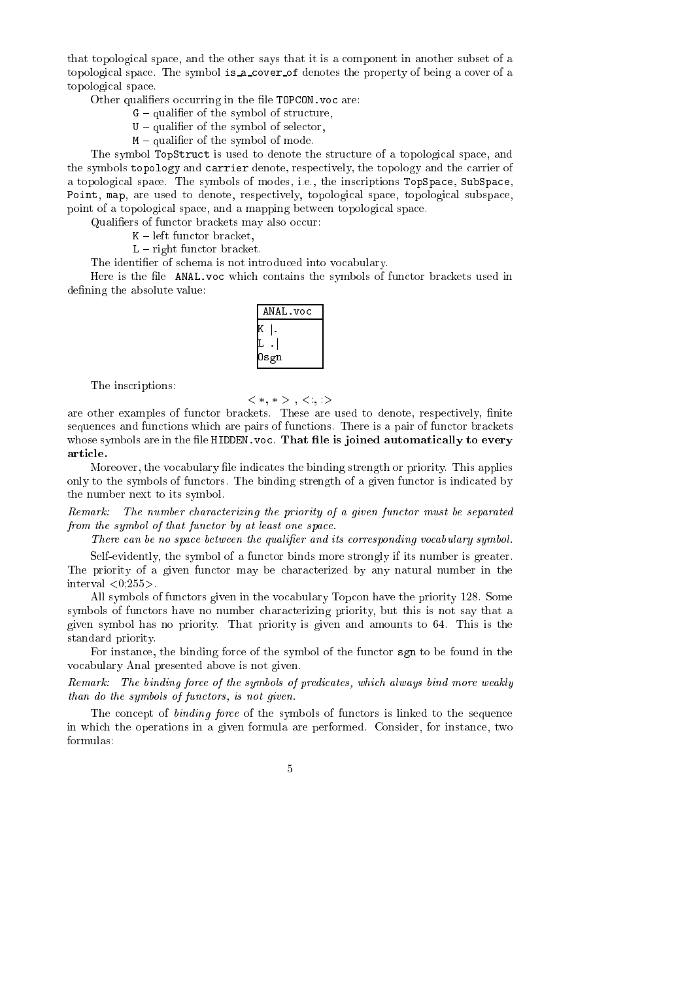that topologi
al spa
e, and the other says that it is a omponent in another subset of a topological space. The symbol is a cover of denotes the property of being a cover of a topologi
al spa
e.

Other qualifiers occurring in the file TOPCON. voc are:

- $G$  qualifier of the symbol of structure,
- $U$  qualifier of the symbol of selector,
- $M$  qualifier of the symbol of mode.

The symbol TopStruct is used to denote the structure of a topological space, and the symbols topology and carrier denote, respectively, the topology and the carrier of a topological space. The symbols of modes, i.e., the inscriptions TopSpace, SubSpace, Point, map, are used to denote, respectively, topological space, topological subspace, point of a topologi
al spa
e, and a mapping between topologi
al spa
e.

Qualifiers of functor brackets may also occur:

 $K - left$  functor bracket,

 $L - right$  functor bracket.

The identifier of schema is not introduced into vocabulary.

Here is the file ANAL voc which contains the symbols of functor brackets used in defining the absolute value:

| ANAL.voc |
|----------|
|          |
|          |
| Osgn     |

The inscriptions:

$$
<\ast,\,\ast> \,,\,<\,,\,>
$$

are other examples of functor brackets. These are used to denote, respectively, finite sequences and functions which are pairs of functions. There is a pair of functor brackets whose symbols are in the file HIDDEN. voc. That file is joined automatically to every arti
le.

Moreover, the vocabulary file indicates the binding strength or priority. This applies only to the symbols of functors. The binding strength of a given functor is indicated by the number next to its symbol.

Remark: The number characterizing the priority of a given functor must be separated from the symbol of that functor by at least one space.

There can be no space between the qualifier and its corresponding vocabulary symbol.

Self-evidently, the symbol of a functor binds more strongly if its number is greater. The priority of a given functor may be characterized by any natural number in the interval  $\langle 0.255 \rangle$ .

All symbols of functors given in the vocabulary Topcon have the priority 128. Some symbols of functors have no number characterizing priority, but this is not say that a given symbol has no priority. That priority is given and amounts to 64. This is the standard priority.

For instance, the binding force of the symbol of the functor sgn to be found in the vo
abulary Anal presented above is not given.

Remark: The binding force of the symbols of predicates, which always bind more weakly than do the symbols of functors, is not given.

The concept of *binding force* of the symbols of functors is linked to the sequence in which the operations in a given formula are performed. Consider, for instance, two formulas: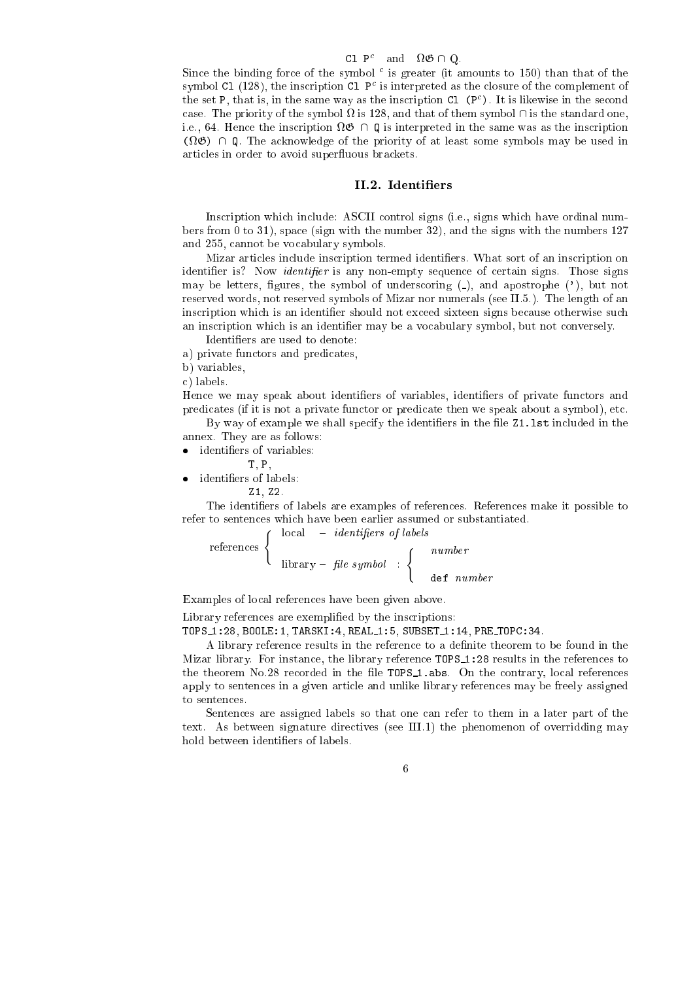### ע**ו** די and  $\alpha$  שוו

Since the binding force of the symbol - is greater (it amounts to 150) than that of the  $\mathop{\rm sym}\nolimits$  (128), the inscription  $\mathop{\rm GL}\nolimits$  P is interpreted as the closure of the complement of the set P, that is, in the same way as the inscription Cl (P). It is likewise in the second . The symbol priority of the symbol  $\alpha$  is the standard one, and the standard one, is the standard one, if ription and the instrumental interpreted in the same was the same was assumed in the same was assumption as (i.e.,  $\alpha$  and  $\alpha$  are contribution of the priority of the priority some symbols  $\alpha$  at  $\alpha$  at  $\alpha$ articles in order to avoid superfluous brackets.

### II.2. Identifiers

Ins
ription whi
h in
lude: ASCII ontrol signs (i.e., signs whi
h have ordinal numbers from 0 to 31), spa
e (sign with the number 32), and the signs with the numbers 127 and 255, annot be vo
abulary symbols.

Mizar articles include inscription termed identifiers. What sort of an inscription on identifier is? Now *identifier* is any non-empty sequence of certain signs. Those signs may be letters, figures, the symbol of underscoring  $($ ), and apostrophe  $($ '), but not reserved words, not reserved symbols of Mizar nor numerals (see II.5.). The length of an inscription which is an identifier should not exceed sixteen signs because otherwise such an inscription which is an identifier may be a vocabulary symbol, but not conversely.

Identiers are used to denote:

a) private functors and predicates,

b) variables,

) labels.

Hence we may speak about identifiers of variables, identifiers of private functors and predicates (if it is not a private functor or predicate then we speak about a symbol), etc.

By way of example we shall specify the identifiers in the file  $Z1$ . Ist included in the annex. They are as follows:

T, P,

identiers of labels:

Z1, Z2.

The identiers of labels are examples of referen
es. Referen
es make it possible to refer to senten
es whi
h have been earlier assumed or substantiated.

$$
\text{references} \left\{ \begin{array}{rcl} \text{local} & - & \text{identifiers of labels} \\ & & \\ \text{library} - \text{ file symbol} & : & \\ & & \\ \text{def} \text{ number} & \\ \end{array} \right.
$$

Examples of lo
al referen
es have been given above.

Library references are exemplified by the inscriptions:

TOPS 1:28, BOOLE:1, TARSKI:4, REAL 1:5, SUBSET 1:14, PRE TOPC:34.

A library reference results in the reference to a definite theorem to be found in the Mizar library. For instance, the library reference  $TOPS_1$ : 28 results in the references to the theorem No.28 recorded in the file TOPS<sub>1</sub>. abs. On the contrary, local references apply to senten
es in a given arti
le and unlike library referen
es may be freely assigned to senten
es.

Sentences are assigned labels so that one can refer to them in a later part of the text. As between signature directives (see III.1) the phenomenon of overridding may hold between identifiers of labels.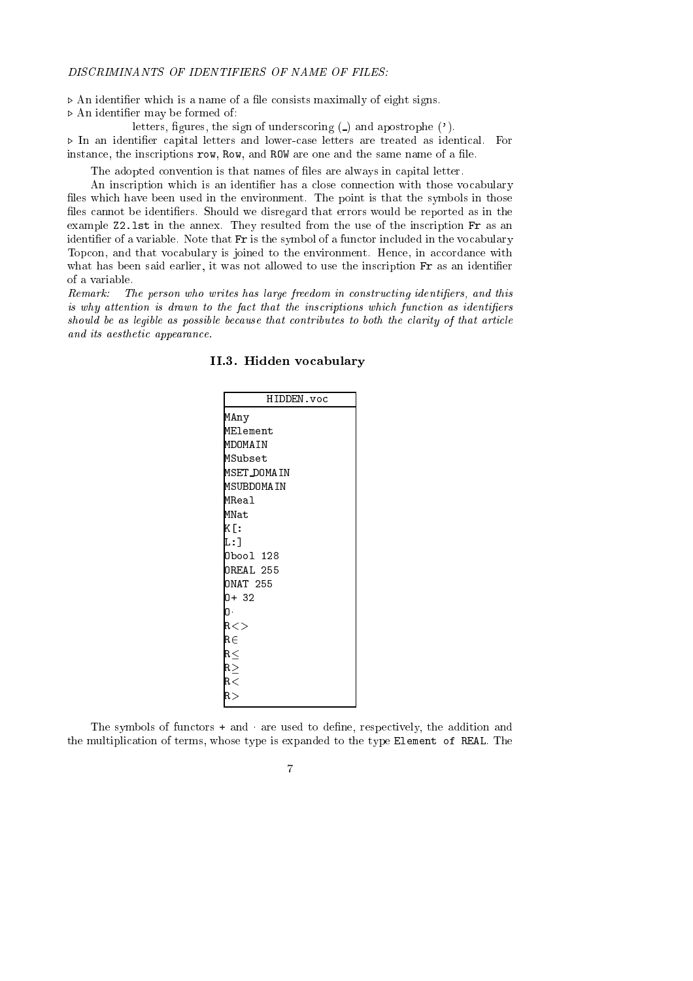$\triangleright$  An identifier which is a name of a file consists maximally of eight signs.

 $\triangleright$  An identifier may be formed of:

letters, figures, the sign of underscoring  $($ ) and apostrophe  $($ <sup>'</sup>).  $\triangleright$  In an identifier capital letters and lower-case letters are treated as identical. For instance, the inscriptions row, Row, and ROW are one and the same name of a file.

The adopted convention is that names of files are always in capital letter.

An inscription which is an identifier has a close connection with those vocabulary files which have been used in the environment. The point is that the symbols in those files cannot be identifiers. Should we disregard that errors would be reported as in the example  $Z2.1$ st in the annex. They resulted from the use of the inscription Fr as an identifier of a variable. Note that Fr is the symbol of a functor included in the vocabulary Topcon, and that vocabulary is joined to the environment. Hence, in accordance with what has been said earlier, it was not allowed to use the inscription Fr as an identifier of a variable.

Remark: The person who writes has large freedom in constructing identifiers, and this is why attention is drawn to the fact that the inscriptions which function as identifiers should be as leqible as possible because that contributes to both the clarity of that article and its aesthetic appearance.

| HIDDEN.voc       |
|------------------|
| MAny             |
| MElement         |
| MDOMAIN          |
| MSubset          |
| MSET_DOMAIN      |
| MSUBDOMAIN       |
| <b>MReal</b>     |
| MNat             |
| K[:              |
| L : 1            |
| Obool 128        |
| <b>OREAL 255</b> |
| <b>ONAT 255</b>  |
| 0+ 32            |
| O.               |
| R < >            |
| R∈               |
| $_{\rm R}$ $<$   |
| $R \ge$          |
| $_{\rm R<}$      |
| R>               |
|                  |

### II.3. Hidden vo
abulary

The symbols of functors + and are used to define, respectively, the addition and the multipli
ation of terms, whose type is expanded to the type Element of REAL. The

 $\overline{7}$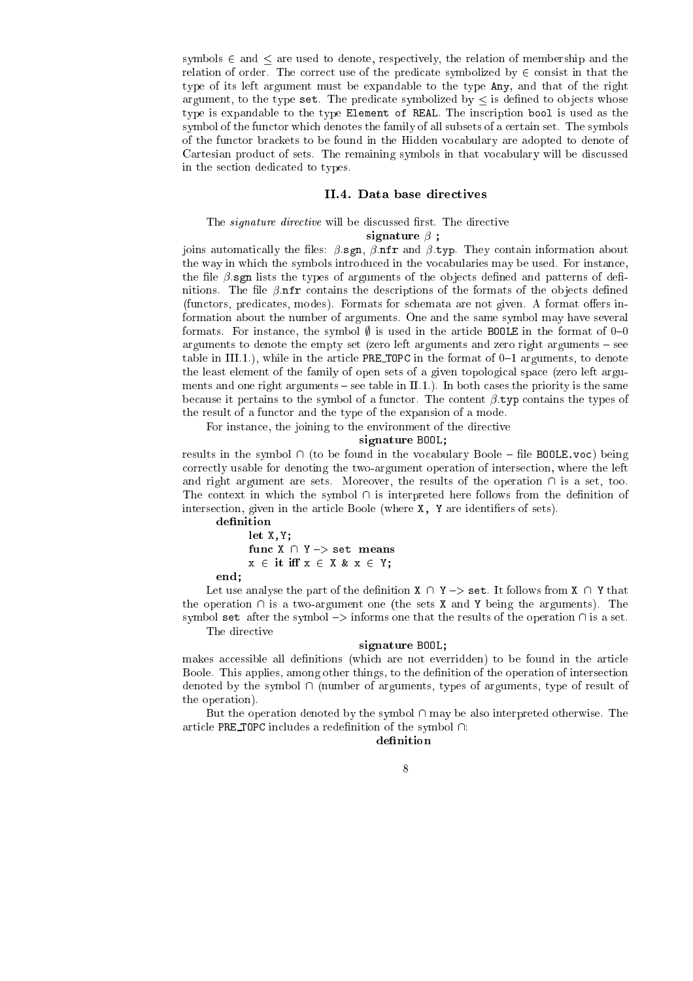symbols  $\in$  and  $\leq$  are used to denote, respectively, the relation of membership and the relation of order. The correct use of the predicate symbolized by  $\in$  consist in that the type of its left argument must be expandable to the type Any, and that of the right argument, to the type set. The predicate symbolized by  $\leq$  is defined to objects whose type is expandable to the type Element of REAL. The ins
ription bool is used as the symbol of the fun
tor whi
h denotes the family of all subsets of a ertain set. The symbols of the fun
tor bra
kets to be found in the Hidden vo
abulary are adopted to denote of Cartesian product of sets. The remaining symbols in that vocabulary will be discussed in the se
tion dedi
ated to types.

### II.4. Data base directives

### The signature directive will be discussed first. The directive

signature  ;

joins automatically the files:  $\beta$ .sgn,  $\beta$ .nfr and  $\beta$ .typ. They contain information about the way in which the symbols introduced in the vocabularies may be used. For instance, the file  $\beta$  sgn lists the types of arguments of the objects defined and patterns of definitions. The file  $\beta$  nfr contains the descriptions of the formats of the objects defined (functors, predicates, modes). Formats for schemata are not given. A format offers information about the number of arguments. One and the same symbol may have several formats. For instance, the symbol  $\emptyset$  is used in the article BOOLE in the format of 0-0 arguments to denote the empty set (zero left arguments and zero right arguments  $-$  see table in III.1.), while in the article PRE\_TOPC in the format of  $0-1$  arguments, to denote the least element of the family of open sets of a given topologi
al spa
e (zero left arguments and one right arguments  $-$  see table in II.1.). In both cases the priority is the same because it pertains to the symbol of a functor. The content  $\beta$  typ contains the types of the result of a functor and the type of the expansion of a mode.

For instance, the joining to the environment of the directive

signature Book; Book; Book; Book; Book; Book; Book; Book; Book; Book; Book; Book; Book; Book; Book; Book; Book; Book; Book; Book; Book; Book; Book; Book; Book; Book; Book; Book; Book; Book; Book; Book; Book; Book; Book; Bo

results in the symbol  $\cap$  (to be found in the vocabulary Boole – file BOOLE. voc) being orre
tly usable for denoting the two-argument operation of interse
tion, where the left and right argument are sets. Moreover, the results of the operation  $\cap$  is a set, too. The context in which the symbol  $\cap$  is interpreted here follows from the definition of intersection, given in the article Boole (where X, Y are identifiers of sets).

```
let X,Y;
fun
 X \ Y {> set means
x \in \text{it iff } x \in X \& x \in Y;
```
end;

Let use analyse the part of the definition  $X \cap Y \rightarrow$  set. It follows from  $X \cap Y$  that the operation  $\cap$  is a two-argument one (the sets X and Y being the arguments). The symbol set after the symbol  $\rightarrow$  informs one that the results of the operation  $\cap$  is a set. The directive

### signature Book; Book; Book; Book; Book; Book; Book; Book; Book; Book; Book; Book; Book; Book; Book; Book; Book; Book; Book; Book; Book; Book; Book; Book; Book; Book; Book; Book; Book; Book; Book; Book; Book; Book; Book; Bo

makes accessible all definitions (which are not everridden) to be found in the article Boole. This applies, among other things, to the definition of the operation of intersection denoted by the symbol  $\cap$  (number of arguments, types of arguments, type of result of the operation).

But the operation denoted by the symbol  $\cap$  may be also interpreted otherwise. The article PRE\_TOPC includes a redefinition of the symbol  $\cap$ :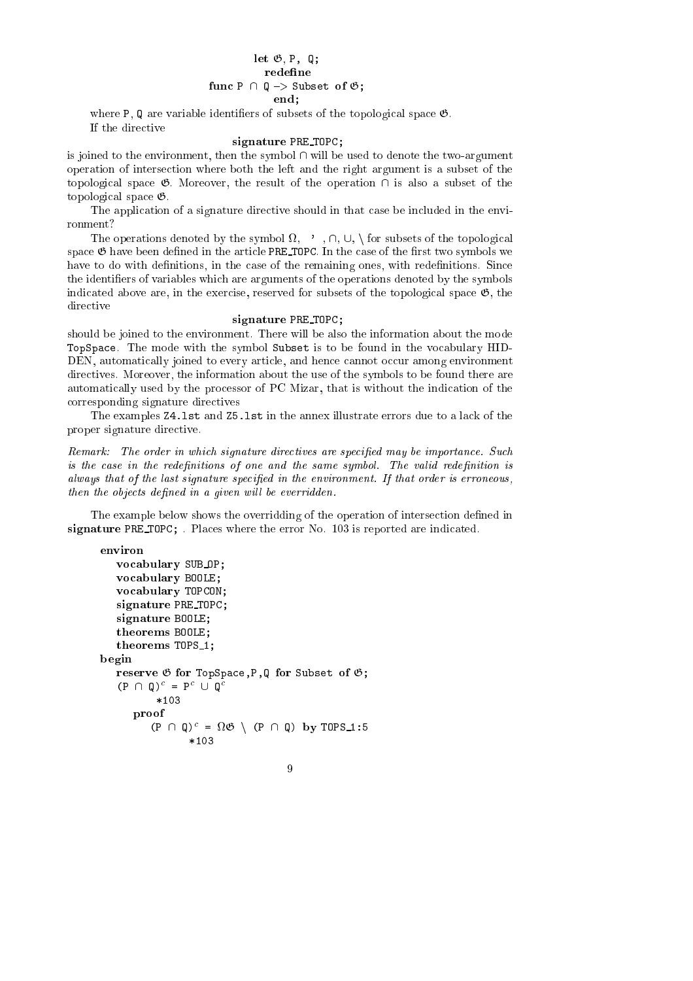### let G, P, Q; redefine  $\blacksquare$  . The contract of G;  $\blacksquare$  ,  $\blacksquare$  ,  $\blacksquare$  ,  $\blacksquare$  ,  $\blacksquare$  ,  $\blacksquare$  ,  $\blacksquare$  ,  $\blacksquare$  ,  $\blacksquare$  ,  $\blacksquare$  ,  $\blacksquare$  ,  $\blacksquare$  ,  $\blacksquare$  ,  $\blacksquare$  ,  $\blacksquare$  ,  $\blacksquare$  ,  $\blacksquare$  ,  $\blacksquare$  ,  $\blacksquare$  ,  $\blacksquare$  ,  $\blacksquare$  ,  $\blacks$ end;

where  $P$ ,  $Q$  are variable identifiers of subsets of the topological space  $\mathfrak{G}$ . If the directive

### signature President Pro

is joined to the environment, then the symbol  $\cap$  will be used to denote the two-argument operation of interse
tion where both the left and the right argument is a subset of the topological space  $\mathfrak{G}$ . Moreover, the result of the operation  $\cap$  is also a subset of the topologi
al spa
e G.

The application of a signature directive should in that case be included in the environment?

The operations denoted by the symbol  $\Omega$ ,  $\gamma$ ,  $\cap$ ,  $\cup$ ,  $\gamma$  for subsets of the topological space  $\mathfrak G$  have been defined in the article PRE\_TOPC. In the case of the first two symbols we have to do with definitions, in the case of the remaining ones, with redefinitions. Since the identifiers of variables which are arguments of the operations denoted by the symbols indicated above are, in the exercise, reserved for subsets of the topological space  $\mathfrak{G}$ , the directive

### signature President Pro

should be joined to the environment. There will be also the information about the mode TopSpace. The mode with the symbol Subset is to be found in the vocabulary HID-DEN, automatically joined to every article, and hence cannot occur among environment dire
tives. Moreover, the information about the use of the symbols to be found there are automati
ally used by the pro
essor of PC Mizar, that is without the indi
ation of the orresponding signature dire
tives

The examples Z4.lst and Z5.lst in the annex illustrate errors due to a la
k of the proper signature dire
tive.

Remark: The order in which signature directives are specified may be importance. Such is the case in the redefinitions of one and the same symbol. The valid redefinition is always that of the last signature specified in the environment. If that order is erroneous, then the objects defined in a given will be everridden.

The example below shows the overridding of the operation of intersection defined in signature President () . Planted where the error I at the error at the extension of

9

environ environ

```
volume abulary substantial contracts to the contract of the substantial contracts of the contract of the substantial contracts of the contract of the contract of the contract of the contract of the contract of the contract
        \sim and \sim abulary \sim and \sim and \simvo
abulary TOPCON;
        signature President Presidents
        signature BOOLE;
        theorems BOOLE;
        theorems TOPS 1;
\mathbf{b}reserve G for Supervelous and Subset of Subset
        (P \mid \mid \psi) = P \cup \psi*103
                 provided a series of the contract of the contract of the contract of the contract of the contract of the contract of the contract of the contract of the contract of the contract of the contract of the contract of the contr
                          (P \mid \psi)^{-1} = \Omega \circ \cup \Omega (P \mid \psi \rangle by TUPS 1:5
                                               *103
```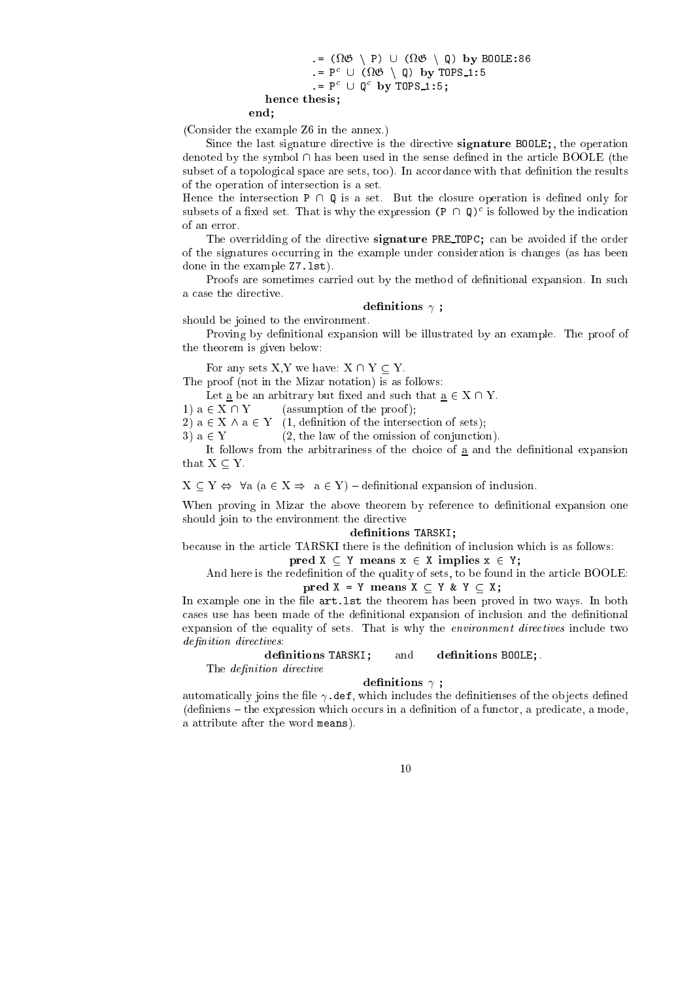$\blacksquare$ .= P° ∪ (1/02) \ W) DY TUPS\_I:5  $F = P^{\perp} \cup P$  is the set of  $\cup$ hence the thesis; the thesis; the thesis; the thesis; the theoretical control of the theoretical control of the theoretical control of the theoretical control of the theoretical control of the theoretical control of the th

end;

(Consider the example Z6 in the annex.)

Since the last signature directive is the directive **signature BOOLE**;, the operation denoted by the symbol  $\cap$  has been used in the sense defined in the article BOOLE (the subset of a topological space are sets, too). In accordance with that definition the results of the operation of interse
tion is a set.

Hence the intersection  $P \cap Q$  is a set. But the closure operation is defined only for subsets of a fixed set. That is why the expression  $(P \cap Q)^\perp$  is followed by the indication of an error.

The overridding of the directive **signature** PRE TOPC; can be avoided if the order of the signatures occurring in the example under consideration is changes (as has been done in the example Z7.lst).

Proofs are sometimes carried out by the method of definitional expansion. In such a case the directive.

### denitions ;

should be joined to the environment.

Proving by definitional expansion will be illustrated by an example. The proof of the theorem is given below:

For any sets  $X, Y$  we have:  $X \cap Y \subseteq Y$ .

The proof (not in the Mizar notation) is as follows:

Let a be an arbitrary but fixed and such that  $\underline{a} \in X \cap Y$ .

1)  $a \in X \cap Y$  (assumption of the proof);

2)  $a \in X \wedge a \in Y$  (1, definition of the intersection of sets);

3)  $a \in Y$  (2, the law of the omission of conjunction).

It follows from the arbitrariness of the choice of  $\underline{a}$  and the definitional expansion that  $X \subseteq Y$ .

 $X \subseteq Y \Leftrightarrow \forall a (a \in X \Rightarrow a \in Y)$  - definitional expansion of inclusion.

When proving in Mizar the above theorem by reference to definitional expansion one should join to the environment the directive

### december 1986 is a series of the series of the series of the series of the series of the series of the series o

because in the article TARSKI there is the definition of inclusion which is as follows: pred X Y means x <sup>2</sup> X implies x <sup>2</sup> Y;

And here is the redefinition of the quality of sets, to be found in the article **BOOLE**:

pred X = Y means X Y & Y X;

In example one in the file  $art.$  Let the theorem has been proved in two ways. In both cases use has been made of the definitional expansion of inclusion and the definitional expansion of the equality of sets. That is why the *environment directives* include two definition directives:

definitions TARSKI; and definitions BOOLE;.

The *definition* directive

### denitions ;

automatically joins the file  $\gamma$  def, which includes the definitienses of the objects defined  $\alpha$  (definiens – the expression which occurs in a definition of a functor, a predicate, a mode, a attribute after the word means).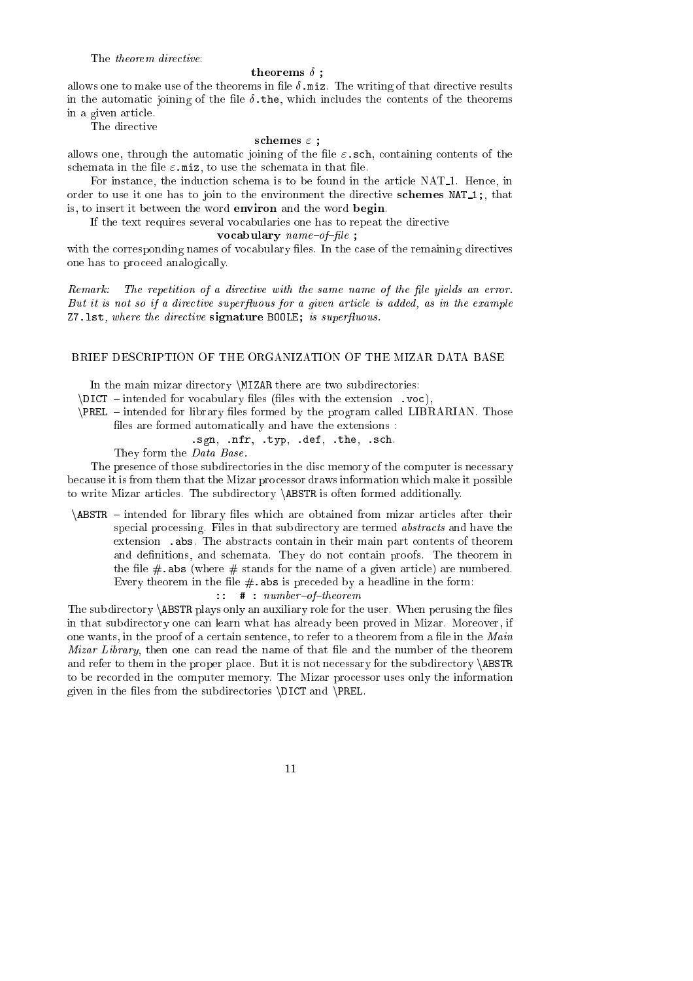### The *theorem directive*:

#### theorems  $\delta$ :  $\mathbf{F}$

allows one to make use of the theorems in file  $\delta$  miz. The writing of that directive results in the automatic joining of the file  $\delta$ , the, which includes the contents of the theorems in a given arti
le.

The directive

### s
hemes " ;

allows one, through the automatic joining of the file  $\varepsilon$  sch, containing contents of the schemata in the file  $\varepsilon$ . miz, to use the schemata in that file.

For instance, the induction schema is to be found in the article NAT<sub>1</sub>. Hence, in order to use it one has to join to the environment the directive schemes  $NAT_1$ ;, that is, to insert it between the word environ and the word begin.

If the text requires several vocabularies one has to repeat the directive

variate abulary provides and a provided a series of the series of the series of the series of the series of th

with the corresponding names of vocabulary files. In the case of the remaining directives one has to pro
eed analogi
ally.

Remark: The repetition of a directive with the same name of the file yields an error. But it is not so if a directive superfluous for a given article is added, as in the example  $Z7.1st$ , where the directive signature BOOLE; is superfluous.

### BRIEF DESCRIPTION OF THE ORGANIZATION OF THE MIZAR DATA BASE

In the main mizar directory *MIZAR* there are two subdirectories:

 $\D{DICT}$  – intended for vocabulary files (files with the extension .voc),

 $\P$ REL – intended for library files formed by the program called LIBRARIAN. Those files are formed automatically and have the extensions :

$$
.sgn, .nfr, .typ, .def, .the, .sch.
$$

They form the Data Base.

The presence of those subdirectories in the disc memory of the computer is necessary be
ause it is from them that the Mizar pro
essor draws information whi
h make it possible to write Mizar articles. The subdirectory **\ABSTR** is often formed additionally.

\ABSTR – intended for library files which are obtained from mizar articles after their special processing. Files in that subdirectory are termed *abstracts* and have the extension .abs. The abstracts contain in their main part contents of theorem and definitions, and schemata. They do not contain proofs. The theorem in the file  $\#$  abs (where  $\#$  stands for the name of a given article) are numbered. Every theorem in the file  $#$  abs is preceded by a headline in the form:

 $:: # : number-of-theorem$ 

The subdirectory \ABSTR plays only an auxiliary role for the user. When perusing the files in that subdire
tory one an learn what has already been proved in Mizar. Moreover, if one wants, in the proof of a certain sentence, to refer to a theorem from a file in the Main Mizar Library, then one can read the name of that file and the number of the theorem and refer to them in the proper place. But it is not necessary for the subdirectory  $\ABSTR$ to be re
orded in the omputer memory. The Mizar pro
essor uses only the information given in the files from the subdirectories \DICT and \PREL.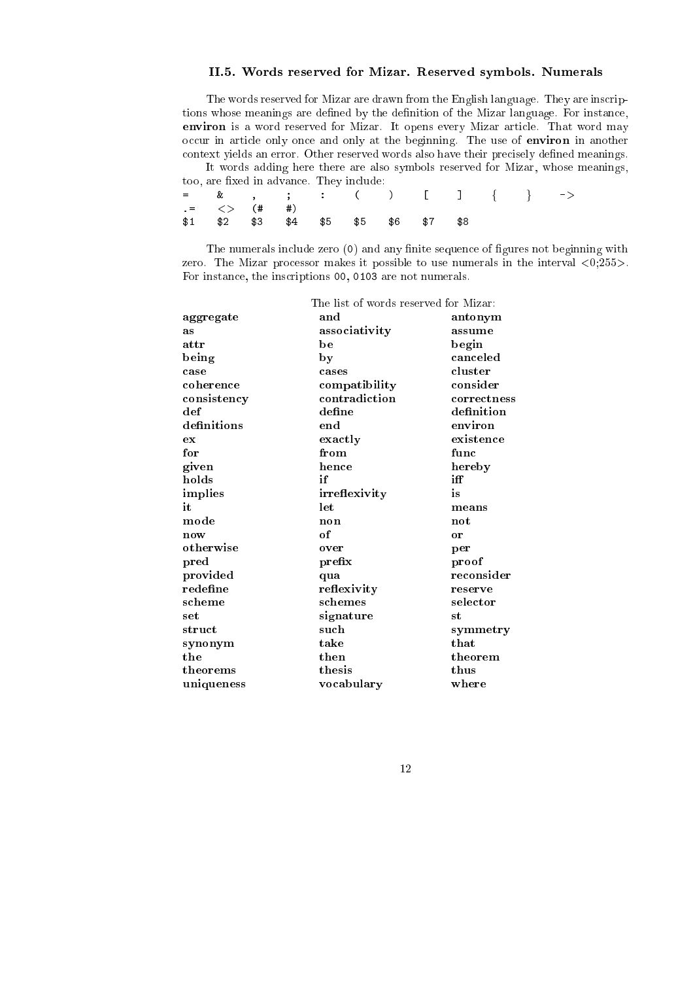### II.5. Words reserved for Mizar. Reserved symbols. Numerals

The words reserved for Mizar are drawn from the English language. They are inscriptions whose meanings are defined by the definition of the Mizar language. For instance, environ is a word reserved for Mizar. It opens every Mizar arti
le. That word may occur in article only once and only at the beginning. The use of environ in another context yields an error. Other reserved words also have their precisely defined meanings.

It words adding here there are also symbols reserved for Mizar, whose meanings, too, are fixed in advance. They include:  $\equiv$ = & , ; : ( ) [ ℄ <sup>f</sup> <sup>g</sup> -<sup>&</sup>gt; .= <> (# #)

\$1 \$2 \$3 \$5 \$6 \$7 \$8 \$1 \$

The numerals include zero (0) and any finite sequence of figures not beginning with zero. The Mizar processor makes it possible to use numerals in the interval  $\langle 0;255 \rangle$ . For instan
e, the ins
riptions 00, 0103 are not numerals.

|              | The list of words reserved for Mizar: |                |
|--------------|---------------------------------------|----------------|
| aggregate    | and                                   | antonym        |
| as           | associativity                         | assume         |
| attr         | be                                    | begin          |
| being        | by                                    | canceled       |
| case         | cases                                 | cluster        |
| coherence    | compatibility                         | consider       |
| consistency  | contradiction                         | correctness    |
| $_{\rm def}$ | define                                | definition     |
| definitions  | end                                   | environ        |
| ex           | exactly                               | existence      |
| for          | from                                  | func           |
| given        | hence                                 | hereby         |
| holds        | if                                    | iff            |
| implies      | irreflexivity                         | is             |
| it           | let                                   | means          |
| mode         | non                                   | $\mathbf{not}$ |
| now          | of                                    | or             |
| otherwise    | over                                  | per            |
| $_{pred}$    | prefix                                | proof          |
| provided     | qua                                   | reconsider     |
| redefine     | reflexivity                           | reserve        |
| scheme       | schemes                               | selector       |
| set          | signature                             | st             |
| struct       | such                                  | symmetry       |
| synonym      | take                                  | that           |
| the          | then                                  | theorem        |
| theorems     | thesis                                | thus           |
| uniqueness   | vocabulary                            | where          |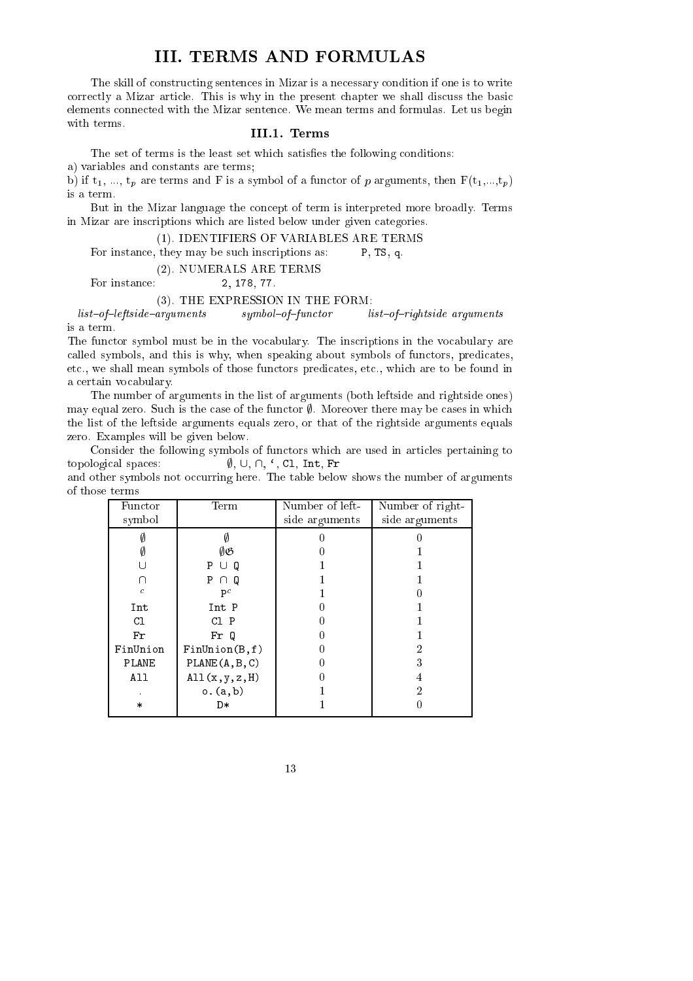### III. TERMS AND FORMULAS

The skill of constructing sentences in Mizar is a necessary condition if one is to write correctly a Mizar article. This is why in the present chapter we shall discuss the basic elements onne
ted with the Mizar senten
e. We mean terms and formulas. Let us begin with terms.

### III.1. Terms

The set of terms is the least set which satisfies the following conditions:

a) variables and onstants are terms;

b) if  $t_1, ..., t_p$  are terms and F is a symbol of a functor of p arguments, then  $F(t_1,...,t_p)$ is a term.

But in the Mizar language the concept of term is interpreted more broadly. Terms in Mizar are ins
riptions whi
h are listed below under given ategories.

### (1). IDENTIFIERS OF VARIABLES ARE TERMS

For instance, they may be such inscriptions as: P, TS, q.

(2). NUMERALS ARE TERMS

For instan
e: 2, 178, 77.

### (3). THE EXPRESSION IN THE FORM:

 $list-of-leftside-arguments$  symbol-of-functor list-of-rightside arguments is a term.

The functor symbol must be in the vocabulary. The inscriptions in the vocabulary are called symbols, and this is why, when speaking about symbols of functors, predicates, etc., we shall mean symbols of those functors predicates, etc., which are to be found in a ertain vo
abulary.

The number of arguments in the list of arguments (both leftside and rightside ones) may equal zero. Such is the case of the functor  $\emptyset$ . Moreover there may be cases in which the list of the leftside arguments equals zero, or that of the rightside arguments equals zero. Examples will be given below.

Consider the following symbols of functors which are used in articles pertaining to topological spaces:  $\emptyset, \cup, \cap, '$ , C1, Int, Fr

and other symbols not occurring here. The table below shows the number of arguments of those terms

| Functor          | Term            | Number of left- | Number of right- |
|------------------|-----------------|-----------------|------------------|
| symbol           |                 | side arguments  | side arguments   |
|                  |                 |                 |                  |
|                  | ØB              |                 |                  |
|                  | O<br>P          |                 |                  |
|                  | P<br>O          |                 |                  |
| $\boldsymbol{c}$ | $P^c$           |                 |                  |
| Int              | Int P           |                 |                  |
| C1               | C1 P            |                 |                  |
| Fr               | Fr Q            |                 |                  |
| FinUnion         | FinUnion(B, f)  |                 |                  |
| PLANE            | PLANE(A, B, C)  |                 | 3                |
| All              | All(x, y, z, H) |                 |                  |
|                  | o.(a,b)         |                 | 9                |
| $\ast$           | D∗              |                 |                  |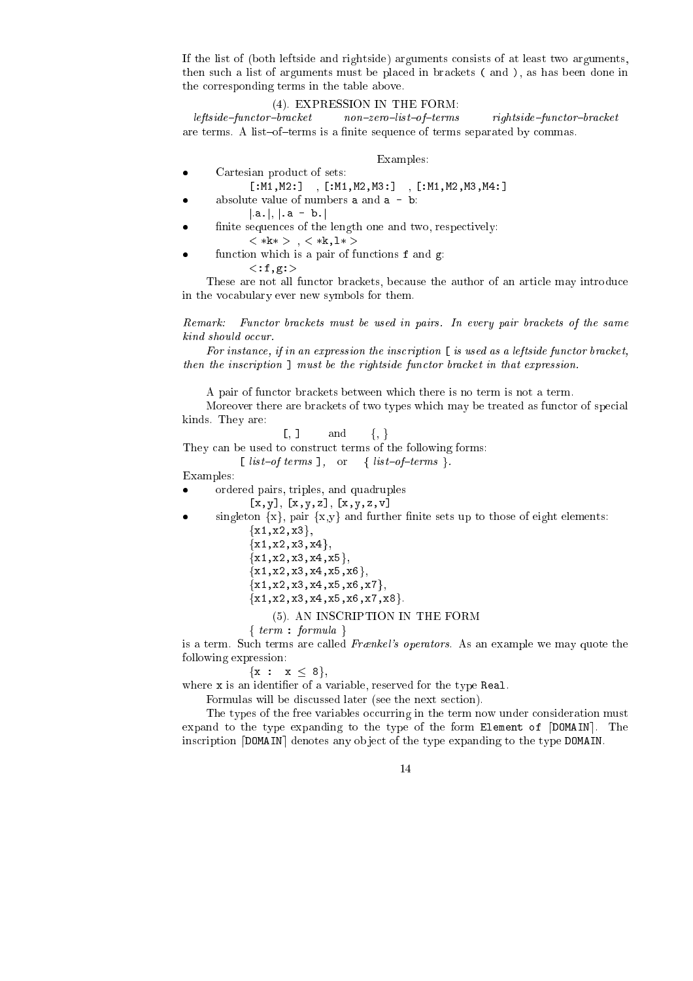If the list of (both leftside and rightside) arguments onsists of at least two arguments, then su
h a list of arguments must be pla
ed in bra
kets ( and ), as has been done in the orresponding terms in the table above.

### (4). EXPRESSION IN THE FORM:

 $left = \frac{left, \frac{1}{100}}{1000} + \frac{1}{1000} + \frac{1}{1000} + \frac{1}{1000} + \frac{1}{1000} + \frac{1}{1000} + \frac{1}{1000} + \frac{1}{1000} + \frac{1}{1000} + \frac{1}{1000} + \frac{1}{1000} + \frac{1}{1000} + \frac{1}{1000} + \frac{1}{1000} + \frac{1}{1000} + \frac{1}{1000} + \frac{1}{1000} + \frac{1}{1000} + \frac{1}{1000}$ are terms. A list-of-terms is a finite sequence of terms separated by commas.

### Examples:

- Cartesian produ
t of sets:
- $[:M1, M2:] ,[:M1, M2, M3:] ,[:M1, M2, M3, M4:]$ absolute value of numbers  $a$  and  $a - b$ :
	- $|a.|, |.a b.|$
- finite sequences of the length one and two, respectively:
- $\langle *k* \rangle$ ,  $\langle *k, 1* \rangle$ function which is a pair of functions **f** and **g**:
	- $<:f,g:$

These are not all functor brackets, because the author of an article may introduce in the vo
abulary ever new symbols for them.

Remark: Functor brackets must be used in pairs. In every pair brackets of the same kind should occur.

For instance, if in an expression the inscription  $\lceil$  is used as a leftside functor bracket, then the inscription  $\mathbf{I}$  must be the rightside functor bracket in that expression.

A pair of fun
tor bra
kets between whi
h there is no term is not a term.

Moreover there are brackets of two types which may be treated as functor of special kinds. They are:

 $[0, 1 \text{ and } \{, \}$ 

They can be used to construct terms of the following forms:

[  $list-of-terms$ ], or {  $list-of-terms$  }.

Examples:

- ordered pairs, triples, and quadruples
	- $[x, y], [x, y, z], [x, y, z, v]$
- singleton  $\{x\}$ , pair  $\{x,y\}$  and further finite sets up to those of eight elements:
	- ${x1, x2, x3}$  ${x1, x2, x3, x4},$
	- ${x1, x2, x3, x4, x5}$  ${x1, x2, x3, x4, x5, x6}$
	- ${x1, x2, x3, x4, x5, x6, x7}$
	- ${x1, x2, x3, x4, x5, x6, x7, x8}.$

### (5). AN INSCRIPTION IN THE FORM

f term : formula <sup>g</sup>

is a term. Such terms are called Frankel's operators. As an example we may quote the following expression:

 ${x : x \le 8},$ 

where x is an identifier of a variable, reserved for the type Real.

Formulas will be discussed later (see the next section).

The types of the free variables occurring in the term now under consideration must expand to the type expanding to the type of the form Element of  $[DOMAIN]$ . The inscription [DOMAIN] denotes any object of the type expanding to the type DOMAIN.

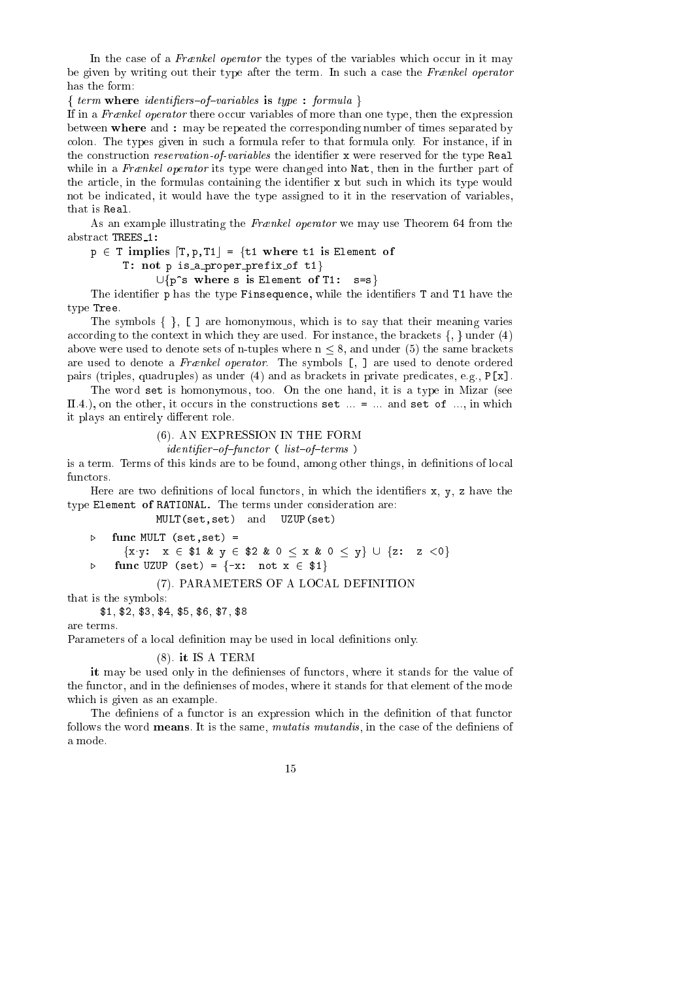In the case of a Frankel operator the types of the variables which occur in it may be given by writing out their type after the term. In such a case the Frankel operator has the form:

f term where identiers{of{variables is type : formula <sup>g</sup>

If in a Frænkel operator there occur variables of more than one type, then the expression between where and : may be repeated the orresponding number of times separated by colon. The types given in such a formula refer to that formula only. For instance, if in the construction *reservation-of-variables* the identifier x were reserved for the type Real while in a Frankel operator its type were changed into  $\mathtt{Nat}$ , then in the further part of the article, in the formulas containing the identifier x but such in which its type would not be indi
ated, it would have the type assigned to it in the reservation of variables, that is Real.

As an example illustrating the Frankel operator we may use Theorem 64 from the abstract TREES\_1:

 $p \in T$  implies  $[T, p, T1] = \{t1 \text{ where } t1 \text{ is Element of }$ 

T: not p is a proper prefix of  $t1$ }

 $\cup$ {p^s where s is Element of T1: s=s}

The identifier p has the type Finsequence, while the identifiers T and T1 have the type Tree.

The symbols  $\{\}$ ,  $\lbrack \}$  are homonymous, which is to say that their meaning varies according to the context in which they are used. For instance, the brackets  $\{ , \}$  under  $(4)$ above were used to denote sets of n-tuples where  $n \leq 8$ , and under (5) the same brackets are used to denote a Frankel operator. The symbols [, ] are used to denote ordered pairs (triples, quadruples) as under (4) and as brackets in private predicates, e.g.,  $P[x]$ .

The word set is homonymous, too. On the one hand, it is a type in Mizar (see II.4.), on the other, it occurs in the constructions set  $\ldots$  =  $\ldots$  and set of  $\ldots$ , in which it plays an entirely different role.

### (6). AN EXPRESSION IN THE FORM

 $\mathit{identity} \cdot \mathit{of} - \mathit{functor}$  ( $\mathit{list} \cdot \mathit{of} - \mathit{terms}$ )

is a term. Terms of this kinds are to be found, among other things, in definitions of local functors.

Here are two definitions of local functors, in which the identifiers  $x, y, z$  have the type Element of RATIONAL. The terms under consideration are:

MULT(set,set) and UZUP(set)

```
\trianglerightfunc MULT (set, set) =
        \{x \cdot y: x \in $1 \& y \in $2 \& 0 \le x \& 0 \le y\} \cup \{z: z < 0\}\trianglerightfunc UZUP (set) = \{-x: \text{ not } x \in $1\}
```
### (7). PARAMETERS OF A LOCAL DEFINITION

that is the symbols:

\$1, \$2, \$3, \$4, \$5, \$6, \$7, \$8

are terms.

Parameters of a local definition may be used in local definitions only.

### (8). it IS A TERM

it may be used only in the denienses of fun
tors, where it stands for the value of the functor, and in the definienses of modes, where it stands for that element of the mode which is given as an example.

The definiens of a functor is an expression which in the definition of that functor follows the word **means**. It is the same, *mutatis mutandis*, in the case of the definiens of a mode.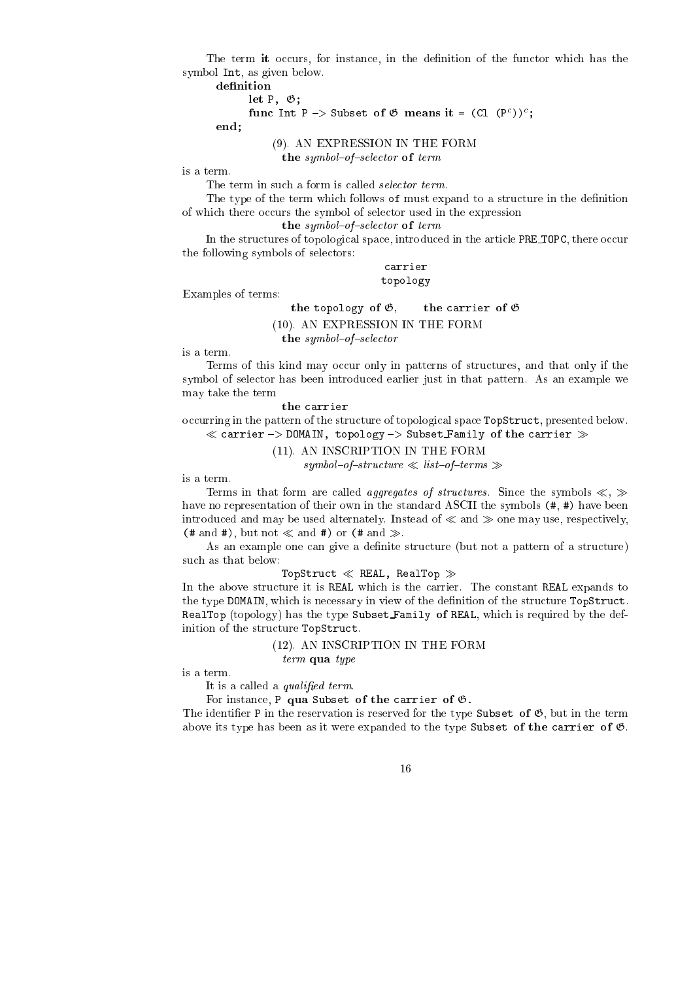The term it occurs, for instance, in the definition of the functor which has the symbol Int, as given below.

 $\cdot$   $\cdot$   $\cdot$   $\cdot$   $\cdot$ 

```
\mu and \mu \rightarrow subset of \sigma means it = (Cl (P^*));
```
end;

### (9). AN EXPRESSION IN THE FORM

the symbol  $\mathbf{f}_s$  term of terms of terms of terms of terms of terms of terms of terms of terms of terms of

is a term.

The term in such a form is called *selector term*.

The type of the term which follows of must expand to a structure in the definition of which there occurs the symbol of selector used in the expression

the symbol symbol and selected the symbol selected to the symbol selected to the symbol selected to the symbol selected to the symbol selected to the symbol selected to the symbol selected to the symbol selected to the sym

In the structures of topological space, introduced in the article PRE\_TOPC, there occur the following symbols of sele
tors:

> arrier topology

Examples of terms:

the topology of G, the arrier of <sup>G</sup> (10). AN EXPRESSION IN THE FORM

is a term.

Terms of this kind may occur only in patterns of structures, and that only if the symbol of sele
tor has been introdu
ed earlier just in that pattern. As an example we may take the term

the arrier

the symbols in the selection

occurring in the pattern of the structure of topological space TopStruct, presented below.  $\alpha$  . The subset of the subset  $\alpha$  is the subset  $\alpha$  arriver  $\alpha$  arrivers for the subset  $\alpha$ 

(11). AN INSCRIPTION IN THE FORM

 $symbol-of-structure \ll list-of-terms \gg$ 

is a term.

Terms in that form are called *aggregates of structures*. Since the symbols  $\ll$ ,  $\gg$ have no representation of their own in the standard ASCII the symbols  $(*, *)$  have been introduced and may be used alternately. Instead of  $\ll$  and  $\gg$  one may use, respectively, (# and #), but not  $\ll$  and #) or (# and  $\gg$ .

As an example one can give a definite structure (but not a pattern of a structure) such as that below:

TopStruct  $\ll$  REAL, RealTop  $\gg$ 

In the above structure it is REAL which is the carrier. The constant REAL expands to the type DOMAIN, which is necessary in view of the definition of the structure TopStruct. RealTop (topology) has the type Subset Family of REAL, which is required by the definition of the structure TopStruct.

> (12). AN INSCRIPTION IN THE FORM term qua type

is a term.

It is a called a *qualified term*.

For instance, P qua Subset of the carrier of  $\mathfrak{G}$ .

The identifier P in the reservation is reserved for the type Subset of  $\mathfrak{G}$ , but in the term above its type has been as it were expanded to the type Subset of the carrier of  $\mathfrak{G}$ .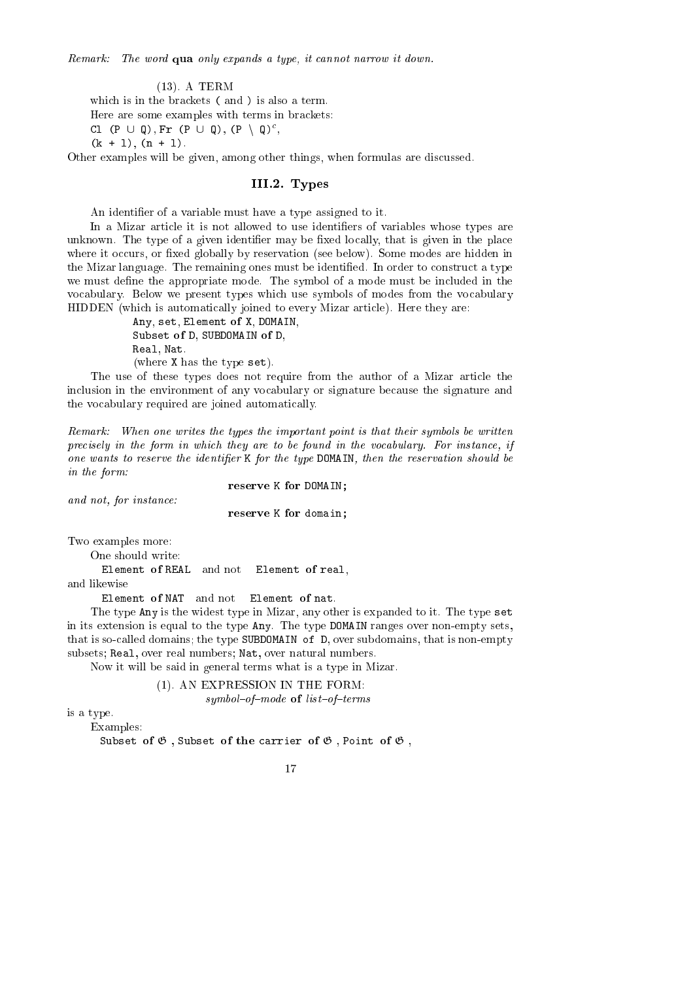Remark: The word qua only expands a type, it annot narrow it down.

(13). A TERM which is in the brackets (and) is also a term. Here are some examples with terms in brackets: UI (P ∪ W), FI (P ∪ W), (P ∖ W) ,

 $(k + 1), (n + 1).$ 

Other examples will be given, among other things, when formulas are discussed.

### III.2. Types

An identifier of a variable must have a type assigned to it.

In a Mizar article it is not allowed to use identifiers of variables whose types are unknown. The type of a given identifier may be fixed locally, that is given in the place where it occurs, or fixed globally by reservation (see below). Some modes are hidden in the Mizar language. The remaining ones must be identified. In order to construct a type we must define the appropriate mode. The symbol of a mode must be included in the vo
abulary. Below we present types whi
h use symbols of modes from the vo
abulary HIDDEN (whi
h is automati
ally joined to every Mizar arti
le). Here they are:

> Any, set, Element of X, DOMAIN, Subset of D, SUBDOMAIN of D, Real, Nat. (where X has the type set).

The use of these types does not require from the author of a Mizar arti
le the inclusion in the environment of any vocabulary or signature because the signature and the vo
abulary required are joined automati
ally.

Remark: When one writes the types the important point is that their symbols be written precisely in the form in which they are to be found in the vocabulary. For instance, if one wants to reserve the identifier K for the type DOMAIN, then the reservation should be in the form:

reserve K for DOMAIN;

and not, for instan
e:

reserve K for domain;

Two examples more:

One should write:

Element of REAL and not Element of real.

and likewise

Element of NAT and not Element of nat.

The type Any is the widest type in Mizar, any other is expanded to it. The type set in its extension is equal to the type Any. The type DOMAIN ranges over non-empty sets, that is so-called domains; the type SUBDOMAIN of D, over subdomains, that is non-empty subsets; Real, over real numbers; Nat, over natural numbers.

Now it will be said in general terms what is a type in Mizar.

(1). AN EXPRESSION IN THE FORM: symbol-of-mode of list-of-terms

is a type.

Examples:

Subset of  $\mathfrak G$ , Subset of the carrier of  $\mathfrak G$ , Point of  $\mathfrak G$ ,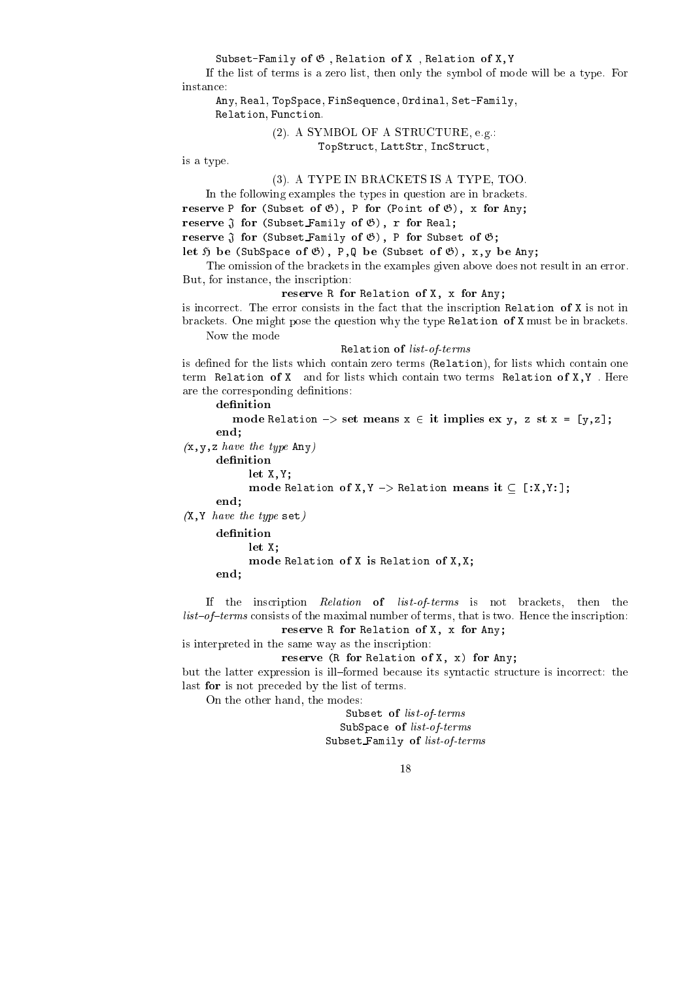Subset-Family of  $\mathfrak G$ , Relation of X, Relation of X, Y

If the list of terms is a zero list, then only the symbol of mode will be a type. For instan
e:

Any, Real, TopSpa
e, FinSequen
e, Ordinal, Set-Family, Relation, Function.

### (2). A SYMBOL OF A STRUCTURE, e.g.: TopStru
t, LattStr, In
Stru
t,

is a type.

### (3). A TYPE IN BRACKETS IS A TYPE, TOO.

In the following examples the types in question are in brackets.

reserve P for (Subset of G), P for (Point of G), x for Any;

reserve <sup>J</sup> for (Subset Family of G), <sup>r</sup> for Real;

reserve <sup>J</sup> for (Subset Family of G), <sup>P</sup> for Subset of G;

e of the contract of the state of  $\mathcal{S}$  , and  $\mathcal{S}$  and  $\mathcal{S}$  and  $\mathcal{S}$  and  $\mathcal{S}$ 

The omission of the brackets in the examples given above does not result in an error. But, for instan
e, the ins
ription:

reserve R for Angles and Any of Angles and  $\mathcal{L}_{\mathcal{A}}$ 

is incorrect. The error consists in the fact that the inscription Relation of X is not in bra
kets. One might pose the question why the type Relation of X must be in bra
kets. Now the mode

Relation of list-of-terms

is defined for the lists which contain zero terms (Relation), for lists which contain one term Relation of X and for lists which contain two terms Relation of X, Y. Here are the corresponding definitions:

mode Relation {> set means x <sup>2</sup> it implies ex y, z st x = [y,z℄; end;  $(x, y, z \text{ have the type Any})$ definition let X,Y; mode Relation of X,Y {> Relation means it [:X,Y:℄; end;  $(X, Y \; have \; the \; type \; set)$ definition  $\mathcal{L}$  is the  $\mathcal{L}$ mode Relation of X is Relation of X,X; end;

If the inscription Relation of list-of-terms is not brackets, then the list-of-terms consists of the maximal number of terms, that is two. Hence the inscription:

reserve R for Angles and Any of Angles and  $\mathcal{L}_{\mathcal{A}}$ 

is interpreted in the same way as the ins
ription:

```
reserve (R for any any any \alpha) for \alpha
```
but the latter expression is ill-formed because its syntactic structure is incorrect: the last for is not pre
eded by the list of terms.

On the other hand, the modes:

Subset of list-of-terms SubSpace of list-of-terms Subset Family of list-of-terms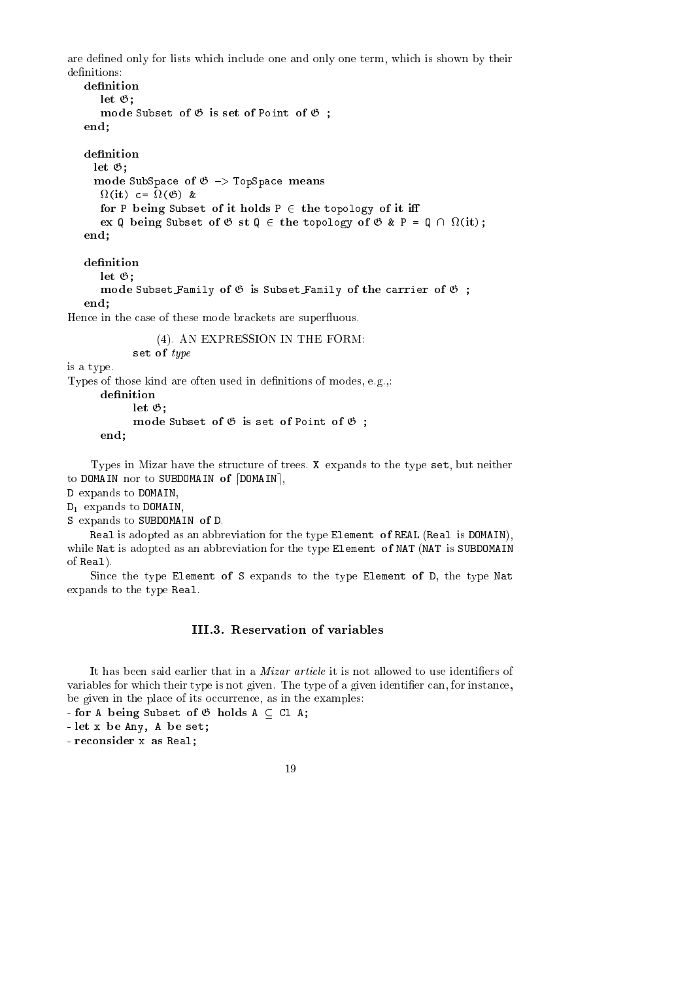are defined only for lists which include one and only one term, which is shown by their definitions:

```
let \mathfrak{G}:
       - -mode subset of G is set of Point of Set of G
end;
denition
 let \mathfrak{G}:
      \sim ,
  mode SubSpace of G {+} TopSpace of G {+} TopSpace of G {+} TopSpace of G {+}\sim \sim \sim \sim \sim \sim \simfor P being Subset of it holds P 2 the topology of it i
    ex Q being Subset of G st Q 2 the topology of G & P = Q \ 
(it);
end;
```

```
let G;
   mode Subset Family of G is Subset Family of the 
arrier of G ;
end;
```
Hence in the case of these mode brackets are superfluous.

(4). AN EXPRESSION IN THE FORM: set of type

is a type.

Types of those kind are often used in definitions of modes, e.g.,:

let G; mode subset of G is set of Point of G is end;

Types in Mizar have the structure of trees. X expands to the type set, but neither to DOMAIN nor to SUBDOMAIN of  $[DOMAIN]$ ,

D expands to DOMAIN,

D1 expands to DOMAIN,

```
S expands to SUBDOMAIN of D.
```
Real is adopted as an abbreviation for the type Element of REAL (Real is DOMAIN), while Nat is adopted as an abbreviation for the type Element of NAT (NAT is SUBDOMAIN of Real).

Since the type Element of S expands to the type Element of D, the type Nat expands to the type Real.

### III.3. Reservation of variables

It has been said earlier that in a *Mizar article* it is not allowed to use identifiers of variables for which their type is not given. The type of a given identifier can, for instance, be given in the place of its occurrence, as in the examples:

- for A being Subset of  $\mathfrak G$  holds  $A \subseteq \mathbb C1$  A;

- let x be Any, A be set;

- reconsider x as Real;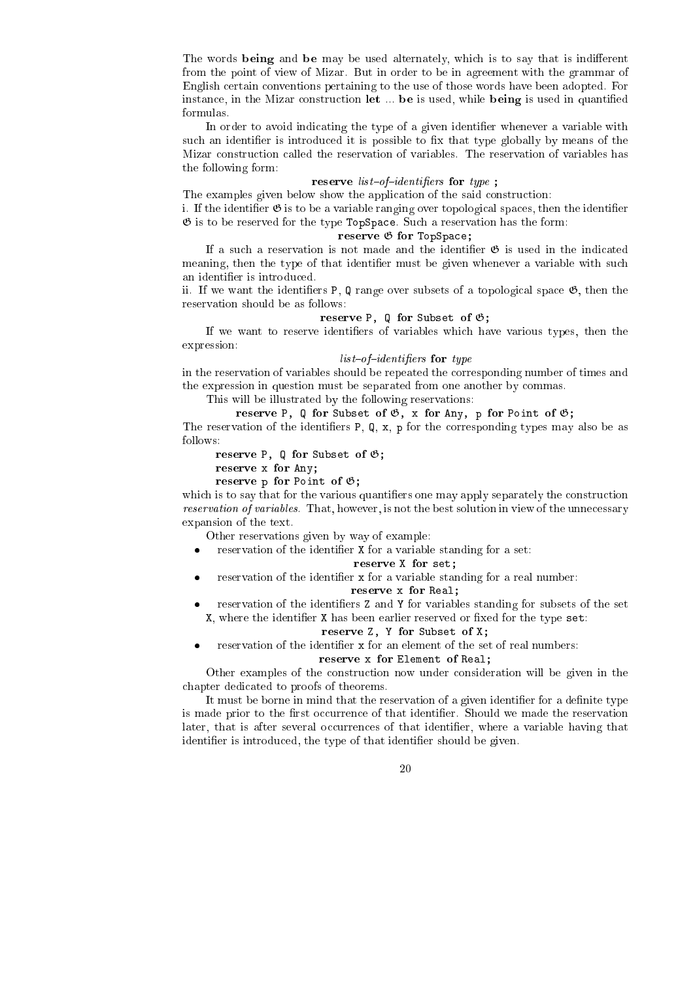The words being and be may be used alternately, which is to say that is indifferent from the point of view of Mizar. But in order to be in agreement with the grammar of English ertain onventions pertaining to the use of those words have been adopted. For instance, in the Mizar construction let ... be is used, while being is used in quantified formulas.

In order to avoid indicating the type of a given identifier whenever a variable with such an identifier is introduced it is possible to fix that type globally by means of the Mizar onstru
tion alled the reservation of variables. The reservation of variables has the following form:

### reserve in the continuity for the form  $\alpha$

The examples given below show the application of the said construction:

i. If the identifier  $\mathfrak G$  is to be a variable ranging over topological spaces, then the identifier  $\mathfrak G$  is to be reserved for the type TopSpace. Such a reservation has the form:

#### reserve <sup>G</sup> for TopSpa
e;

If a such a reservation is not made and the identifier  $\mathfrak G$  is used in the indicated meaning, then the type of that identifier must be given whenever a variable with such an identier is introdu
ed.

ii. If we want the identifiers P,  $\mathbb Q$  range over subsets of a topological space  $\mathfrak{G}$ , then the reservation should be as follows:

### reserve P, Q for Subset of G;

If we want to reserve identifiers of variables which have various types, then the expression:

### $list-of-identifiers$  for type

in the reservation of variables should be repeated the orresponding number of times and the expression in question must be separated from one another by ommas.

This will be illustrated by the following reservations:

### reserve P, Q for Subset of G, x for Any, p for Point of G; The reservation of the identifiers  $P$ ,  $Q$ ,  $x$ ,  $p$  for the corresponding types may also be as follows:

reserve P, Q for Subset of G;

reserve x for Any;

reserve p for Point of G;

which is to say that for the various quantifiers one may apply separately the construction reservation of variables. That, however, is not the best solution in view of the unnecessary expansion of the text.

Other reservations given by way of example:

reservation of the identifier X for a variable standing for a set:

### reserve X for set;

reservation of the identifier x for a variable standing for a real number:

### reserve x for Real;

 reservation of the identiers Z and Y for variables standing for subsets of the set  $X$ , where the identifier  $X$  has been earlier reserved or fixed for the type set:

### reserve Z, Y for Subset of X;

reservation of the identifier x for an element of the set of real numbers:

### reserve x for Element of Real;

Other examples of the onstru
tion now under onsideration will be given in the hapter dedi
ated to proofs of theorems.

It must be borne in mind that the reservation of a given identifier for a definite type is made prior to the first occurrence of that identifier. Should we made the reservation later, that is after several occurrences of that identifier, where a variable having that identifier is introduced, the type of that identifier should be given.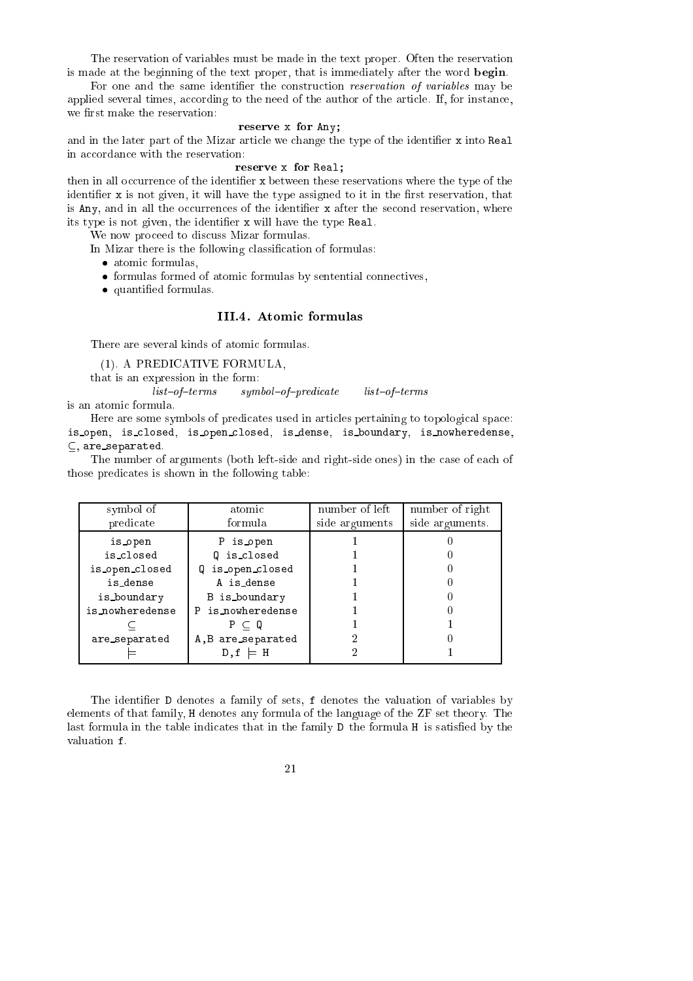The reservation of variables must be made in the text proper. Often the reservation is made at the beginning of the text proper, that is immediately after the word begin.

For one and the same identifier the construction *reservation of variables* may be applied several times, according to the need of the author of the article. If, for instance, we first make the reservation:

### reserve x for Any;

and in the later part of the Mizar article we change the type of the identifier x into Real in accordance with the reservation:

### reserve x for Real;

then in all occurrence of the identifier x between these reservations where the type of the identifier x is not given, it will have the type assigned to it in the first reservation, that is Any, and in all the occurrences of the identifier  $x$  after the second reservation, where its type is not given, the identifier x will have the type Real.

We now proceed to discuss Mizar formulas.

In Mizar there is the following classification of formulas:

- atomi formulas,
- formulas formed of atomi formulas by sentential onne
tives,
- quantities are the formulation of the formulas of the formula set of the formulas of the formula set of the formulas of the formula set of the formula set of the formula set of the formula set of the formula set of the for

### III.4. Atomi formulas

There are several kinds of atomic formulas.

(1). A PREDICATIVE FORMULA,

that is an expression in the form:

 $list-of-terms$  symbol-of-predicate list-of-terms is an atomi formula.

Here are some symbols of predicates used in articles pertaining to topological space: is\_open, is\_closed, is\_open\_closed, is\_dense, is\_boundary, is\_nowheredense,  $\subseteq$ , are\_separated.

The number of arguments (both left-side and right-side ones) in the case of each of those predicates is shown in the following table:

| symbol of       | atomic             | number of left | number of right |
|-----------------|--------------------|----------------|-----------------|
| predicate       | formula.           | side arguments | side arguments. |
| is_open         | P is open          |                |                 |
| is_closed       | Q is_closed        |                |                 |
| is_open_closed  | Q is_open_closed   |                |                 |
| is_dense        | A is_dense         |                |                 |
| is_boundary     | B is boundary      |                |                 |
| is_nowheredense | P is nowheredense  |                |                 |
|                 | $P \subset Q$      |                |                 |
| are_separated   | A, B are_separated |                |                 |
|                 | D.f<br>$\models$ H |                |                 |

The identifier D denotes a family of sets, f denotes the valuation of variables by elements of that family, H denotes any formula of the language of the ZF set theory. The last formula in the table indicates that in the family D the formula H is satisfied by the valuation f.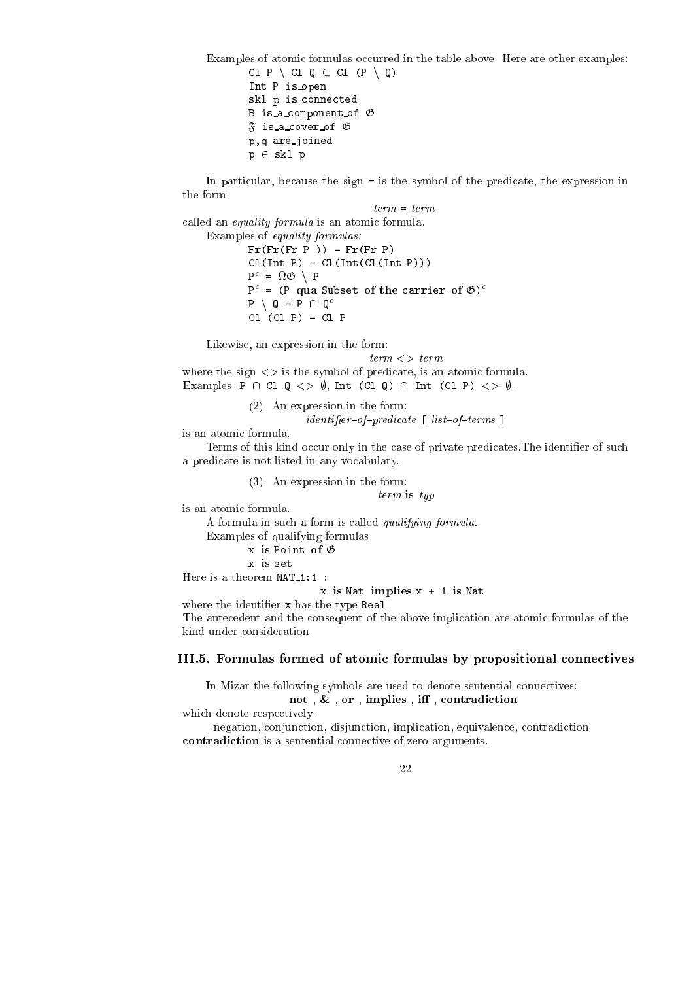Examples of atomic formulas occurred in the table above. Here are other examples: Cl P \ Cl Q  $\subseteq$  Cl (P \ Q) Int P is open skl p is\_connected B is\_a\_component\_of  $\mathfrak G$  $\tilde{\mathfrak{F}}$  is a cover of  $\mathfrak G$ 

In particular, because the sign = is the symbol of the predicate, the expression in the form:

term = term called an *equality formula* is an atomic formula. Examples of equality formulas:  $Fr(Fr(Fr P)) = Fr(Fr P)$  $Cl(Int P) = Cl(Int(Cl(Int P)))$ P = <sup>G</sup> <sup>n</sup> P P = (P qua Subset of the arrier of G)  $P \setminus Q = P \cap Q^c$  $Cl$   $(Cl$   $P) = Cl$   $P$ 

Likewise, an expression in the form:

p,q are joined  $p \in skl$  p

 $term < > term$ 

where the sign  $\langle \rangle$  is the symbol of predicate, is an atomic formula. Examples: P  $\cap$  Cl  $Q \iff \emptyset$ , Int (Cl Q)  $\cap$  Int (Cl P)  $\iff \emptyset$ .

> (2). An expression in the form:  $identityier-of-predictate \ [list-of-terms \ ]$

is an atomi formula.

Terms of this kind occur only in the case of private predicates. The identifier of such a predicate is not listed in any vocabulary.

(3). An expression in the form:

term is typ

is an atomi formula.

A formula in su
h a form is alled qualifying formula.

Examples of qualifying formulas:

```
x is Point of G
```

```
x is set
```
Here is a theorem  $NAT_1:1$ :

 $x$  is Nat implies  $x + 1$  is Nat

where the identifier x has the type Real.

The ante
edent and the onsequent of the above impli
ation are atomi formulas of the kind under onsideration.

### III.5. Formulas formed of atomi formulas by propositional onne
tives

In Mizar the following symbols are used to denote sentential connectives: not , & , or , implies , <sup>i</sup> , ontradi
tion

which denote respectively:

negation, conjunction, disjunction, implication, equivalence, contradiction. ontradi
tion is a sentential onne
tive of zero arguments.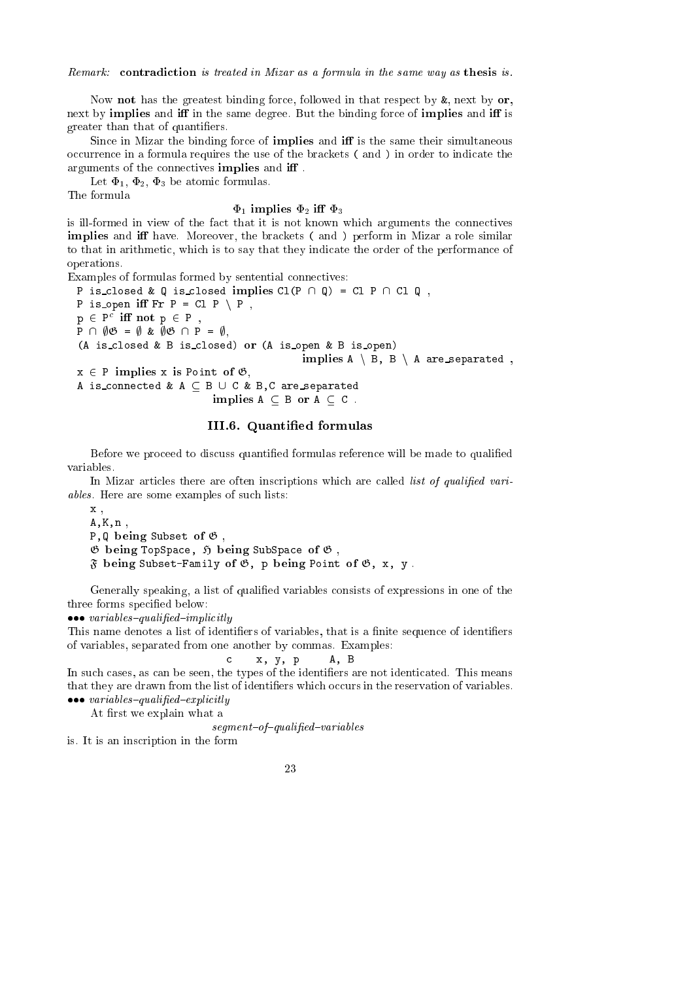Remark: contradiction is treated in Mizar as a formula in the same way as thesis is.

Now **not** has the greatest binding force, followed in that respect by  $\&$ , next by  $\mathbf{or}$ , next by **implies** and **iff** in the same degree. But the binding force of **implies** and **iff** is greater than that of quantifiers.

Since in Mizar the binding force of **implies** and **iff** is the same their simultaneous occurrence in a formula requires the use of the brackets (and) in order to indicate the arguments of the connectives implies and iff.

Let  $\Phi_1$ ,  $\Phi_2$ ,  $\Phi_3$  be atomic formulas.

The formula

### $\Phi_1$  implies  $\Phi_2$  iff  $\Phi_3$

is ill-formed in view of the fact that it is not known which arguments the connectives implies and <sup>i</sup> have. Moreover, the bra
kets ( and ) perform in Mizar a role similar to that in arithmetic, which is to say that they indicate the order of the performance of operations.

Examples of formulas formed by sentential connectives:

P is closed & Q is closed implies  $Cl(P \cap Q) = Cl P \cap Cl Q$ , P is open iff  $Fr P = Cl P \setminus P$ ,  $p \in P$  . In not  $p \in P$  ,  $P \cap \emptyset \mathfrak{G} = \emptyset$  &  $\emptyset \mathfrak{G} \cap P = \emptyset$ , (A is\_closed & B is\_closed) or (A is\_open & B is\_open) implies <sup>A</sup> <sup>n</sup> B, <sup>B</sup> <sup>n</sup> <sup>A</sup> are separated ,  $x \in P$  implies x is Point of  $\mathfrak{G}$ , A is\_connected &  $A \subseteq B \cup C$  & B, C are\_separated implies a b or a control of the second and a second control of the second control of the second control of the

### III.6. Quantied formulas

Before we proceed to discuss quantified formulas reference will be made to qualified variables.

In Mizar articles there are often inscriptions which are called *list of qualified vari*ables. Here are some examples of su
h lists:

x ,  $A, K, n$ P.Q being Subset of  $\mathfrak G$ .  $\mathfrak G$  being TopSpace,  $\mathfrak H$  being SubSpace of  $\mathfrak G$ ,  $\mathfrak F$  being Subset-Family of  $\mathfrak G$ , p being Point of  $\mathfrak G$ , x, y.

 $\mathbf{c}$ 

Generally speaking, a list of qualied variables onsists of expressions in one of the three forms specified below:

recovered around the control of the control of the control of the control of the control of the control of the

This name denotes a list of identifiers of variables, that is a finite sequence of identifiers of variables, separated from one another by ommas. Examples:

$$
c \qquad x, y, p \qquad A, B
$$

In such cases, as can be seen, the types of the identifiers are not identicated. This means that they are drawn from the list of identifiers which occurs in the reservation of variables. rection to the second property of the second property of the second property of the second property of the second property of the second property of the second property of the second property of the second property of the

At first we explain what a

 $segment-of-qualified-variables$ 

is. It is an ins
ription in the form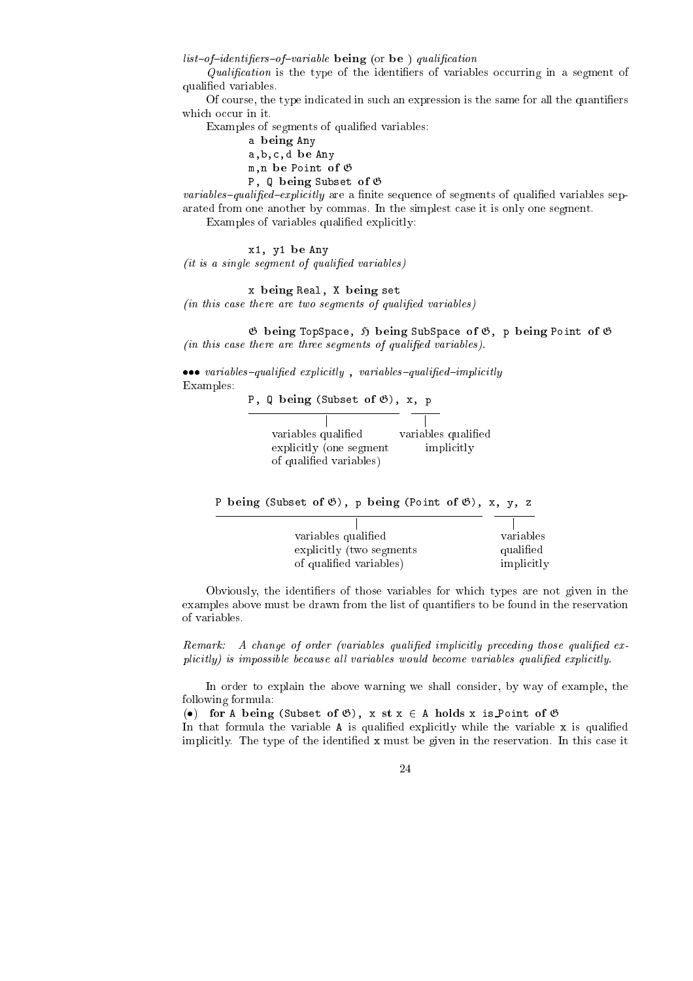$list-of-identifiers-of-variable$  being (or be) qualification

 $Qualification$  is the type of the identifiers of variables occurring in a segment of qualied variables.

Of course, the type indicated in such an expression is the same for all the quantifiers which occur in it.

Examples of segments of qualified variables:

a being Any

a, b, c, d be Any

m,n be Point of <sup>G</sup> P, Q being Subset of  $\mathfrak G$ 

*variables-qualified-explicitly* are a finite sequence of segments of qualified variables separated from one another by ommas. In the simplest ase it is only one segment.

Examples of variables qualified explicitly:

x1, y1 be Any  $(it is a single segment of qualified variables)$ 

x being Real, X being set  $(in this case there are two segments of qualified variables)$ 

 $\emptyset$  being TopSpace,  $\emptyset$  being SubSpace of  $\emptyset$ , p being Point of  $\emptyset$  $(in this case there are three segments of qualified variables).$ 

itly in the contract of the contract of the contract of the contract of the contract of the contract of the con Examples:

P, Q being (Subset of  $\mathfrak{G}$ ), x, p

| variables qualified     | variables qualified |
|-------------------------|---------------------|
| explicitly (one segment | implicitly          |
| of qualified variables) |                     |

P being (Subset of  $\mathfrak{G}$ ), p being (Point of  $\mathfrak{G}$ ), x, y, z

| variables qualified       | variables  |
|---------------------------|------------|
| explicitly (two segments) | qualified  |
| of qualified variables)   | implicitly |

Obviously, the identifiers of those variables for which types are not given in the examples above must be drawn from the list of quantiers to be found in the reservation of variables.

Remark: A change of order (variables qualified implicitly preceding those qualified explicitly) is impossible because all variables would become variables qualified explicitly.

In order to explain the above warning we shall onsider, by way of example, the following formula:

(•) for A being (Subset of  $\mathfrak{G}$ ), x st x  $\in$  A holds x is Point of  $\mathfrak{G}$ 

In that formula the variable  $A$  is qualified explicitly while the variable  $x$  is qualified implicitly. The type of the identified x must be given in the reservation. In this case it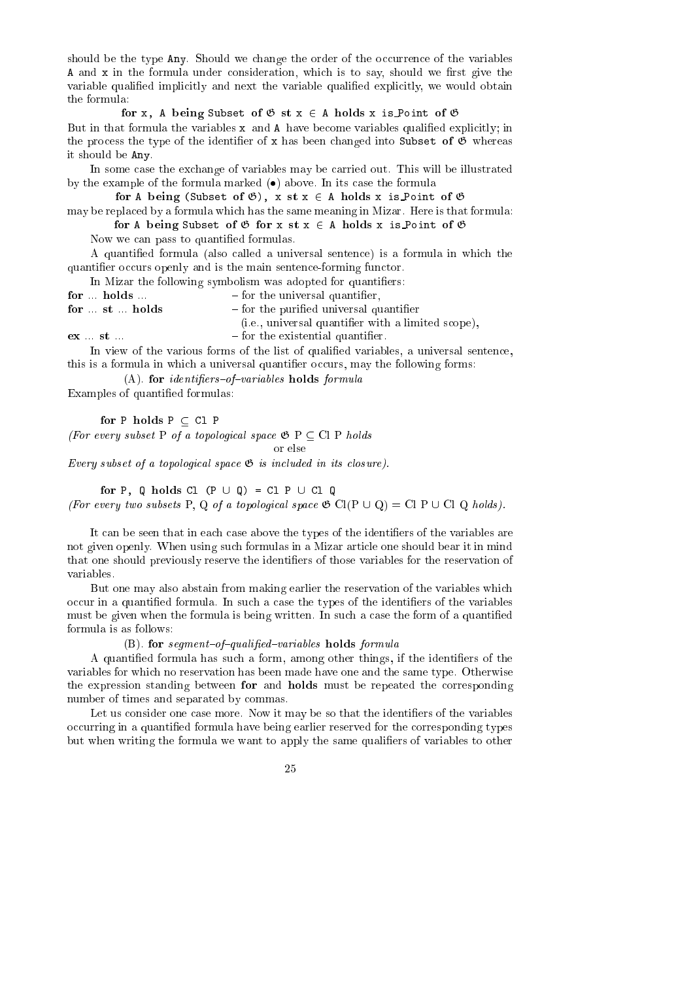should be the type  $\text{Any}$ . Should we change the order of the occurrence of the variables  $A$  and  $x$  in the formula under consideration, which is to say, should we first give the variable qualified implicitly and next the variable qualified explicitly, we would obtain the formula:

for x, A being Subset of <sup>G</sup> st x <sup>2</sup> A holds x is Point of <sup>G</sup> But in that formula the variables  $x$  and A have become variables qualified explicitly; in the process the type of the identifier of x has been changed into Subset of  $\mathfrak G$  whereas it should be Any.

In some case the exchange of variables may be carried out. This will be illustrated by the example of the formula marked  $\left( \bullet \right)$  above. In its case the formula

for <sup>A</sup> being (Subset of G), <sup>x</sup> st <sup>x</sup> <sup>2</sup> <sup>A</sup> holds <sup>x</sup> is Point of <sup>G</sup>

may be repla
ed by a formula whi
h has the same meaning in Mizar. Here is that formula: for A being Subset of <sup>G</sup> for x st x <sup>2</sup> A holds x is Point of <sup>G</sup>

Now we an pass to quantied formulas.

A quantied formula (also alled a universal senten
e) is a formula in whi
h the quantifier occurs openly and is the main sentence-forming functor.

In Mizar the following symbolism was adopted for quantifiers:

- for holds  $-$  for the universal quantifier,
- for  $...$  st  $...$  holds  $-$  for the purified universal quantifier

(i.e., universal quantifier with a limited scope),

 $\mathbf{ex}$   $\ldots$   $\mathbf{st}$   $\ldots$ 

In view of the various forms of the list of qualified variables, a universal sentence, this is a formula in which a universal quantifier occurs, may the following forms:

 $-$  for the existential quantifier.

 $(A)$ . for *identifiers-of-variables* holds *formula* 

Examples of quantied formulas:

(For every subset P of a topological space  $\mathfrak{G}$  P  $\subseteq$  Cl P holds

or else

Every subset of a topological space  $\mathfrak{G}$  is included in its closure).

for P,  $\alpha$  and P,  $\alpha$  and P,  $\alpha$  and P,  $\alpha$  and P,  $\alpha$  and P,  $\alpha$  and P,  $\alpha$  and P,  $\alpha$  and P,  $\alpha$  and P,  $\alpha$  and P,  $\alpha$  and P,  $\alpha$  and P,  $\alpha$  and P,  $\alpha$  and P,  $\alpha$  and P,  $\alpha$  and P,  $\alpha$  and P,  $\alpha$  and P (For every two subsets P, Q of a topological space  $\mathfrak{G}$  Cl(P  $\cup$  Q) = Cl P  $\cup$  Cl Q holds).

It can be seen that in each case above the types of the identifiers of the variables are not given openly. When using su
h formulas in a Mizar arti
le one should bear it in mind that one should previously reserve the identifiers of those variables for the reservation of variables.

But one may also abstain from making earlier the reservation of the variables whi
h occur in a quantified formula. In such a case the types of the identifiers of the variables must be given when the formula is being written. In such a case the form of a quantified formula is as follows:

### (B). for segment-of-qualified-variables holds formula

A quantified formula has such a form, among other things, if the identifiers of the variables for whi
h no reservation has been made have one and the same type. Otherwise the expression standing between for and holds must be repeated the corresponding number of times and separated by ommas.

Let us consider one case more. Now it may be so that the identifiers of the variables occurring in a quantified formula have being earlier reserved for the corresponding types but when writing the formula we want to apply the same qualiers of variables to other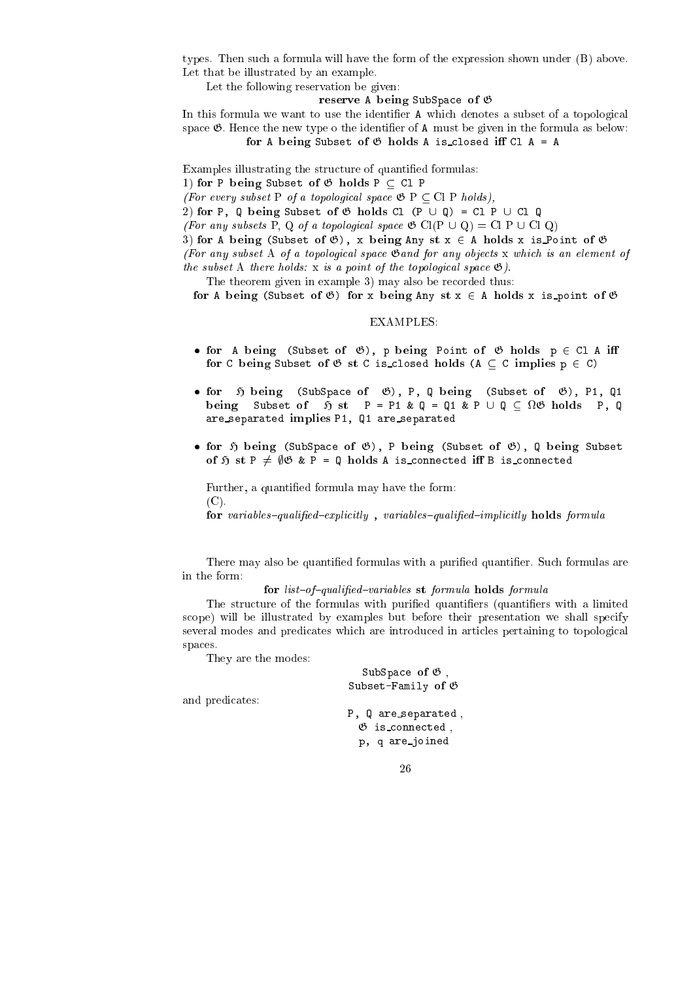types. Then su
h a formula will have the form of the expression shown under (B) above. Let that be illustrated by an example.

Let the following reservation be given:

#### reserve A being SubSpa
e of <sup>G</sup>

In this formula we want to use the identifier A which denotes a subset of a topological space  $\mathfrak{G}$ . Hence the new type o the identifier of A must be given in the formula as below: for A being Subset of <sup>G</sup> holds A is losed <sup>i</sup> Cl <sup>A</sup> <sup>=</sup> <sup>A</sup>

Examples illustrating the structure of quantified formulas:

1) for P being Subset of  $\mathfrak G$  holds P  $\subset$  Cl P

(For every subset P of a topological space  $\mathfrak{G}$  P  $\subseteq$  Cl P holds),

2) for P, Q being Subset of  $\mathfrak G$  holds Cl (P  $\cup$  Q) = Cl P  $\cup$  Cl Q

(For any subsets P, Q of a topological space  $\mathfrak{G}$  Cl(P  $\cup$  Q) = Cl P  $\cup$  Cl Q)

3) for A being (Subset of  $\mathfrak{G}$ ), x being Any st  $x \in A$  holds x is Point of  $\mathfrak{G}$ 

(For any subset A of a topological space  $\mathfrak{G}$  and for any objects x which is an element of the subset A there holds: x is a point of the topological space  $\mathfrak{G}$ ).

The theorem given in example 3) may also be recorded thus:

for A being (Subset of G) for x being Any st x <sup>2</sup> A holds x is point of <sup>G</sup>

### EXAMPLES:

- for A being (Subset of G), p being Point of <sup>G</sup> holds p <sup>2</sup> Cl A <sup>i</sup> for <sup>C</sup> being Subset of <sup>G</sup> st <sup>C</sup> is losed holds (A C implies p <sup>2</sup> C)
- for <sup>H</sup> being (SubSpa
e of G), P, Q being (Subset of G), P1, Q1 being Subset of <sup>H</sup> st P = P1 & Q = Q1 & P [ Q <sup>G</sup> holds P, Q are\_separated implies P1, Q1 are\_separated
- for <sup>H</sup> being (SubSpa
e of G), P being (Subset of G), Q being Subset ted is a form that the process are processed in the connect of the second connect a is a interest of the second

Further, a quantied formula may have the form: (C).

for variables{qualied{expli
itly , variables{qualied{impli
itly holds formula

There may also be quantied formulas with a puried quantier. Su
h formulas are in the form:

for list{of{qualied{variables st formula holds formula

The structure of the formulas with purified quantifiers (quantifiers with a limited s
ope) will be illustrated by examples but before their presentation we shall spe
ify several modes and predicates which are introduced in articles pertaining to topological spaces. spa
es.

They are the modes:

and predicates:

| SubSpace of $\mathfrak G$ ,<br>Subset-Family of $\mathfrak G$         |
|-----------------------------------------------------------------------|
| P, Q are_separated,<br>$\mathfrak G$ is connected,<br>p, q are_joined |
|                                                                       |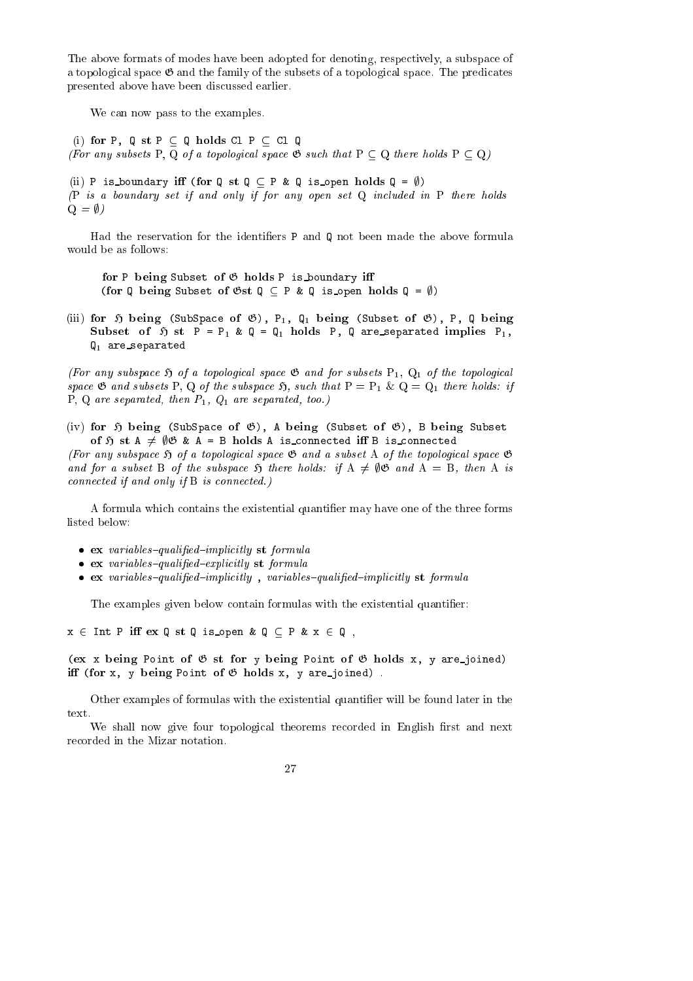The above formats of modes have been adopted for denoting, respectively, a subspace of a topological space  $\mathfrak G$  and the family of the subsets of a topological space. The predicates presented above have been dis
ussed earlier.

We can now pass to the examples.

(i) for P,  $0$  st  $P \subset 0$  holds Cl  $P \subset C1$  Q (For any subsets P, Q of a topological space  $\mathfrak{G}$  such that  $P \subset Q$  there holds  $P \subset Q$ )

(ii) P is boundary iff (for Q st Q  $\subset$  P & Q is open holds Q =  $\emptyset$ ) (P is a boundary set if and only if for any open set Q in
luded in P there holds  $Q = \emptyset$ )

Had the reservation for the identifiers  $P$  and  $Q$  not been made the above formula would be as follows:

for P being Subset of <sup>G</sup> holds P is boundary <sup>i</sup> (for Q being Subset of  $\mathfrak{G}\mathsf{st}\ \mathfrak{Q}\subset \mathsf{P}\ \&\ \mathfrak{Q}$  is open holds  $\mathfrak{Q}=\emptyset$ )

(iii) for  $\mathfrak H$  being (SubSpace of  $\mathfrak G$ ),  $P_1$ ,  $\mathfrak Q_1$  being (Subset of  $\mathfrak G$ ), P, Q being Subset of <sup>H</sup> st <sup>P</sup> <sup>=</sup> P1 & <sup>Q</sup> <sup>=</sup> Q1 holds P, <sup>Q</sup> are separated implies P1,  $Q_1$  are separated

(For any subspace  $\mathfrak H$  of a topological space  $\mathfrak G$  and for subsets  $P_1$ ,  $Q_1$  of the topological space  $\mathfrak G$  and subsets P, Q of the subspace  $\mathfrak H$ , such that  $P = P_1 \& Q = Q_1$  there holds: if P, Q are separated, then  $P_1$ ,  $Q_1$  are separated, too.)

(iv) for  $\mathfrak H$  being (SubSpace of  $\mathfrak G$ ), A being (Subset of  $\mathfrak G$ ), B being Subset ted, at a 6 m st and a book a bookstad in the angle in the second state.

(For any subspace  $\mathfrak H$  of a topological space  $\mathfrak G$  and a subset A of the topological space  $\mathfrak G$ and for a subset B of the subspace  $\mathfrak H$  there holds: if  $A \neq \emptyset \mathfrak G$  and  $A = B$ , then A is connected if and only if B is connected.)

A formula which contains the existential quantifier may have one of the three forms listed below:

- external interests of the formula interests and the context of the context of the context of the context of th
- external interests with the complete the person and the state of the state of the state of the state of the st
- external itles in a variables in planning to the contract of the contract in planning we have the state

The examples given below contain formulas with the existential quantifier:

 $x \in$  Int P iff  $ex \mathbb{Q}$  st  $\mathbb{Q}$  is open &  $\mathbb{Q} \subset P$  &  $x \in \mathbb{Q}$ ,

(ex x being Point of  $G$  st for y being Point of  $G$  holds x, y are joined) i (for x, <sup>y</sup> being Point of <sup>G</sup> holds x, <sup>y</sup> are joined) .

Other examples of formulas with the existential quantifier will be found later in the text.

We shall now give four topological theorems recorded in English first and next re
orded in the Mizar notation.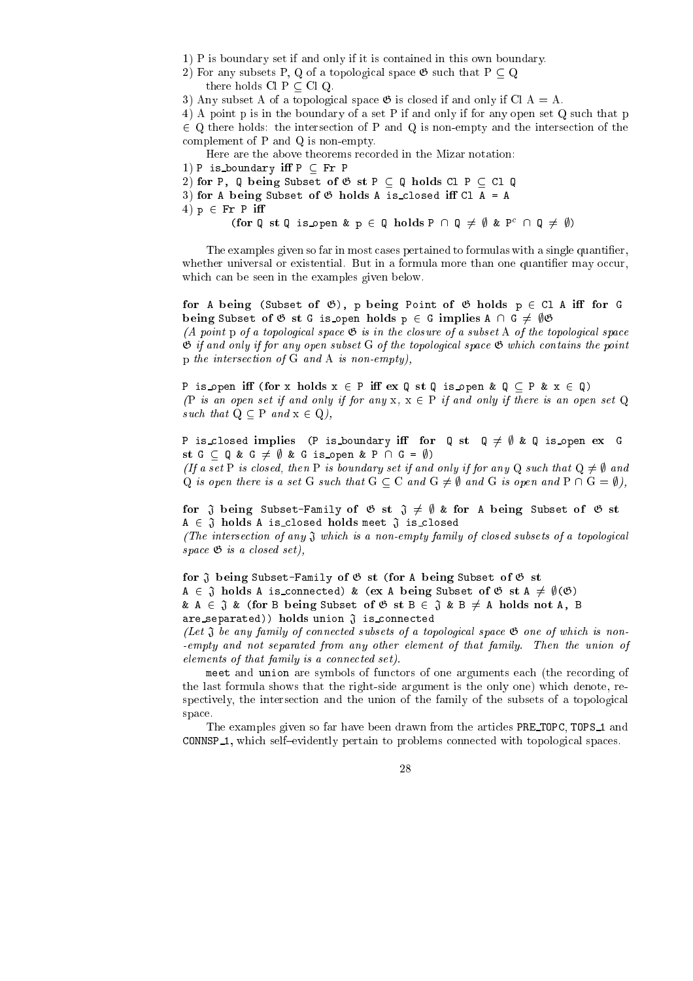1) P is boundary set if and only if it is ontained in this own boundary.

- 2) For any subsets P, Q of a topological space  $\mathfrak{G}$  such that  $P \subset Q$ 
	- there holds  $Cl P \subset Cl Q$ .

3) Any subset A of a topological space  $\mathfrak G$  is closed if and only if Cl A = A.

4) A point p is in the boundary of a set P if and only if for any open set Q such that p 2 Q there holds: the interse
tion of P and Q is non-empty and the interse
tion of the omplement of P and Q is non-empty.

Here are the above theorems re
orded in the Mizar notation:

1) P is boundary iff  $P \subseteq Fr$  P

2) for P, Q being Subset of  $\mathfrak{G}$  st P  $\subset$  Q holds Cl P  $\subset$  Cl Q

3) for A being Subset of  $\mathfrak G$  holds A is closed iff Cl A = A 4)  $p \in Fr$  P iff

(IO I' Q is L open  $\alpha$  in  $\alpha$  is  $\alpha$  and  $\alpha$  is  $\alpha$  and  $\alpha$  is  $\alpha$  is  $\alpha$  of  $\alpha$  is  $\alpha$  is  $\alpha$  is  $\alpha$  is  $\alpha$  is  $\alpha$  is  $\alpha$  is  $\alpha$  is  $\alpha$  is  $\alpha$  is  $\alpha$  is  $\alpha$  is  $\alpha$  is  $\alpha$  is  $\alpha$  is  $\alpha$  is  $\alpha$  is

The examples given so far in most cases pertained to formulas with a single quantifier, whether universal or existential. But in a formula more than one quantifier may occur, which can be seen in the examples given below.

for A being (Subset of G), p being Point of <sup>G</sup> holds p <sup>2</sup> Cl A <sup>i</sup> for G being subset of G st G is open modes p 2 G implies A  $\alpha$  ,  $\beta$  ,  $\beta$ (A point p of a topological space  $\mathfrak G$  is in the closure of a subset A of the topological space  $\mathfrak G$  if and only if for any open subset G of the topological space  $\mathfrak G$  which contains the point p the interse
tion of G and A is non-empty),

P is open iff (for x holds  $x \in P$  iff  $ex Q$  st Q is open &  $Q \subseteq P$  &  $x \in Q$ ) (P is an open set if and only if for any  $x, x \in P$  if and only if there is an open set Q such that  $Q \subseteq P$  and  $x \in Q$ ),

P is closed implies (P is boundary iff for  $\mathbb{Q}$  st  $\mathbb{Q} \neq \emptyset$  &  $\mathbb{Q}$  is open ex G st <sup>G</sup> <sup>Q</sup> & <sup>G</sup> 6= ; & <sup>G</sup> is open & P \ G = ;) (If a set P is closed, then P is boundary set if and only if for any Q such that  $Q \neq \emptyset$  and Q is open there is a set G such that  $G \subset C$  and  $G \neq \emptyset$  and G is open and  $P \cap G = \emptyset$ ),

for <sup>J</sup> being Subset-Family of <sup>G</sup> st <sup>J</sup> 6= ; & for A being Subset of <sup>G</sup> st  $A \in \mathfrak{J}$  holds A is closed holds meet  $\mathfrak{J}$  is closed

(The intersection of any  $\mathfrak J$  which is a non-empty family of closed subsets of a topological space  $\mathfrak{G}$  is a closed set),

for <sup>J</sup> being Subset-Family of <sup>G</sup> st (for A being Subset of <sup>G</sup> st  $A \in \mathfrak{J}$  holds A is connected) & (ex A being Subset of  $\mathfrak{G}$  st  $A \neq \emptyset(\mathfrak{G})$ &  $A \in \mathfrak{J}$  & (for B being Subset of  $\mathfrak{G}$  st  $B \in \mathfrak{J}$  &  $B \neq A$  holds not A, B are\_separated)) holds union  $\mathfrak J$  is\_connected

(Let  $\mathfrak J$  be any family of connected subsets of a topological space  $\mathfrak G$  one of which is non--empty and not separated from any other element of that family. Then the union of elements of that family is a connected set).

meet and union are symbols of functors of one arguments each (the recording of the last formula shows that the right-side argument is the only one) whi
h denote, respectively, the intersection and the union of the family of the subsets of a topological spa
e.

The examples given so far have been drawn from the articles PRE TOPC, TOPS 1 and CONNSP<sub>-1</sub>, which self-evidently pertain to problems connected with topological spaces.

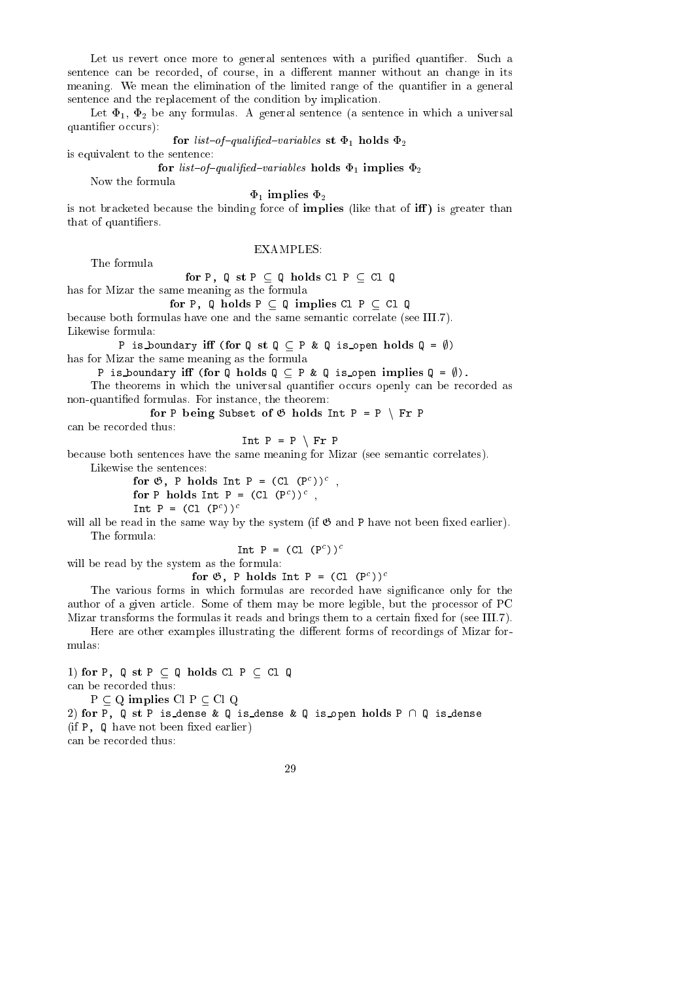Let us revert once more to general sentences with a purified quantifier. Such a sentence can be recorded, of course, in a different manner without an change in its meaning. We mean the elimination of the limited range of the quantifier in a general sentence and the replacement of the condition by implication.

Let  $\Phi_1$ ,  $\Phi_2$  be any formulas. A general sentence (a sentence in which a universal quantifier occurs):

for list  $f$   $g$  and  $f$  is a statistical state  $f$  is the  $f$ 

is equivalent to the senten
e:

for list  $\frac{1}{2}$  quality for the list of the state  $\frac{1}{2}$ 

Now the formula

### $\Phi_1$  implies  $\Phi_2$

is not bracketed because the binding force of **implies** (like that of  $\text{iff}$ ) is greater than that of quantifiers.

### EXAMPLES:

The formula

for P, Q st P  $\sim$  P, Q st P  $\sim$  P, Q st P  $\sim$  P, Q st P  $\sim$  P, Q st P  $\sim$  P, Q st P  $\sim$  P, Q st P  $\sim$  P, Q st P  $\sim$  P,  $\sim$  P,  $\sim$  P,  $\sim$  P,  $\sim$  P,  $\sim$  P,  $\sim$  P,  $\sim$  P,  $\sim$  P,  $\sim$  P,  $\sim$  P,  $\sim$  P,  $\sim$  P,

has for Mizar the same meaning as the formula

for P, Q holds P Q implies Cl P Cl Q

because both formulas have one and the same semantic correlate (see III.7). Likewise formula:

P is boundary iff (for Q st Q  $\subseteq$  P & Q is open holds Q =  $\emptyset$ ) has for Mizar the same meaning as the formula

P is boundary iff (for Q holds  $Q \subseteq P$  & Q is open implies  $Q = \emptyset$ ).

The theorems in which the universal quantifier occurs openly can be recorded as non-quantied formulas. For instan
e, the theorem:

for P being Subset of G holds Int P and Subset of G holds Int P n Fr P n Fr P n Fr P n Fr P n Fr P n Fr P n Fr

an be re
orded thus:

Int  $P = P \setminus Fr P$ 

because both sentences have the same meaning for Mizar (see semantic correlates).

Likewise the sentences:

 $\text{for } \mathcal{O}, \mathcal{P} \text{ mod } \mathbb{R}$  int  $\mathcal{P} = (\mathcal{C}_1, (\mathcal{P}^1))^T$ ,  $\text{for } P \text{ means the } P = (\cup_{i \in P} P_i)$ INL P = (UI (P //

will all be read in the same way by the system (if  $\mathfrak G$  and P have not been fixed earlier). The formula:

Int P = (Cl (P ))

will be read by the system as the formula:

 $\text{for } \mathcal{O}, \mathcal{P} \text{ means the } \mathcal{P} = (\mathcal{C}_1, (\mathcal{P}^1))^T$ 

The various forms in which formulas are recorded have significance only for the author of a given arti
le. Some of them may be more legible, but the pro
essor of PC Mizar transforms the formulas it reads and brings them to a certain fixed for (see III.7).

Here are other examples illustrating the different forms of recordings of Mizar formulas:

1) for P,  $Q$  st  $P \subseteq Q$  holds Cl  $P \subseteq C1$  Q an be re
orded thus:  $P \subseteq Q$  implies  $Cl P \subseteq Cl Q$ 2) for P, Q st P is dense & Q is dense & Q is open holds P  $\cap$  Q is dense  $(i\text{f } P, Q \text{ have not been fixed earlier})$ an be re
orded thus: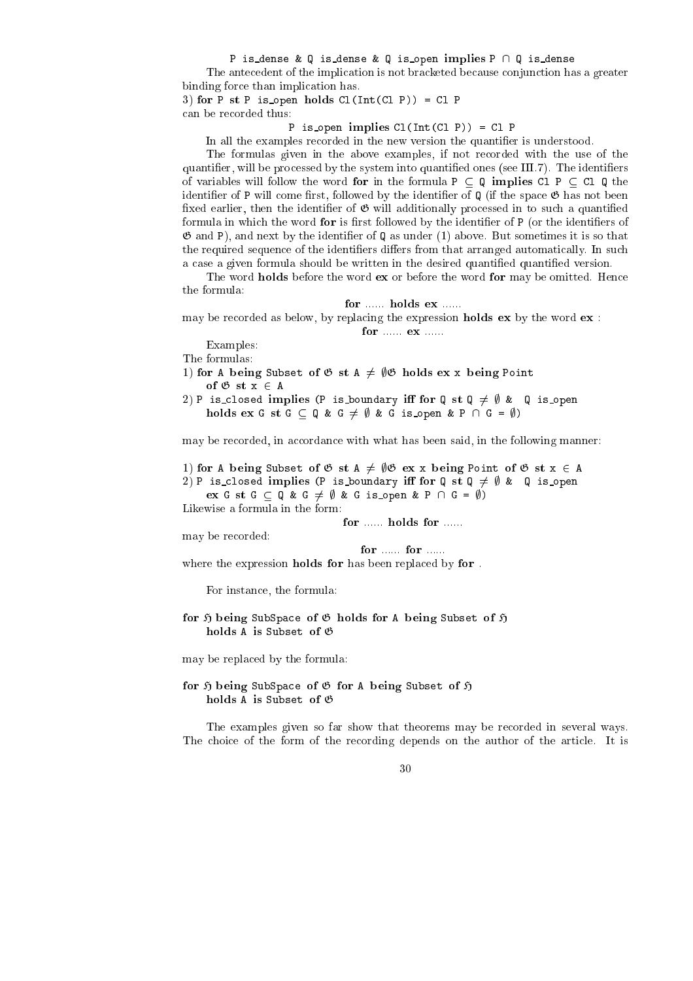P is dense & Q is dense & Q is open implies  $P \cap Q$  is dense

The ante
edent of the impli
ation is not bra
keted be
ause onjun
tion has a greater binding for
e than impli
ation has.

3) for P st P is open holds  $Cl(Int(Cl P)) = Cl P$ an be re
orded thus:

### P is open implies  $Cl(Int(Cl P)) = Cl P$

In all the examples recorded in the new version the quantifier is understood.

The formulas given in the above examples, if not recorded with the use of the quantifier, will be processed by the system into quantified ones (see III.7). The identifiers of variables will follow the word for in the formula  $P \subseteq Q$  implies Cl  $P \subseteq Cl Q$  the identifier of P will come first, followed by the identifier of  $\mathbb{Q}$  (if the space  $\mathfrak{G}$  has not been fixed earlier, then the identifier of  $\mathfrak{G}$  will additionally processed in to such a quantified formula in which the word for is first followed by the identifier of P (or the identifiers of  $\mathfrak G$  and P), and next by the identifier of  $\mathbb Q$  as under (1) above. But sometimes it is so that the required sequence of the identifiers differs from that arranged automatically. In such a case a given formula should be written in the desired quantified quantified version.

The word **holds** before the word **ex** or before the word **for** may be omitted. Hence the formula:

may be recorded as below, by replacing the expression **holds** ex by the word  $ex$ :

Examples:

The formulas:

1) for A being Subset of  $\mathfrak{G}$  st A  $\neq$   $\emptyset$   $\mathfrak{G}$  holds ex x being Point of G st x 2  $\sim$  2  $\sim$  2  $\sim$ 

2) P is\_closed implies (P is\_boundary iff for Q st Q  $\neq$   $\emptyset$  & Q is\_open holds extracted by  $\alpha$  is a group  $\alpha$  -form  $\alpha$  is the p  $\alpha$ 

may be recorded, in accordance with what has been said, in the following manner:

1) for A being Subset of  $\mathfrak{G}$  st A  $\neq$   $\emptyset$   $\mathfrak{G}$  ex x being Point of  $\mathfrak{G}$  st  $x \in A$ 

2) P is\_closed implies (P is\_boundary iff for Q st Q  $\neq$   $\emptyset$  & Q is\_open

experiment of G  $\mu$  and G  $\mu$  and G  $\mu$  is open  $\mu$  is open  $\mu$  is open  $\mu$  . If  $\mu$ 

Likewise a formula in the form:

may be recorded:

for ...... for ......

where the expression holds for has been replaced by for.

For instan
e, the formula:

## for <sup>H</sup> being SubSpa
e of <sup>G</sup> holds for A being Subset of <sup>H</sup>

may be repla
ed by the formula:

# for <sup>H</sup> being SubSpa
e of <sup>G</sup> for A being Subset of <sup>H</sup>

The examples given so far show that theorems may be re
orded in several ways. The choice of the form of the recording depends on the author of the article. It is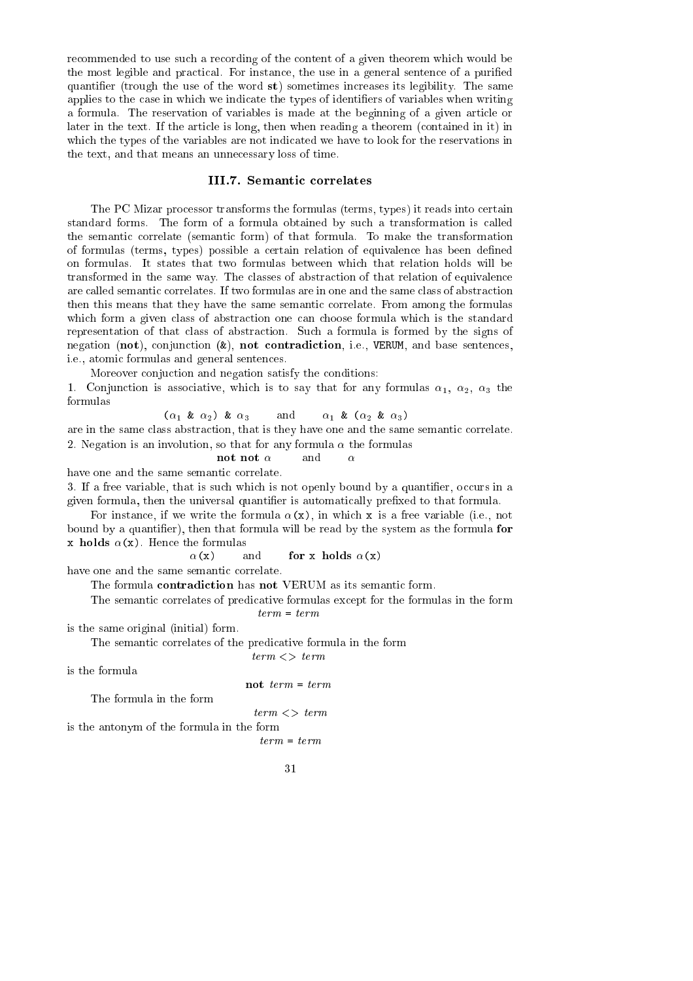recommended to use such a recording of the content of a given theorem which would be the most legible and practical. For instance, the use in a general sentence of a purified quantifier (trough the use of the word  $st$ ) sometimes increases its legibility. The same applies to the case in which we indicate the types of identifiers of variables when writing a formula. The reservation of variables is made at the beginning of a given arti
le or later in the text. If the article is long, then when reading a theorem (contained in it) in which the types of the variables are not indicated we have to look for the reservations in the text, and that means an unne
essary loss of time.

### III.7. Semantic correlates

The PC Mizar pro
essor transforms the formulas (terms, types) it reads into ertain standard forms. The form of a formula obtained by such a transformation is called the semantic correlate (semantic form) of that formula. To make the transformation of formulas (terms, types) possible a ertain relation of equivalen
e has been dened on formulas. It states that two formulas between whi
h that relation holds will be transformed in the same way. The classes of abstraction of that relation of equivalence are called semantic correlates. If two formulas are in one and the same class of abstraction then this means that they have the same semantic correlate. From among the formulas which form a given class of abstraction one can choose formula which is the standard representation of that class of abstraction. Such a formula is formed by the signs of negation (not), conjunction ( $k$ ), not contradiction, i.e., VERUM, and base sentences, i.e., atomi formulas and general senten
es.

Moreover conjuction and negation satisfy the conditions:

1. Conjunction is associative, which is to say that for any formulas  $\alpha_1$ ,  $\alpha_2$ ,  $\alpha_3$  the formulas

$$
(\alpha_1 \& \alpha_2) \& \alpha_3 \qquad \text{and} \qquad \alpha_1 \& \alpha_2 \& \alpha_3)
$$

are in the same class abstraction, that is they have one and the same semantic correlate. 2. Negation is an involution, so that for any formula  $\alpha$  the formulas

**not not** 
$$
\alpha
$$
 and  $\alpha$ 

have one and the same semantic correlate.

3. If a free variable, that is such which is not openly bound by a quantifier, occurs in a given formula, then the universal quantifier is automatically prefixed to that formula.

For instance, if we write the formula  $\alpha(x)$ , in which x is a free variable (i.e., not bound by a quantifier), then that formula will be read by the system as the formula for x holds  $\alpha(x)$ . Hence the formulas

> $\alpha(x)$ and for x holds  $\alpha(x)$

have one and the same semantic correlate.

The formula **contradiction** has not VERUM as its semantic form.

The semantic correlates of predicative formulas except for the formulas in the form term = term

is the same original (initial) form.

The semantic correlates of the predicative formula in the form

 $term < > term$ 

is the formula

not  $term = term$ 

The formula in the form

 $term < > term$ 

is the antonym of the formula in the form

term = term

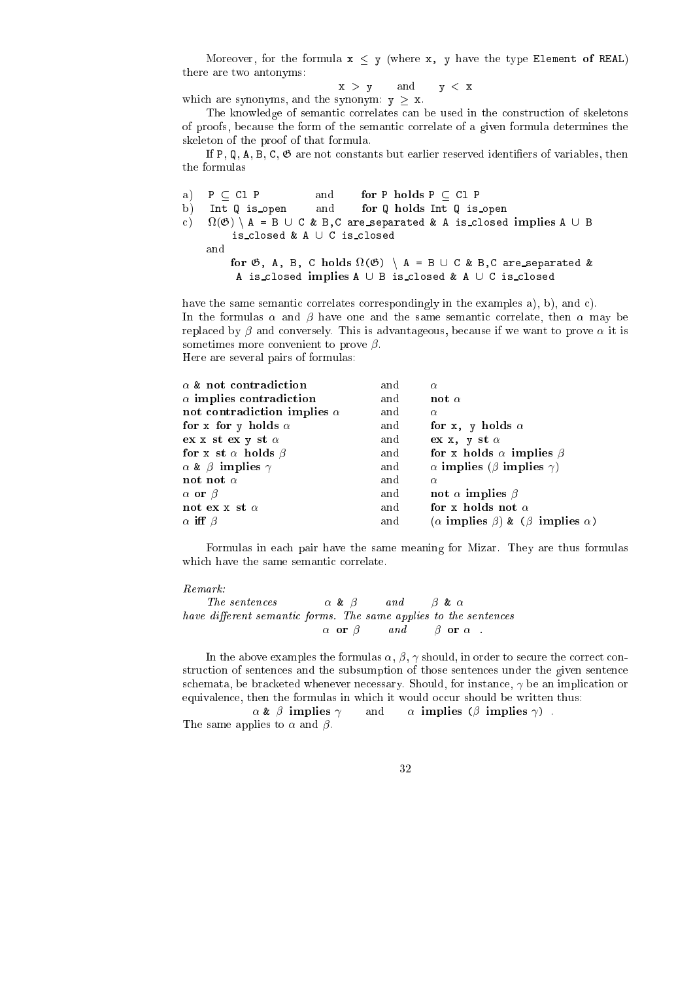Moreover, for the formula  $x < y$  (where x, y have the type Element of REAL) there are two antonyms:

 $x > y$  and  $y < x$ 

which are synonyms, and the synonym:  $y > x$ .

The knowledge of semantic correlates can be used in the construction of skeletons of proofs, be
ause the form of the semanti orrelate of a given formula determines the skeleton of the proof of that formula.

If P,  $Q$ , A, B, C,  $\mathfrak{G}$  are not constants but earlier reserved identifiers of variables, then the formulas

a)  $P \subseteq C1$  P and for P holds  $P \subseteq C1$  P b) Int Q is open and for Q holds Int Q is open  $\epsilon$ )  $\alpha$  and  $\alpha$  are a proportion in the anti-separated  $\alpha$  is a function of  $\alpha$  is a function of  $\alpha$ is\_closed & A ∪ C is\_closed and for G, A, B, C holds (G) <sup>n</sup> A = B [ C & B,C are separated & A is\_closed implies  $A \cup B$  is\_closed &  $A \cup C$  is\_closed

have the same semantic correlates correspondingly in the examples  $a$ ,  $b$ ,  $b$ , and  $c$ ). In the formulas  $\alpha$  and  $\beta$  have one and the same semantic correlate, then  $\alpha$  may be replaced by  $\beta$  and conversely. This is advantageous, because if we want to prove  $\alpha$  it is sometimes more convenient to prove  $\beta$ . Here are several pairs of formulas:

| $\alpha$ & not contradiction        | and | $\alpha$                                                |
|-------------------------------------|-----|---------------------------------------------------------|
| $\alpha$ implies contradiction      | and | not $\alpha$                                            |
| not contradiction implies $\alpha$  | and | $\alpha$                                                |
| for x for y holds $\alpha$          | and | for x, y holds $\alpha$                                 |
| $ex x st ex y st \alpha$            | and | $ex x, y st \alpha$                                     |
| for x st $\alpha$ holds $\beta$     | and | for x holds $\alpha$ implies $\beta$                    |
| $\alpha$ & $\beta$ implies $\gamma$ | and | $\alpha$ implies ( $\beta$ implies $\gamma$ )           |
| not not $\alpha$                    | and | $\alpha$                                                |
| $\alpha$ or $\beta$                 | and | not $\alpha$ implies $\beta$                            |
| not ex x st $\alpha$                | and | for x holds not $\alpha$                                |
| $\alpha$ iff $\beta$                | and | $(\alpha$ implies $\beta)$ & $(\beta$ implies $\alpha)$ |

Formulas in each pair have the same meaning for Mizar. They are thus formulas which have the same semantic correlate.

### $Remark:$

```
The sentences \alpha \& \beta and \beta \& \alphahave different semantic forms. The same applies to the sentences
                           \alpha or \beta and \beta or \alpha.
```
In the above examples the formulas  $\alpha$ ,  $\beta$ ,  $\gamma$  should, in order to secure the correct construction of sentences and the subsumption of those sentences under the given sentence schemata, be bracketed whenever necessary. Should, for instance,  $\gamma$  be an implication or equivalence, then the formulas in which it would occur should be written thus:

 $\alpha \& \beta$  implies  $\gamma$  and  $\alpha$  implies ( $\beta$  implies  $\gamma$ ). and The same applies to  $\alpha$  and  $\beta$ .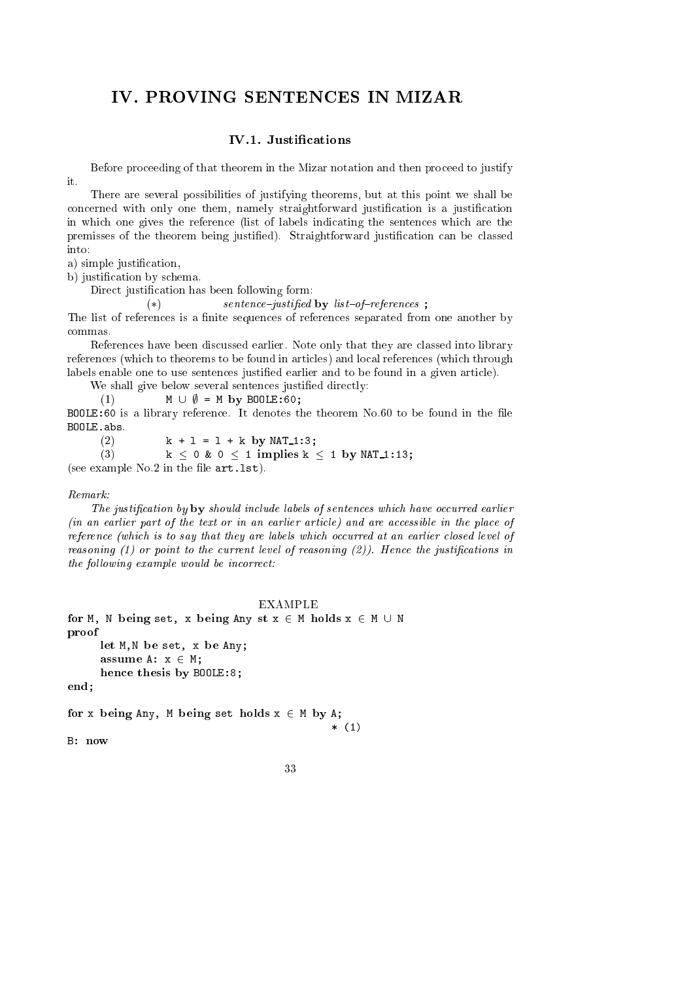### IV. PROVING SENTENCES IN MIZAR

### IV.1. Justifications

Before proceeding of that theorem in the Mizar notation and then proceed to justify  $\mathbf{i}$ 

There are several possibilities of justifying theorems, but at this point we shall be concerned with only one them, namely straightforward justification is a justification in whi
h one gives the referen
e (list of labels indi
ating the senten
es whi
h are the premisses of the theorem being justified). Straightforward justification can be classed into:

a) simple justification,

b) justification by schema.

Direct justification has been following form:

 $(*)$  sentence-justified by list-of-references :

The list of references is a finite sequences of references separated from one another by commas.

References have been discussed earlier. Note only that they are classed into library references (which to theorems to be found in articles) and local references (which through labels enable one to use sentences justified earlier and to be found in a given article).

We shall give below several sentences justified directly:

(1)  $M \cup \emptyset = M$  by BOOLE:60;

BOOLE:60 is a library reference. It denotes the theorem No.60 to be found in the file BOOLE.abs.

(2)  $k + 1 = 1 + k$  by NAT<sub>-1</sub>:3;

(3)  $k < 0$  &  $0 < 1$  implies  $k < 1$  by NAT\_1:13;

(see example  $No.2$  in the file  $art.1st$ ).

### $Remark:$

The justification by by should include labels of sentences which have occurred earlier  $(in$  an earlier part of the text or in an earlier article) and are accessible in the place of reference (which is to say that they are labels which occurred at an earlier closed level of reasoning  $(1)$  or point to the current level of reasoning  $(2)$ ). Hence the justifications in the following example would be incorrect:

```
EXAMPLE
for M, N being set, x being Any st x 2 M holds x 2 M [ N
proof
            let M,N be set, x be Any;
            assume A: x 2 M;
            hen
e thesis by BOOLE:8;
end;
for a being \mathcal{L} by Any, M by A \mathcal{L} and \mathcal{L} and \mathcal{L} and \mathcal{L} and \mathcal{L} and \mathcal{L} and \mathcal{L} and \mathcal{L} and \mathcal{L} and \mathcal{L} and \mathcal{L} and \mathcal{L} and \mathcal{L} and \mathcal{L} and \math* (1)
```
B: now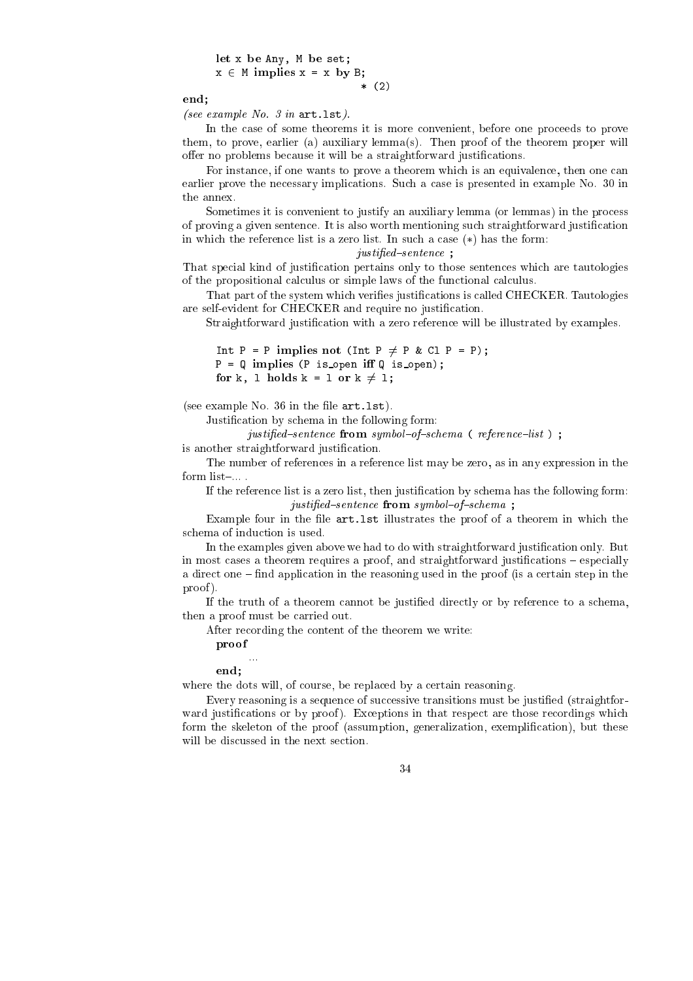let  $\mathbf{v}$  be a between  $\mathbf{v}$  be set;  $\mathbf{v}$  be set;  $\mathbf{v}$  be set;  $\mathbf{v}$  $x \in M$  implies  $x = x$  by B; \* (2)

end;

(see example No.  $3$  in art. lst).

In the case of some theorems it is more convenient, before one proceeds to prove them, to prove, earlier (a) auxiliary lemma(s). Then proof of the theorem proper will offer no problems because it will be a straightforward justifications.

For instance, if one wants to prove a theorem which is an equivalence, then one can earlier prove the necessary implications. Such a case is presented in example No. 30 in the annex.

Sometimes it is convenient to justify an auxiliary lemma (or lemmas) in the process of proving a given senten
e. It is also worth mentioning su
h straightforward justi
ation in which the reference list is a zero list. In such a case  $(*)$  has the form:

### justified-sentence;

That special kind of justification pertains only to those sentences which are tautologies of the propositional calculus or simple laws of the functional calculus.

That part of the system which verifies justifications is called CHECKER. Tautologies are self-evident for CHECKER and require no justification.

Straightforward justification with a zero reference will be illustrated by examples.

Int P = P implies not (Int P  $\neq$  P & Cl P = P);  $P = Q$  implies (P is open iff Q is open); for k, l holds k = l or k 6= l;

(see example No.  $36$  in the file  $art.$  lst).

Justification by schema in the following form:

justified-sentence from symbol-of-schema (reference-list);

is another straightforward justification.

The number of referen
es in a referen
e list may be zero, as in any expression in the form list-....

If the reference list is a zero list, then justification by schema has the following form: justified-sentence from symbol-of-schema;

Example four in the file  $art last$  illustrates the proof of a theorem in which the s
hema of indu
tion is used.

In the examples given above we had to do with straightforward justification only. But in most cases a theorem requires a proof, and straightforward justifications – especially a direct one – find application in the reasoning used in the proof (is a certain step in the proof ).

If the truth of a theorem cannot be justified directly or by reference to a schema, then a proof must be arried out.

After re
ording the ontent of the theorem we write:

proof

...

end;

where the dots will, of course, be replaced by a certain reasoning.

Every reasoning is a sequence of successive transitions must be justified (straightforward justifications or by proof). Exceptions in that respect are those recordings which form the skeleton of the proof (assumption, generalization, exemplification), but these will be discussed in the next section.

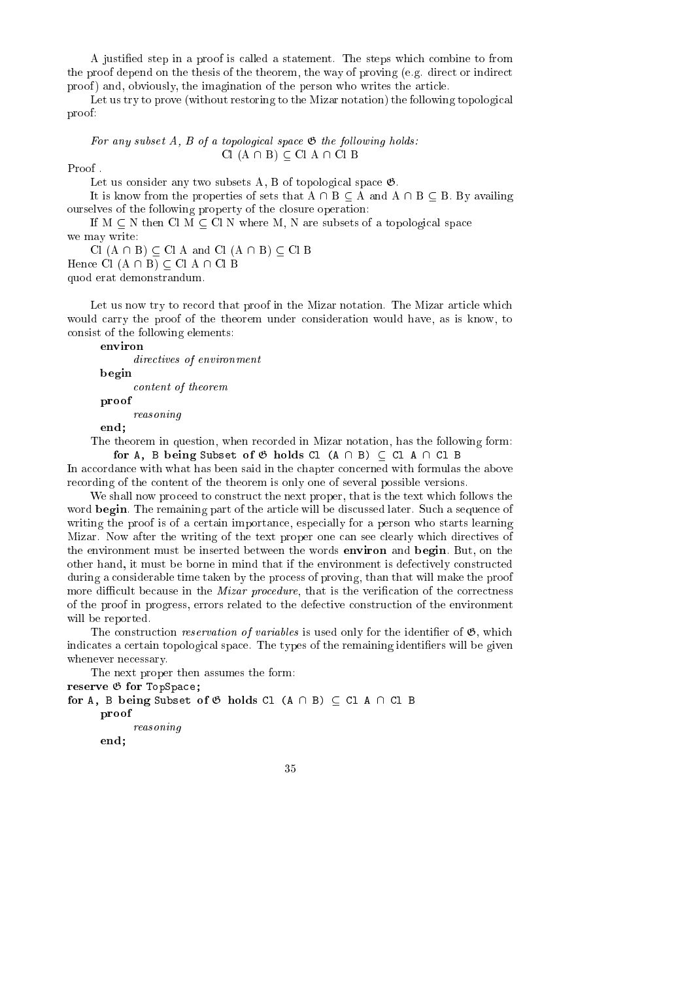A justied step in a proof is alled a statement. The steps whi
h ombine to from the proof depend on the thesis of the theorem, the way of proving  $(e.g.$  direct or indirect proof) and, obviously, the imagination of the person who writes the article.

Let us try to prove (without restoring to the Mizar notation) the following topological proof:

For any subset  $A$ ,  $B$  of a topological space  $\mathfrak G$  the following holds:  $Cl (A \cap B) \subseteq Cl A \cap Cl B$ 

Proof .

Let us consider any two subsets A, B of topological space  $\mathfrak{G}$ .

It is know from the properties of sets that  $A \cap B \subseteq A$  and  $A \cap B \subseteq B$ . By availing ourselves of the following property of the losure operation:

If  $M \subseteq N$  then Cl  $M \subseteq Cl$  N where M, N are subsets of a topological space we may write:

Cl  $(A \cap B) \subset C$ l A and Cl  $(A \cap B) \subset C$ l B Hence Cl  $(A \cap B) \subseteq$  Cl  $A \cap C$ l B

quod erat demonstrandum.

Let us now try to record that proof in the Mizar notation. The Mizar article which would carry the proof of the theorem under consideration would have, as is know, to onsist of the following elements:

directives of environment

 $\mathbf{b}$ 

ontent of theorem

proof

reasoning

end;

The theorem in question, when re
orded in Mizar notation, has the following form: for A, B being  $S$  being  $S$  being  $S$  and  $A$  and  $A$   $A$   $A$   $B$   $C$ 

In accordance with what has been said in the chapter concerned with formulas the above recording of the content of the theorem is only one of several possible versions.

We shall now proceed to construct the next proper, that is the text which follows the word **begin**. The remaining part of the article will be discussed later. Such a sequence of writing the proof is of a certain importance, especially for a person who starts learning Mizar. Now after the writing of the text proper one can see clearly which directives of the environment must be inserted between the words environ and begin. But, on the other hand, it must be borne in mind that if the environment is defectively constructed during a considerable time taken by the process of proving, than that will make the proof more difficult because in the *Mizar procedure*, that is the verification of the correctness of the proof in progress, errors related to the defe
tive onstru
tion of the environment will be reported.

The construction *reservation of variables* is used only for the identifier of  $\mathfrak{G}$ , which indicates a certain topological space. The types of the remaining identifiers will be given whenever ne
essary.

The next proper then assumes the form:

reserve <sup>G</sup> for TopSpa
e;

for A, B being Subset of <sup>G</sup> holds Cl (A \ B) Cl A \ Cl B provided a series of the contract of the contract of the contract of the contract of the contract of reasoning end;

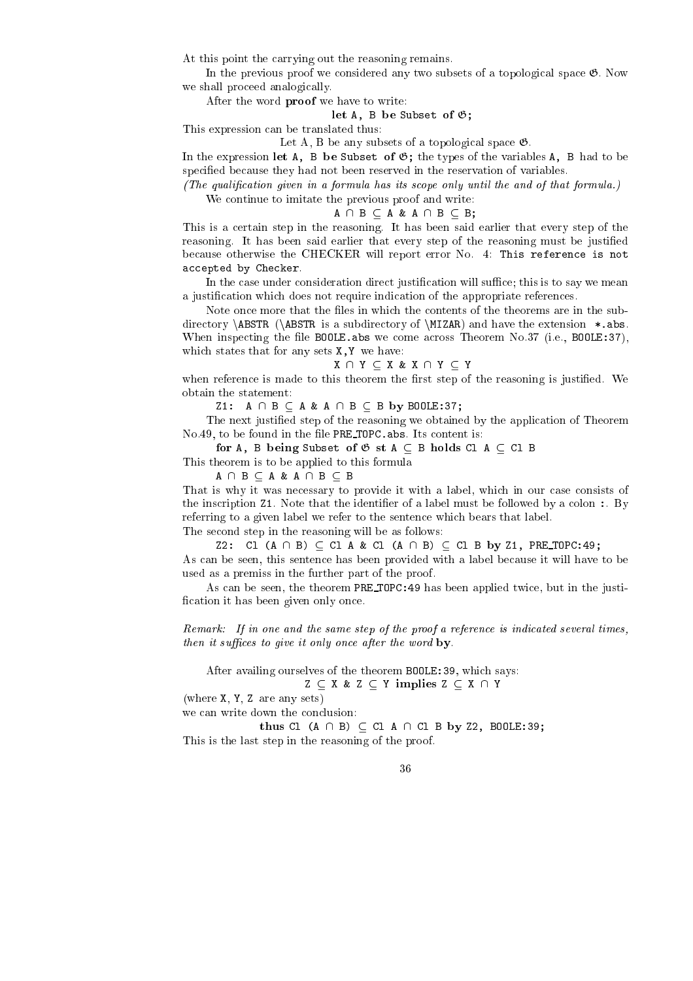At this point the arrying out the reasoning remains.

In the previous proof we considered any two subsets of a topological space  $\mathfrak{G}$ . Now we shall proceed analogically.

After the word proof we have to write:

let  $A$  be subset of  $B$  be Subset of G;  $B$  be Subset of G;  $B$ 

This expression an be translated thus:

Let A, B be any subsets of a topological space  $\mathfrak{G}$ .

In the expression let A, B be Subset of  $\mathfrak{G}$ ; the types of the variables A, B had to be specified because they had not been reserved in the reservation of variables.

(The qualification given in a formula has its scope only until the and of that formula.)

We continue to imitate the previous proof and write:

 $A \cap B \subset A \& A \cap B \subset B;$ 

This is a ertain step in the reasoning. It has been said earlier that every step of the reasoning. It has been said earlier that every step of the reasoning must be justied be
ause otherwise the CHECKER will report error No. 4: This referen
e is not accepted by Checker.

In the case under consideration direct justification will suffice; this is to say we mean a justification which does not require indication of the appropriate references.

Note once more that the files in which the contents of the theorems are in the subdirectory \ABSTR (\ABSTR is a subdirectory of \MIZAR) and have the extension \*.abs. When inspecting the file BOOLE. abs we come across Theorem No.37 (i.e., BOOLE: 37), which states that for any sets  $X, Y$  we have:

 $X \cap Y \subseteq X \& X \cap Y \subseteq Y$ 

when reference is made to this theorem the first step of the reasoning is justified. We obtain the statement:

Z1:  $A \cap B \subseteq A \& A \cap B \subseteq B$  by BOOLE:37;

The next justied step of the reasoning we obtained by the appli
ation of Theorem No. 49, to be found in the file PRE TOPC. abs. Its content is:

for A, B being Subset of <sup>G</sup> st A B holds Cl A Cl B

This theorem is to be applied to this formula

 $A \cap B \subseteq A \& A \cap B \subseteq B$ 

That is why it was necessary to provide it with a label, which in our case consists of the inscription Z1. Note that the identifier of a label must be followed by a colon :. By referring to a given label we refer to the senten
e whi
h bears that label.

The second step in the reasoning will be as follows:

Z2: Cl  $(A \cap B) \subset C1$  A & Cl  $(A \cap B) \subset C1$  B by Z1, PRE TOPC:49; As an be seen, this senten
e has been provided with a label be
ause it will have to be used as a premiss in the further part of the proof.

As can be seen, the theorem PRE TOPC: 49 has been applied twice, but in the justification it has been given only once.

Remark: If in one and the same step of the proof a reference is indicated several times, then it suffices to give it only once after the word by.

After availing ourselves of the theorem BOOLE:39, whi
h says:  $Z \subset X \& Z \subset Y$  implies  $Z \subset X \cap Y$ 

(where X, Y, Z are any sets)

we can write down the conclusion:

thus Cl (A  $\rightarrow$  )  $\rightarrow$  2.59; and  $\rightarrow$  2.59; and 2.59; and 2.59; and 2.59; and 2.59; and 2.59; and 2.59; and 2.59; and 2.59; and 2.59; and 2.59; and 2.59; and 2.59; and 2.59; and 2.59; and 2.59; and 2.59; and 2.59; and 2.59

This is the last step in the reasoning of the proof.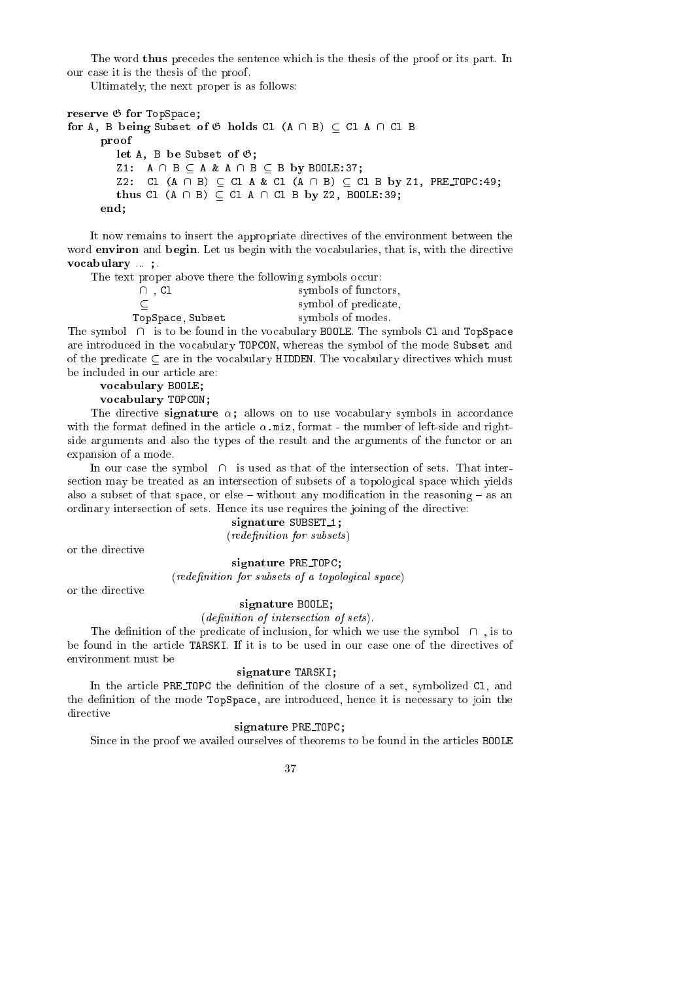The word thus precedes the sentence which is the thesis of the proof or its part. In our ase it is the thesis of the proof.

Ultimately, the next proper is as follows:

```
reserve G for TopSpa
e;
for A, B being Subset of G holds Cl (A \ B)  Cl A \ Cl B
       proof
          let A, B be Subset of G;
          Z1: A \cap B \subseteq A \& A \cap B \subseteq B by BOOLE:37;
          Z2: Cl (A \cap B) \subset C1 A & Cl (A \cap B) \subset C1 B by Z1, PRE TOPC:49;
          thus Cl (A \rightarrow ) \rightarrow 39; A \rightarrow 20; A \rightarrow 22, Boole:39;
      end;
```
It now remains to insert the appropriate dire
tives of the environment between the word environ and begin. Let us begin with the vocabularies, that is, with the directive vo
abulary ... ;.

The text proper above there the following symbols occur:

| $\cap$ , Cl      | symbols of functors, |
|------------------|----------------------|
|                  | symbol of predicate, |
| TopSpace, Subset | symbols of modes.    |
|                  |                      |

The symbol  $\cap$  is to be found in the vocabulary BOOLE. The symbols C1 and TopSpace are introdu
ed in the vo
abulary TOPCON, whereas the symbol of the mode Subset and of the predicate  $\subseteq$  are in the vocabulary HIDDEN. The vocabulary directives which must be in
luded in our arti
le are:

 $\sim$  and  $\sim$  abundance;  $\sim$  and  $\sim$  and  $\sim$ 

vo
abulary TOPCON;

The directive **signature**  $\alpha$ ; allows on to use vocabulary symbols in accordance with the format defined in the article  $\alpha$  miz, format - the number of left-side and rightside arguments and also the types of the result and the arguments of the functor or an expansion of a mode.

In our case the symbol  $\cap$  is used as that of the intersection of sets. That intersection may be treated as an intersection of subsets of a topological space which vields also a subset of that space, or else  $-$  without any modification in the reasoning  $-$  as an ordinary intersection of sets. Hence its use requires the joining of the directive:

### signature subset in the subset of  $\mathcal{L}_{\mathcal{A}}$

(redenition for subsets)

or the directive

### signature PRE TOPC;

(redefinition for subsets of a topological space)

or the directive

### signature Bookstadt, i

### (definition of intersection of sets).

The definition of the predicate of inclusion, for which we use the symbol  $\cap$ , is to be found in the article TARSKI. If it is to be used in our case one of the directives of environment must be

### signature Tarskinstein,

In the article PRE\_TOPC the definition of the closure of a set, symbolized C1, and the definition of the mode TopSpace, are introduced, hence it is necessary to join the directive

### signature Pressure Pressure

Since in the proof we availed ourselves of theorems to be found in the articles BOOLE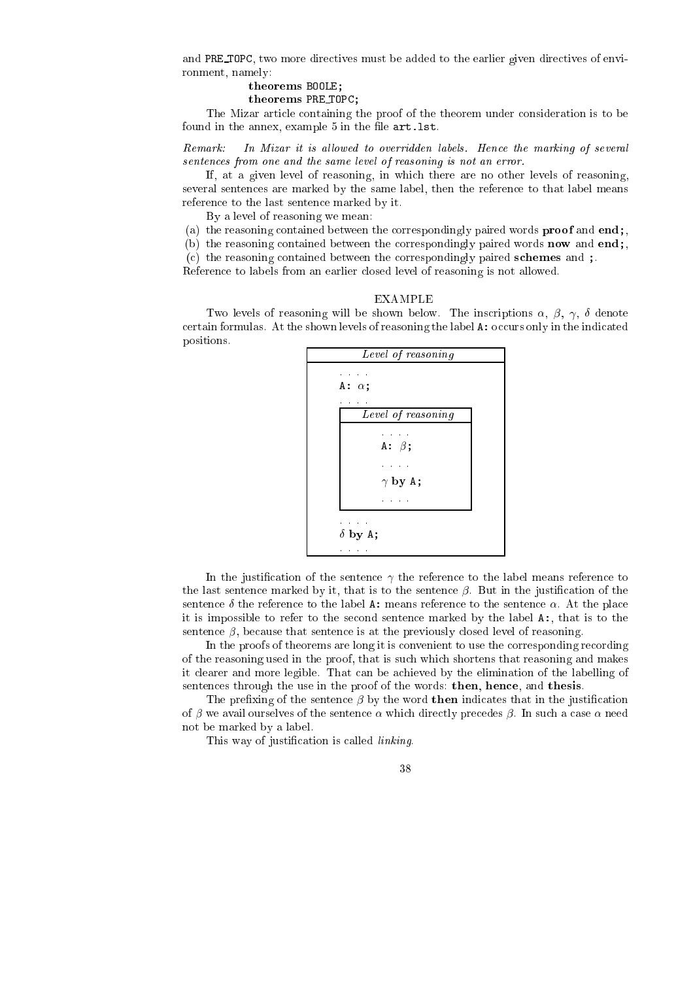and PRE\_TOPC, two more directives must be added to the earlier given directives of environment, namely:

### $\mathbf{B}$

 $\blacksquare$ 

The Mizar arti
le ontaining the proof of the theorem under onsideration is to be found in the annex, example  $5$  in the file  $art.$  lst.

Remark: In Mizar it is allowed to overridden labels. Hence the marking of several sentences from one and the same level of reasoning is not an error.

If, at a given level of reasoning, in whi
h there are no other levels of reasoning, several sentences are marked by the same label, then the reference to that label means referen
e to the last senten
e marked by it.

By a level of reasoning we mean:

(a) the reasoning ontained between the orrespondingly paired words proof and end;,

(b) the reasoning contained between the correspondingly paired words **now** and end;

(
) the reasoning ontained between the orrespondingly paired s
hemes and ;.

Reference to labels from an earlier closed level of reasoning is not allowed.

### EXAMPLE

Two levels of reasoning will be shown below. The inscriptions  $\alpha$ ,  $\beta$ ,  $\gamma$ ,  $\delta$  denote certain formulas. At the shown levels of reasoning the label  $\Lambda$ : occurs only in the indicated positions.



In the justification of the sentence  $\gamma$  the reference to the label means reference to the last sentence marked by it, that is to the sentence  $\beta$ . But in the justification of the sentence  $\delta$  the reference to the label A: means reference to the sentence  $\alpha$ . At the place it is impossible to refer to the se
ond senten
e marked by the label A:, that is to the sentence  $\beta$ , because that sentence is at the previously closed level of reasoning.

In the proofs of theorems are long it is convenient to use the corresponding recording of the reasoning used in the proof, that is su
h whi
h shortens that reasoning and makes it learer and more legible. That an be a
hieved by the elimination of the labelling of sentences through the use in the proof of the words: then, hence, and thesis.

The prefixing of the sentence  $\beta$  by the word **then** indicates that in the justification of  $\beta$  we avail ourselves of the sentence  $\alpha$  which directly precedes  $\beta$ . In such a case  $\alpha$  need not be marked by a label.

This way of justification is called *linking*.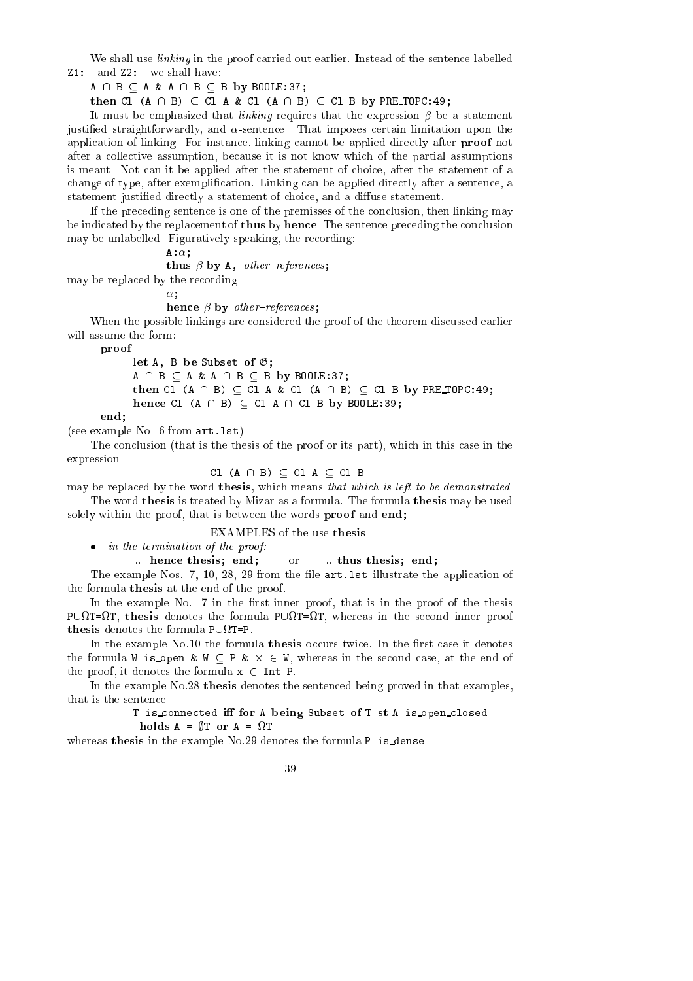We shall use *linking* in the proof carried out earlier. Instead of the sentence labelled Z1: and Z2: we shall have:

 $A \cap B \subseteq A \& A \cap B \subseteq B$  by BOOLE:37;

then Cl (A \ B) Cl A & Cl (A \ B) Cl B by PRE TOPC:49;

It must be emphasized that *linking* requires that the expression  $\beta$  be a statement justified straightforwardly, and  $\alpha$ -sentence. That imposes certain limitation upon the application of linking. For instance, linking cannot be applied directly after **proof** not after a olle
tive assumption, be
ause it is not know whi
h of the partial assumptions is meant. Not can it be applied after the statement of choice, after the statement of a change of type, after exemplification. Linking can be applied directly after a sentence, a statement justified directly a statement of choice, and a diffuse statement.

If the pre
eding senten
e is one of the premisses of the on
lusion, then linking may be indicated by the replacement of **thus** by **hence**. The sentence preceding the conclusion may be unlabelled. Figuratively speaking, the recording:

 $A:\alpha$ :

the set of the state of the state of the set of the set of the set of the set of the set of the set of the set

may be repla
ed by the re
ording:

 $\alpha$ ;

e en een van die beskryp oorspele in die beskryp oorspele van die beskryp oorspele van die beskryp oorspele van die beskryp oorspele van die beskryp oorspele van die beskryp oorspele van die beskryp oorspele van die beskry

When the possible linkings are considered the proof of the theorem discussed earlier will assume the form:

proof

let A, B be Subset of G;

 $A \cap B \subseteq A \& A \cap B \subseteq B$  by BOOLE:37; then Cl (A \ B) Cl <sup>A</sup> & Cl (A \ B) Cl <sup>B</sup> by PRE TOPC:49;

end;

(see example No. 6 from art.lst)

The conclusion (that is the thesis of the proof or its part), which in this case in the expression

hence Cl (A  $\beta$  by Boole:39; and Boole:39; and Boole:39; and Boole:39; and Boole:39; and Boole:39; and Boole:39; and Boole:39; and Boole:39; and Boole:39; and Boole:39; and Boole:39; and Boole:39; and Boole:39; and Boole:

Cl  $(A \cap B) \subseteq C1$   $A \subseteq C1$  B

may be replaced by the word **thesis**, which means that which is left to be demonstrated. The word thesis is treated by Mizar as a formula. The formula thesis may be used solely within the proof, that is between the words **proof** and **end**; .

### EXAMPLES of the use thesis

in the termination of the proof:

... hence thesis; end; or ... thus thesis; end;

The example Nos. 7, 10, 28, 29 from the file art. 1st illustrate the application of the formula thesis at the end of the proof.

In the example No. 7 in the first inner proof, that is in the proof of the thesis P[ T= T, thesis denotes the formula P[ T= T, whereas in the se
ond inner proof

In the example No.10 the formula thesis occurs twice. In the first case it denotes the formula W is open by the second who who where the second conduction in the second complete the second of t the proof, it denotes the formula  $x \in Int$  P.

In the example No.28 thesis denotes the senten
ed being proved in that examples, that is the senten
e

> T is\_connected iff for A being Subset of T st A is\_open\_closed holds A = ;T or A = T

whereas thesis in the example No.29 denotes the formula P is dense.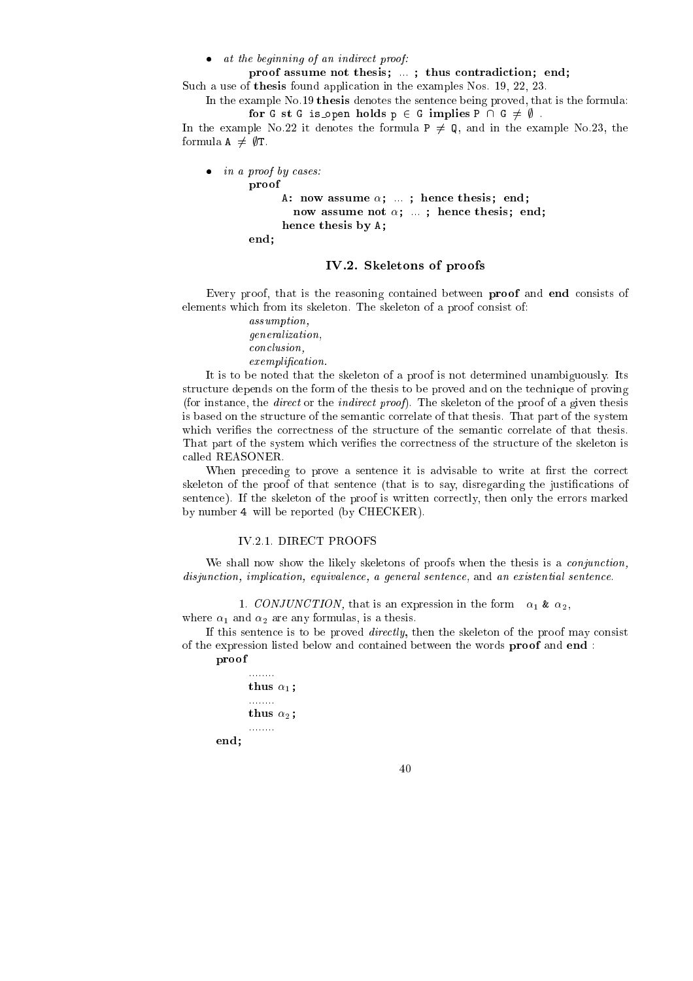at the beginning of an indire
t proof:

proof assume not the interest of the sister assume not the interest of the sister and the interest of the interest of the interest of the interest of the interest of the interest of the interest of the interest of the inte

Such a use of thesis found application in the examples Nos. 19, 22, 23.

In the example No.19 thesis denotes the senten
e being proved, that is the formula: for G st G is open holds <sup>p</sup> <sup>2</sup> <sup>G</sup> implies <sup>P</sup> \ <sup>G</sup> 6= ; .

In the example No.22 it denotes the formula  $P \neq Q$ , and in the example No.23, the formula  $A \neq \emptyset$ T.

```
 in a proof by 
ases:
         proof
                A: now assume \alpha; ...; hence thesis; end;
                   e these these is a set \alpha ; and \beta is a set \alpha is a set of \alphahen
e thesis by A;
        end;
```
### IV.2. Skeletons of proofs

Every proof, that is the reasoning contained between **proof** and end consists of elements which from its skeleton. The skeleton of a proof consist of:

> assumption, generalization, on
> lusion, exemplification.

It is to be noted that the skeleton of a proof is not determined unambiguously. Its structure depends on the form of the thesis to be proved and on the technique of proving (for instance, the *direct* or the *indirect proof*). The skeleton of the proof of a given thesis is based on the structure of the semantic correlate of that thesis. That part of the system which verifies the correctness of the structure of the semantic correlate of that thesis. That part of the system which verifies the correctness of the structure of the skeleton is alled REASONER.

When preceding to prove a sentence it is advisable to write at first the correct skeleton of the proof of that sentence (that is to say, disregarding the justifications of sentence). If the skeleton of the proof is written correctly, then only the errors marked by number 4 will be reported (by CHECKER).

### IV.2.1. DIRECT PROOFS

We shall now show the likely skeletons of proofs when the thesis is a *conjunction*, disjunction, implication, equivalence, a general sentence, and an existential sentence.

1. CONJUNCTION, that is an expression in the form  $\alpha_1 \& \alpha_2$ , where  $\alpha_1$  and  $\alpha_2$  are any formulas, is a thesis.

If this sentence is to be proved *directly*, then the skeleton of the proof may consist of the expression listed below and ontained between the words proof and end :

### proof

end;

........ thus 1; ........ thus 2; ........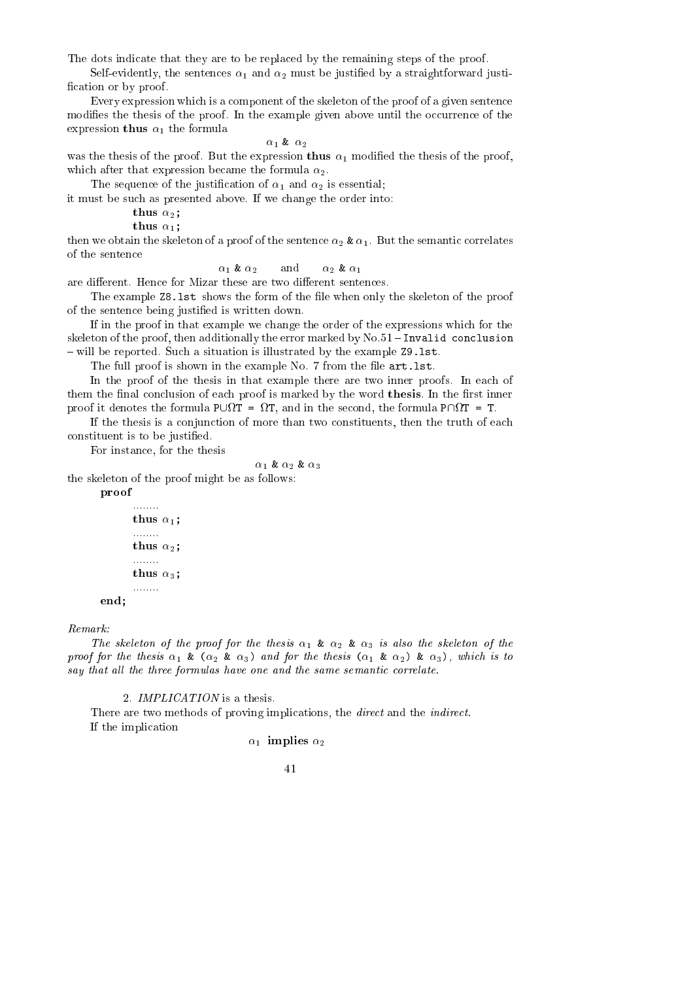The dots indicate that they are to be replaced by the remaining steps of the proof.

Self-evidently, the sentences  $\alpha_1$  and  $\alpha_2$  must be justified by a straightforward justification or by proof.

Every expression which is a component of the skeleton of the proof of a given sentence modifies the thesis of the proof. In the example given above until the occurrence of the expression thus  $\alpha_1$  the formula

### $\alpha_1$  &  $\alpha_2$

was the thesis of the proof. But the expression thus  $\alpha_1$  modified the thesis of the proof, which after that expression became the formula  $\alpha_2$ .

The sequence of the justification of  $\alpha_1$  and  $\alpha_2$  is essential;

it must be su
h as presented above. If we hange the order into:

thus 2;

thus 1;

then we obtain the skeleton of a proof of the sentence  $\alpha_2 \& \alpha_1$ . But the semantic correlates of the senten
e

 $\alpha_1$  &  $\alpha_2$  and  $\alpha_2$  &  $\alpha_1$ 

are different. Hence for Mizar these are two different sentences.

The example  $28.1st$  shows the form of the file when only the skeleton of the proof of the senten
e being justied is written down.

If in the proof in that example we hange the order of the expressions whi
h for the skeleton of the proof, then additionally the error marked by  $No.51$  -Invalid conclusion - will be reported. Such a situation is illustrated by the example Z9.1st.

The full proof is shown in the example No. 7 from the file art. 1st.

In the proof of the thesis in that example there are two inner proofs. In each of them the final conclusion of each proof is marked by the word thesis. In the first inner proof it denotes the formula Parts . They went for the secondary the formula Poles . The second

If the thesis is a onjun
tion of more than two onstituents, then the truth of ea
h constituent is to be justified.

For instan
e, for the thesis

 $\alpha_1$  &  $\alpha_2$  &  $\alpha_3$ 

the skeleton of the proof might be as follows:

proof

```
. . . . . . . .
thus 1;
. . . . . . . .
\cdots \cdots \cdots........
thus 3;
........
```
### $Remark:$

end;

The skeleton of the proof for the thesis  $\alpha_1 \& \alpha_2 \& \alpha_3$  is also the skeleton of the proof for the thesis  $\alpha_1 \& (\alpha_2 \& \alpha_3)$  and for the thesis  $(\alpha_1 \& \alpha_2) \& \alpha_3$ , which is to say that all the three formulas have one and the same semantic correlate.

2. IMPLICATION is a thesis.

There are two methods of proving implications, the *direct* and the *indirect*. If the impli
ation

 $\alpha_1$  implies  $\alpha_2$ 

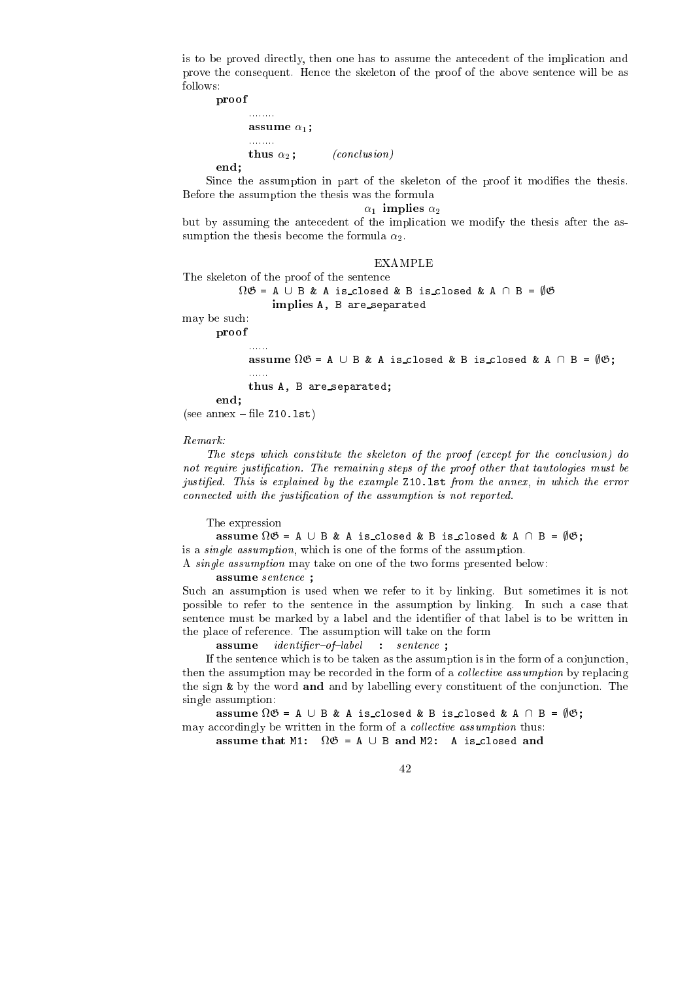is to be proved dire
tly, then one has to assume the ante
edent of the impli
ation and prove the onsequent. Hen
e the skeleton of the proof of the above senten
e will be as follows:

provided a series of the contract of the contract of the contract of the contract of the contract of

end;

assume 1; thus  $\alpha_2$ ; (*conclusion*)

Since the assumption in part of the skeleton of the proof it modifies the thesis. Before the assumption the thesis was the formula

 $\alpha_1$  implies  $\alpha_2$ 

but by assuming the antecedent of the implication we modify the thesis after the assumption the thesis become the formula  $\alpha_2$ .

### **EXAMPLE**

The skeleton of the proof of the senten
e

```

G = A [ B & A is 
losed & B is 
losed & A \ B = ;G
```
implies A, <sup>B</sup> are separated

may be su
h:

proof

assume and  $\alpha$  is the angle  $\alpha$  is the set of  $\alpha$  is the set of  $\alpha$  is the set of  $\alpha$ 

thus A, B are separated;

end;

 $(see an next - file Z10.1st)$ 

......

 $\mathbf{r}$  . The same

Remark:

The steps which constitute the skeleton of the proof (except for the conclusion) do not require justification. The remaining steps of the proof other that tautologies must be justified. This is explained by the example Z10.1st from the annex, in which the error connected with the justification of the assumption is not reported.

The expression

assume that is a finite set of  $B$  is a isomorphism of  $B$  is a isomorphism of  $B$  is a  $\mathcal{G}$ is a single assumption, whi
h is one of the forms of the assumption.

A single assumption may take on one of the two forms presented below:

assume senten
e ;

Su
h an assumption is used when we refer to it by linking. But sometimes it is not possible to refer to the sentence in the assumption by linking. In such a case that sentence must be marked by a label and the identifier of that label is to be written in the pla
e of referen
e. The assumption will take on the form

assume $\emph{identifier-of-label}$  : sentence;

If the sentence which is to be taken as the assumption is in the form of a conjunction, then the assumption may be recorded in the form of a *collective assumption* by replacing the sign  $\&$  by the word and and by labelling every constituent of the conjunction. The single assumption:

assume the angle  $\alpha$  is the set of the set of  $\alpha$  is the set of  $\alpha$  is a set of  $\alpha$ may accordingly be written in the form of a *collective assumption* thus:

assume that M1: A is a fact that M1: A is a fact that M1: A is a fact that M1: A is a fact that M1: A is a fact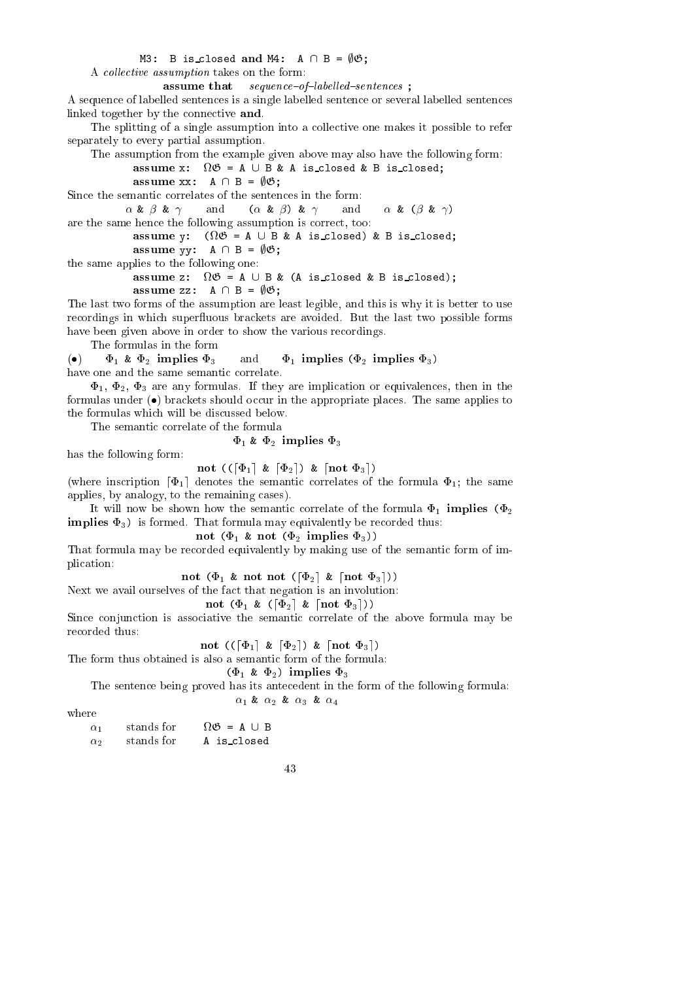### M3: B is\_closed and M4:  $A \cap B = \emptyset \mathfrak{G}$ ;

A *collective assumption* takes on the form:

assume $sequence-of-labelled-sentences$ ;

A sequen
e of labelled senten
es is a single labelled senten
e or several labelled senten
es linked together by the connective and.

The splitting of a single assumption into a collective one makes it possible to refer separately to every partial assumption.

The assumption from the example given above may also have the following form:

assume x: <sup>G</sup> <sup>=</sup> <sup>A</sup> [ <sup>B</sup> & <sup>A</sup> is losed & B is losed;

assume  $\mathbb{R}^n$  assume  $\mathbb{R}^n$  assume  $\mathbb{R}^n$  assume  $\mathbb{R}^n$  assume  $\mathbb{R}^n$ 

Since the semantic correlates of the sentences in the form:

 $\alpha \& \beta \& \gamma$  and  $(\alpha \& \beta) \& \gamma$  and  $\alpha \& (\beta \& \gamma)$ and are the same hen
e the following assumption is orre
t, too:

assume y: (... a c = a is a strategy a = an issum assume that  $\mathbf{y}$  ,  $\mathbf{y}$  ,  $\mathbf{y}$  are  $\mathbf{y}$  . The set of  $\mathbf{y}$ 

the same applies to the following one:

assume z: <sup>G</sup> <sup>=</sup> <sup>A</sup> [ <sup>B</sup> & (A is losed & B is losed);

assume zz: A \ B = ;G;

The last two forms of the assumption are least legible, and this is why it is better to use recordings in which superfluous brackets are avoided. But the last two possible forms have been given above in order to show the various recordings.

The formulas in the form

(•)  $\Phi_1$  &  $\Phi_2$  implies  $\Phi_3$  and  $\Phi_1$  implies  $(\Phi_2$  implies  $\Phi_3$ ) have one and the same semantic correlate.

 $\Phi_1$ ,  $\Phi_2$ ,  $\Phi_3$  are any formulas. If they are implication or equivalences, then in the formulas under  $\left( \bullet \right)$  brackets should occur in the appropriate places. The same applies to the formulas which will be discussed below.

The semantic correlate of the formula

 $\Phi_1$  &  $\Phi_2$  implies  $\Phi_3$ 

has the following form:

not ((d) die die datum 3e) <del>da</del>

(where inscription  $\lceil \Phi_1 \rceil$  denotes the semantic correlates of the formula  $\Phi_1$ ; the same applies, by analogy, to the remaining cases).

It will now be shown how the semantic correlate of the formula  $\Phi_1$  implies  $(\Phi_2)$ implies 3) is formed. That formula may equivalently be re
orded thus:

not (1 & not (2 implies 3))

That formula may be re
orded equivalently by making use of the semanti form of impli
ation:

not (1 & not not (d2e & dnot 3e))

Next we avail ourselves of the fact that negation is an involution:

not (1 % (1 % ) and 3e) (2 % ) and 3e)

Since conjunction is associative the semantic correlate of the above formula may be recorded thus:

not ((d) die d2e) aan die deel 3e

The form thus obtained is also a semanti form of the formula:

 $(\Phi_1 \& \Phi_2)$  implies  $\Phi_3$ 

The senten
e being proved has its ante
edent in the form of the following formula:  $\alpha_1$  &  $\alpha_2$  &  $\alpha_3$  &  $\alpha_4$ 

where

| $\alpha_1$ | stands for | $\Omega \mathfrak{G} = A \cup B$ |
|------------|------------|----------------------------------|
| $\alpha_2$ | stands for | A is_closed                      |

$$
^{43}
$$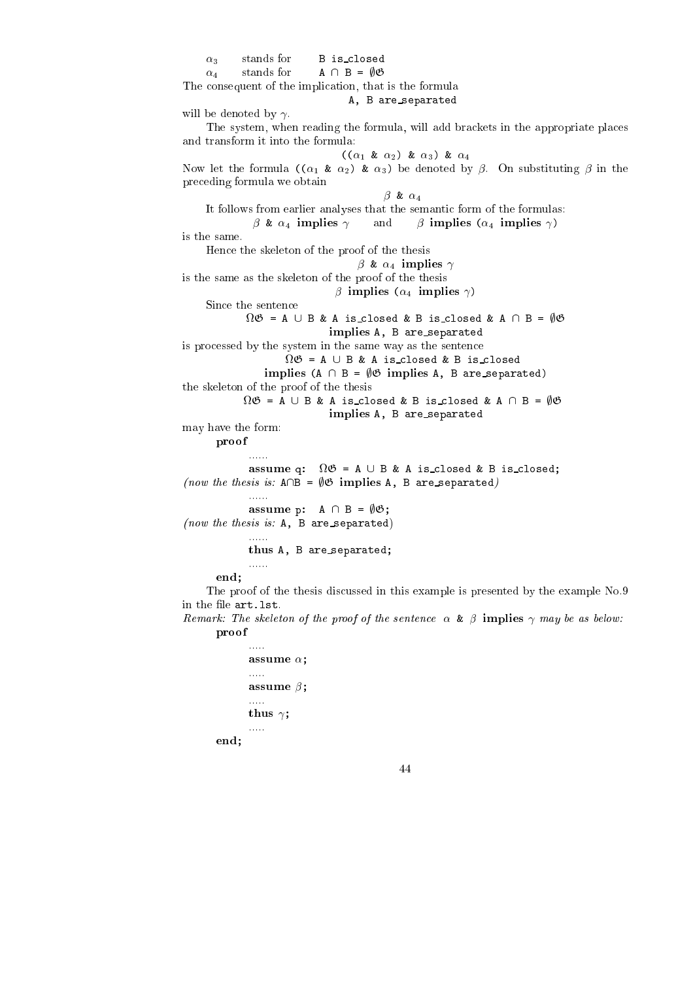3 stands for <sup>B</sup> is losed stands for  $A \cap B = \emptyset \mathfrak{G}$  $\mathcal{L}_{\mathbf{q}}$  , and for a standard for  $\mathcal{L}_{\mathbf{q}}$  , and  $\mathcal{L}_{\mathbf{q}}$  , and  $\mathcal{L}_{\mathbf{q}}$ The consequent of the implication, that is the formula A, B are\_separated will be denoted by  $\gamma$ . The system, when reading the formula, will add bra
kets in the appropriate pla
es and transform it into the formula:  $((\alpha_1 \& \alpha_2) \& \alpha_3) \& \alpha_4$ Now let the formula  $((\alpha_1 \& \alpha_2) \& \alpha_3)$  be denoted by  $\beta$ . On substituting  $\beta$  in the pre
eding formula we obtain  $\beta$  &  $\alpha_4$ It follows from earlier analyses that the semanti form of the formulas:  $\beta$  &  $\alpha_4$  implies  $\gamma$  and  $\beta$  implies  $(\alpha_4$  implies  $\gamma)$ is the same. Hen
e the skeleton of the proof of the thesis  $\beta$  &  $\alpha_4$  implies  $\gamma$ is the same as the skeleton of the proof of the thesis  $\beta$  implies ( $\alpha_4$  implies  $\gamma$ ) Sin
e the senten
e <sup>G</sup> = A [ B & A is losed & B is losed & A \ B = ;G implies A, B are separated is pro
essed by the system in the same way as the senten
e implies (A \ <sup>B</sup> <sup>=</sup> ;G implies A, <sup>B</sup> are separated) the skeleton of the proof of the thesis <sup>G</sup> <sup>=</sup> <sup>A</sup> [ <sup>B</sup> & <sup>A</sup> is losed & B is losed & A \ B = ;G implies A, B are separated may have the form: provided a series of the contract of the contract of the contract of the contract of the contract of assume q: A is a construction of the B is a state of the B is a state of the B is a state of the B is a state o (now the thesis is:  $A \cap B = \emptyset \mathfrak{G}$  implies A, B are separated) ...... assume that  $\mathbf{F}$  is a set of  $\mathbf{F}$  is a set of  $\mathbf{F}$ (now the thesis is:  $A$ ,  $B$  are separated) ...... thus A, B are separated; end; The proof of the thesis discussed in this example is presented by the example  $No.9$ in the file art. 1st. Remark: The skeleton of the proof of the sentence  $\alpha \& \beta$  implies  $\gamma$  may be as below:

proof ..... assume ; ..... assume ; ..... thus ; .....

end;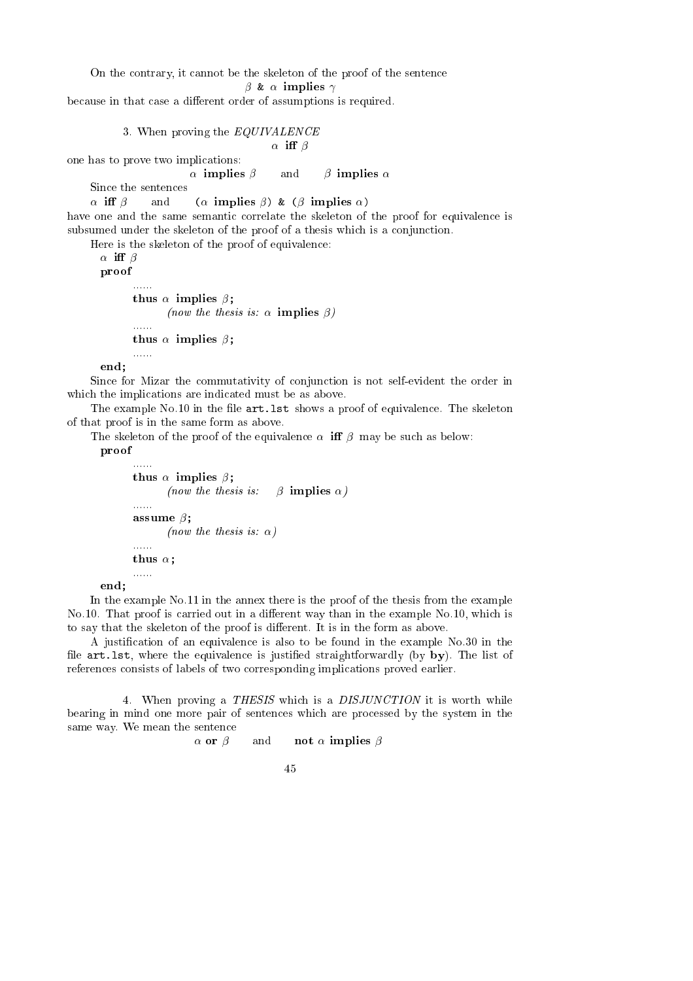### On the contrary, it cannot be the skeleton of the proof of the sentence

```
\beta & \alpha implies \gamma
```
because in that case a different order of assumptions is required.

```
3. When proving the EQUIVALENCE
```

```
\alpha iff \beta
```
 $\alpha$  implies  $\beta$  and  $\beta$  implies  $\alpha$ Since the sentences

one has to prove two impli
ations:

 $\alpha$  iff  $\beta$  and  $(\alpha \text{ implies } \beta)$  &  $(\beta \text{ implies } \alpha)$ 

have one and the same semantic correlate the skeleton of the proof for equivalence is subsumed under the skeleton of the proof of a thesis which is a conjunction.

Here is the skeleton of the proof of equivalen
e:

```
\alpha iff \betaproof
                          t = t is a set of \mathbb{R}^n , \mathbb{R}^n , \mathbb{R}^n(now the thesis is: \alpha implies \beta)
                         ......
                          \mathbf{t} is the set of the set of the set of the set of the set of the set of the set of the set of the set of the set of the set of the set of the set of the set of the set of the set of the set of the set of the set of 
                          . . . . . .
```
end;

Since for Mizar the commutativity of conjunction is not self-evident the order in which the implications are indicated must be as above.

The example No.10 in the file  $art last$  shows a proof of equivalence. The skeleton of that proof is in the same form as above.

The skeleton of the proof of the equivalence  $\alpha$  iff  $\beta$  may be such as below:

proof

```
......
\mathbf{t} is the set of the set of the set of the set of the set of the set of the set of the set of the set of the set of the set of the set of the set of the set of the set of the set of the set of the set of the set of 
                   (now the thesis is: \beta implies \alpha)
......
assume ;
                   (now the thesis is: \alpha)
thus ;
```
end: end; and the contract of the contract of the contract of the contract of the contract of the contract of the contract of the contract of the contract of the contract of the contract of the contract of the contract of the c

In the example No.11 in the annex there is the proof of the thesis from the example No.10. That proof is carried out in a different way than in the example No.10, which is to say that the skeleton of the proof is different. It is in the form as above.

A justification of an equivalence is also to be found in the example No.30 in the file art.1st, where the equivalence is justified straightforwardly (by by). The list of referen
es onsists of labels of two orresponding impli
ations proved earlier.

4. When proving a THESIS which is a DISJUNCTION it is worth while bearing in mind one more pair of senten
es whi
h are pro
essed by the system in the same way. We mean the senten
e

```
\alpha or \beta and not \alpha implies \beta
```

| I<br>I<br>I |
|-------------|
|             |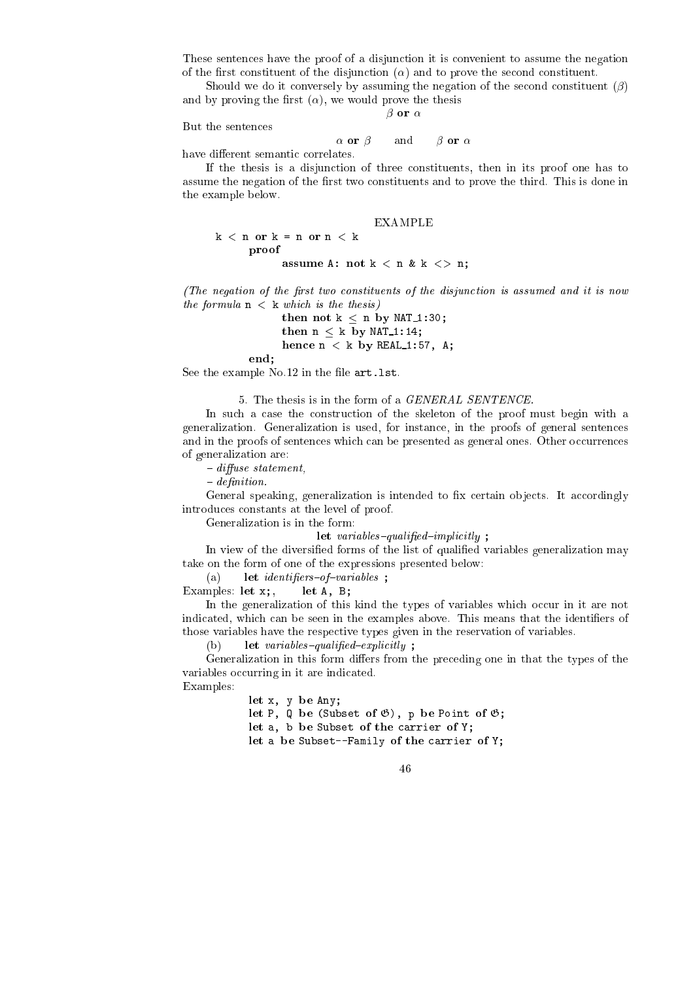These sentences have the proof of a disjunction it is convenient to assume the negation of the first constituent of the disjunction  $(\alpha)$  and to prove the second constituent.

Should we do it conversely by assuming the negation of the second constituent  $(\beta)$ and by proving the first  $(\alpha)$ , we would prove the thesis

 $\beta$  or  $\alpha$ 

But the senten
es

$$
\alpha
$$
 or  $\beta$  and  $\beta$  or  $\alpha$ 

have different semantic correlates.

If the thesis is a disjun
tion of three onstituents, then in its proof one has to assume the negation of the first two constituents and to prove the third. This is done in the example below.

EXAMPLE

 $k < n$  or  $k = n$  or  $n < k$ proof assume a: not k a: not k a: not k a:

(The negation of the first two constituents of the disjunction is assumed and it is now the formula  $n \leq k$  which is the thesis)

> then not known not known in by  $\mathbf{r}$  and  $\mathbf{r}$  is not by NAT 1:30;  $\mathbf{r}$ then <sup>n</sup> <sup>k</sup> by NAT 1:14; hen
> e n <sup>&</sup>lt; k by REAL 1:57, A;

end;

See the example  $No.12$  in the file  $art.1st.$ 

5. The thesis is in the form of a GENERAL SENTENCE.

In such a case the construction of the skeleton of the proof must begin with a generalization. Generalization is used, for instan
e, in the proofs of general senten
es and in the proofs of sentences which can be presented as general ones. Other occurrences of generalization are:

 $-$  diffuse statement.

 $-$  definition.

General speaking, generalization is intended to fix certain objects. It accordingly introdu
es onstants at the level of proof.

Generalization is in the form:

se en en en een genooigen en een persoon geg

In view of the diversified forms of the list of qualified variables generalization may take on the form of one of the expressions presented below:

(a) let identifiers-of-variables;

Examples: let x;, let A, B;

In the generalization of this kind the types of variables which occur in it are not indicated, which can be seen in the examples above. This means that the identifiers of those variables have the respe
tive types given in the reservation of variables.

 $let \ variables-quality$ ;  $(b)$ 

Generalization in this form differs from the preceding one in that the types of the variables occurring in it are indicated.

Examples:

let x, y be Any; let P, Q be (Subset of G), p be Point of G; let a, b be Subset of the Subset of the Subset of the Subset of the Subset of the Subset of the Subset of the let a be Subset--Family of the arrier of Y;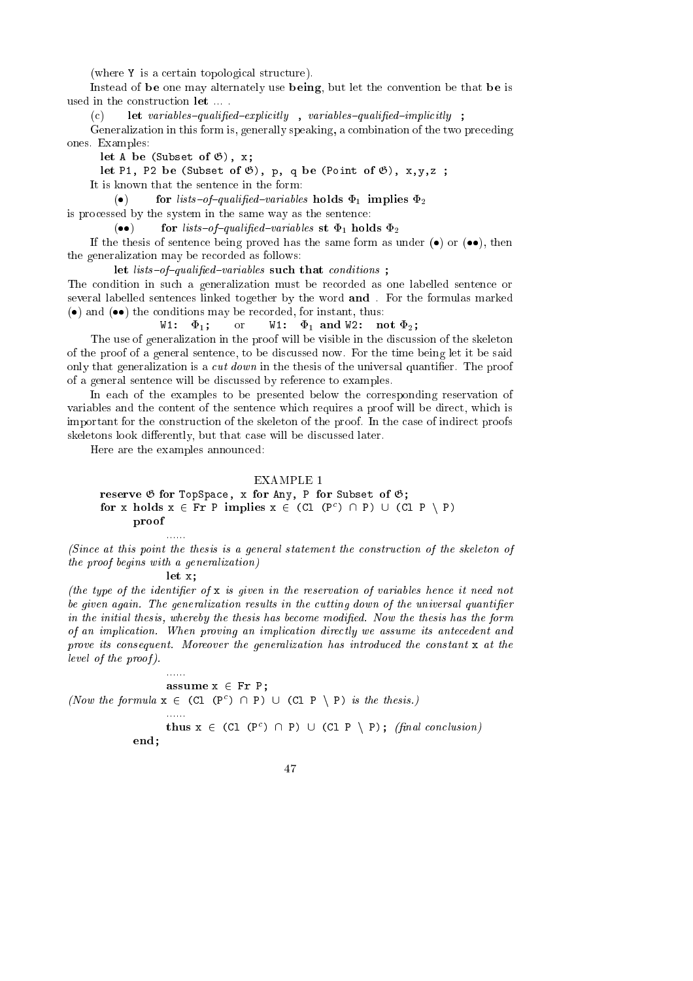(where Y is a certain topological structure).

Instead of be one may alternately use being, but let the onvention be that be is used in the construction **let** ....

 $\textbf{let } variables\textit{-qualified}-explicitly \quad ,\ variables\textit{-qualified}-implicitly \quad ;$  $(c)$ 

Generalization in this form is, generally speaking, a combination of the two preceding ones. Examples:

let A be (Subset of G), x;

let P1, P2 be (Subset of G), p, q be (Point of G), x,y,z ;

It is known that the senten
e in the form:

 $\bullet$ for lists-of-qualified-variables holds  $\Phi_1$  implies  $\Phi_2$ 

is pro
essed by the system in the same way as the senten
e:

 $( \bullet \bullet )$ for lists-of-qualified-variables st  $\Phi_1$  holds  $\Phi_2$ 

If the thesis of sentence being proved has the same form as under  $(\bullet)$  or  $(\bullet\bullet)$ , then the generalization may be re
orded as follows:

let lists{of{qualied{variables su
h that onditions ;

The ondition in su
h a generalization must be re
orded as one labelled senten
e or several labelled senten
es linked together by the word and . For the formulas marked  $\bullet$  and  $\bullet$  the conditions may be recorded, for instant, thus:

W1:  $\Phi_1$ ; or W1:  $\Phi_1$  and W2: not  $\Phi_2$ ;

The use of generalization in the proof will be visible in the discussion of the skeleton of the proof of a general senten
e, to be dis
ussed now. For the time being let it be said only that generalization is a  $cut down$  in the thesis of the universal quantifier. The proof of a general senten
e will be dis
ussed by referen
e to examples.

In ea
h of the examples to be presented below the orresponding reservation of variables and the content of the sentence which requires a proof will be direct, which is important for the onstru
tion of the skeleton of the proof. In the ase of indire
t proofs skeletons look differently, but that case will be discussed later.

Here are the examples announ
ed:

### **EXAMPLE 1**

### reserve G for Any, P for Any, P for Any, P for Any, P for Any, P for Any, P for Any, P for Any, P for Any, P for for x holds  $x \in Fr$  P implies  $x \in (C_1 \cup (P^*) \cup P) \cup (C_1 \cup P \cup P)$ proof

(Since at this point the thesis is a general statement the construction of the skeleton of the proof begins with a generalization)

let x;

(the type of the identifier of  $x$  is given in the reservation of variables hence it need not be given again. The generalization results in the cutting down of the universal quantifier in the initial thesis, whereby the thesis has become modified. Now the thesis has the form of an implication. When proving an implication directly we assume its antecedent and prove its consequent. Moreover the generalization has introduced the constant x at the level of the proof ).

assume x 2 Fr P; (*Now the formula*  $x \in (C_1 \cup P) \cup (C_1 \cap P)$  is the thesis.) thus  $x \in (C_1 \cup C_2) \cup (C_1 \cup C_2) \cup (C_1 \cup C_2)$ ; (final conclusion) end;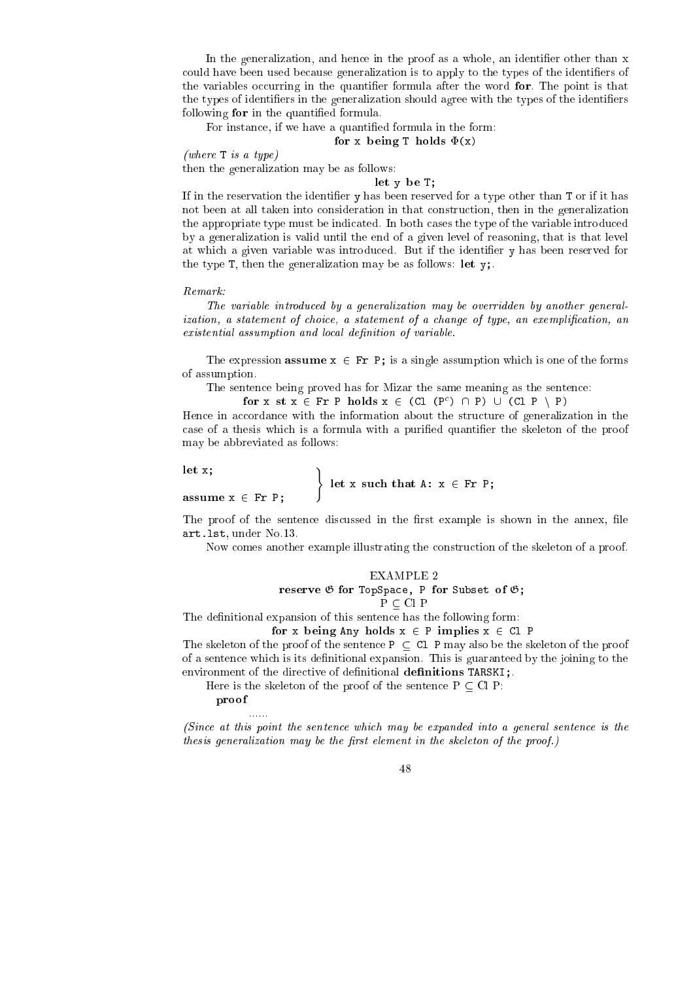In the generalization, and hence in the proof as a whole, an identifier other than x could have been used because generalization is to apply to the types of the identifiers of the variables occurring in the quantifier formula after the word for. The point is that the types of identifiers in the generalization should agree with the types of the identifiers following for in the quantied formula.

For instance, if we have a quantified formula in the form:

### for x being T holds (x)

### (where T is a type)

then the generalization may be as follows:

### let y be T;

If in the reservation the identifier y has been reserved for a type other than T or if it has not been at all taken into onsideration in that onstru
tion, then in the generalization the appropriate type must be indicated. In both cases the type of the variable introduced by a generalization is valid until the end of a given level of reasoning, that is that level at which a given variable was introduced. But if the identifier y has been reserved for the type T, then the generalization may be as follows: let  $y$ ;

### $Remark:$

The variable introdu
ed by a generalization may be overridden by another generalization, a statement of choice, a statement of a change of type, an exemplification, an existential assumption and local definition of variable.

The expression **assume**  $x \in Fr$  P; is a single assumption which is one of the forms of assumption.

The sentence being proved has for Mizar the same meaning as the sentence:

 $\text{for } x \text{ s.t } x \in \text{r}$  P  $\text{no}$   $\text{as } x \in (\text{c.t } (\text{P}') \sqcup \text{P}) \cup (\text{c.t } \text{P} \setminus \text{P})$ 

Hence in accordance with the information about the structure of generalization in the case of a thesis which is a formula with a purified quantifier the skeleton of the proof may be abbreviated as follows:

 $let x;$  )

assume x <sup>2</sup> Fr P;

let  $\mathbf x$  such a subset  $\mathbf x$  from  $\mathbf x$  that A:  $\mathbf x$   $\mathbf x$   $\mathbf x$   $\mathbf x$   $\mathbf x$ 

The proof of the sentence discussed in the first example is shown in the annex, file art.lst, under No.13.

Now omes another example illustrating the onstru
tion of the skeleton of a proof.

### EXAMPLE 2

e, and the subset of the form of the Subset of Subset of Subset of Gas

### $P \subseteq Cl P$

The definitional expansion of this sentence has the following form:

### for x being Any holds x <sup>2</sup> P implies x <sup>2</sup> Cl P

The skeleton of the proof of the sentence  $P \subset Cl$  P may also be the skeleton of the proof of a sentence which is its definitional expansion. This is guaranteed by the joining to the environment of the directive of definitional definitions TARSKI;

Here is the skeleton of the proof of the sentence  $P \subset Cl$  P:

### provided a series of the contract of the contract of the contract of the contract of the contract of

(Since at this point the sentence which may be expanded into a general sentence is the thesis generalization may be the first element in the skeleton of the proof.)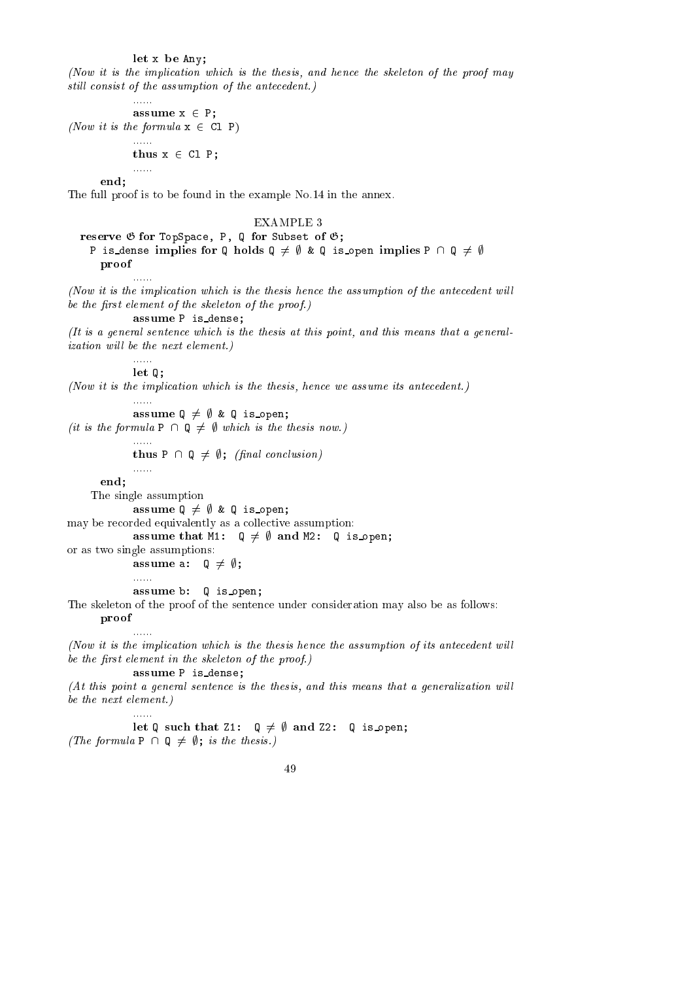$\mathbf{b}$ 

(Now it is the implication which is the thesis, and hence the skeleton of the proof may still consist of the assumption of the antecedent.)

assume x <sup>2</sup> P; (Now it is the formula  $x \in CL$  P)

......

iliana.

thus x <sup>2</sup> Cl P;

end;

The full proof is to be found in the example No.14 in the annex.

### EXAMPLE 3

reserve <sup>G</sup> for TopSpa
e, P, Q for Subset of G; P is dense implies for Q holds  $Q \neq \emptyset$  & Q is open implies P  $\cap$  Q  $\neq \emptyset$ proof

(Now it is the implication which is the thesis hence the assumption of the antecedent will be the first element of the skeleton of the proof.)

assume P is dense;

(It is a general senten
e whi
h is the thesis at this point, and this means that a general*ization will be the next element.*)

> ...... let Q;

......

(Now it is the implication which is the thesis, hence we assume its antecedent.)

assume <sup>Q</sup> 6= ; & <sup>Q</sup> is open;

(it is the formula  $P \cap Q \neq \emptyset$  which is the thesis now.)

thus P \ Q 6= ;; (nal on
lusion)

end;

The single assumption

assume <sup>Q</sup> 6= ; & <sup>Q</sup> is open;

may be recorded equivalently as a collective assumption:

assume that M1: Q 6:  $\alpha$  6:  $\alpha$  6:  $\alpha$  and  $\alpha$  is open; and M2: Q is open; and M2: Q is open; and M2: Q is open; and M2: Q is open; and M2: Q is open; and M2: Q is open; and M2: Q is open; and M2: Q is open; and M2: Q

or as two single assumptions:

assume a: Q 6= ;; ......

assume b: Q is open;

The skeleton of the proof of the sentence under consideration may also be as follows:

#### proof ......

(Now it is the implication which is the thesis hence the assumption of its antecedent will be the first element in the skeleton of the proof.)

assume P is dense;

(At this point a general sentence is the thesis, and this means that a generalization will be the next element.)

let Q su
h that Z1: Q 6= ; and Z2: Q is open; (The formula P  $\cap$  Q  $\neq$   $\emptyset$ ; is the thesis.)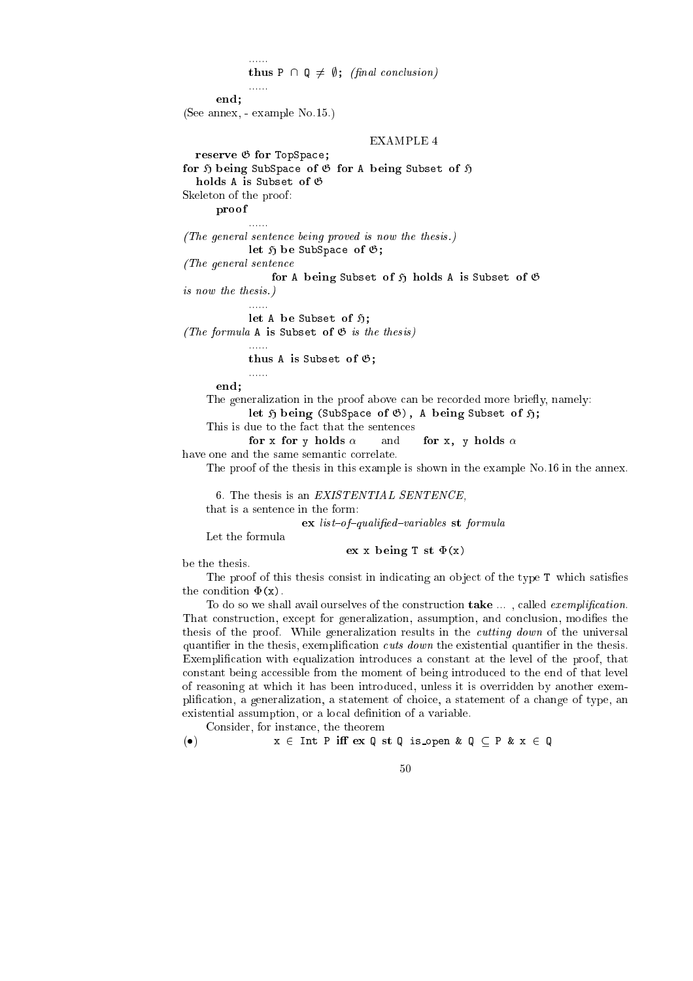### $\mathcal{L}$  is proposed to the set of  $\mathcal{L}$  is the set of  $\mathcal{L}$

```
end:
```
end; and the contract of the contract of the contract of the contract of the contract of the contract of the contract of the contract of the contract of the contract of the contract of the contract of the contract of the c

(See annex, - example No.15.)

### EXAMPLE 4

```
reserve G for TopSpa
e;
for H being SubSpa
e of G for A being Subset of H
```
holds A is Subset of <sup>G</sup>

......

Skeleton of the proof:

provided a series of the contract of the contract of the contract of the contract of the contract of

(The general senten
e being proved is now the thesis.)

e of the Subspace of Subspace of the Subspace of the Subspace of the Subspace of the Subspace of the Subspace of the Subspace of the Subspace of the Subspace of the Subspace of the Subspace of the Subspace of the Subspace

(The general sentence

for A being Subset of <sup>H</sup> holds A is Subset of <sup>G</sup>

is now the thesis.)

let A be Subset of H; (The formula A is Subset of  $\mathfrak{G}$  is the thesis)

> ...... thus a is the subset of  $\mathcal{L}$

end;

......

The generalization in the proof above can be recorded more briefly, namely:

e of A), A being (Subset of Subset of A), A being Subset of A),

```
This is due to the fact that the sentences
```
for x for y holds  $\alpha$ and for x, y holds  $\alpha$ 

have one and the same semantic correlate.

The proof of the thesis in this example is shown in the example No.16 in the annex.

```
6. The thesis is an EXISTENTIAL SENTENCE,
```
that is a senten
e in the form:

external expressions states states and provided as

Let the formula

experimentally being the contract of  $\mathbf{x}$ 

be the thesis.

The proof of this thesis consist in indicating an object of the type  $T$  which satisfies the condition  $\Phi(x)$ .

To do so we shall avail ourselves of the construction  $\textbf{take} \dots$ , called *exemplification*. That construction, except for generalization, assumption, and conclusion, modifies the thesis of the proof. While generalization results in the *cutting down* of the universal quantifier in the thesis, exemplification cuts down the existential quantifier in the thesis. Exemplification with equalization introduces a constant at the level of the proof, that constant being accessible from the moment of being introduced to the end of that level of reasoning at whi
h it has been introdu
ed, unless it is overridden by another exemplification, a generalization, a statement of choice, a statement of a change of type, an existential assumption, or a local definition of a variable.

Consider, for instan
e, the theorem

```
(\bullet) x \in \text{Int } P \text{ iff } \text{ex } Q \text{ st } Q \text{ is\_open } \& Q \subseteq P \& x \in Q
```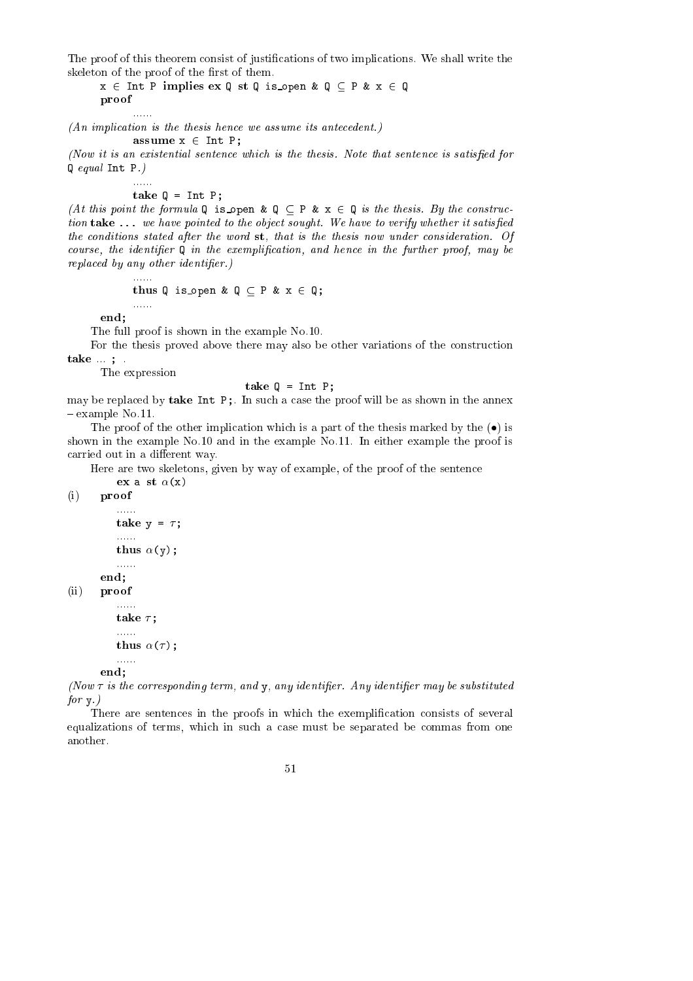The proof of this theorem consist of justifications of two implications. We shall write the skeleton of the proof of the first of them.

 $x \in$  Int P implies ex Q st Q is open & Q  $\subseteq$  P &  $x \in$  Q provided a series of the contract of the contract of the contract of the contract of the contract of

 $(An\ implication\ is\ the\ thesis\ hence\ we\ assume\ its\ antecedent.)$ 

$$
assume x \in Int P;
$$

(Now it is an existential sentence which is the thesis. Note that sentence is satisfied for Q equal Int P.)

 $\mathbf{t}$ 

......

(At this point the formula Q is open  $\& Q \subseteq P \& x \in Q$  is the thesis. By the construction take ... we have pointed to the object sought. We have to verify whether it satisfied the conditions stated after the word st, that is the thesis now under consideration. Of course, the identifier  $Q$  in the exemplification, and hence in the further proof, may be replaced by any other identifier.)

thus Q is open & <sup>Q</sup> <sup>P</sup> & <sup>x</sup> <sup>2</sup> Q;

end;

The full proof is shown in the example No.10.

For the thesis proved above there may also be other variations of the construction take ... ; .

The expression

### take Q = Int P;

may be replaced by take Int P;. In such a case the proof will be as shown in the annex  $-$  example No.11.

The proof of the other implication which is a part of the thesis marked by the  $\left(\bullet\right)$  is shown in the example No.10 and in the example No.11. In either example the proof is carried out in a different way.

Here are two skeletons, given by way of example, of the proof of the sentence

(i) proof

```
\sim 100take y =  ;
   ......
    thus (y);
   ......
end;
```
ex a st (x)

(ii) proof

```
......
\mathbf{r}......
thus ( );
......
```
end;

(Now  $\tau$  is the corresponding term, and  $y$ , any identifier. Any identifier may be substituted for  $v.$ )

There are sentences in the proofs in which the exemplification consists of several equalizations of terms, which in such a case must be separated be commas from one another.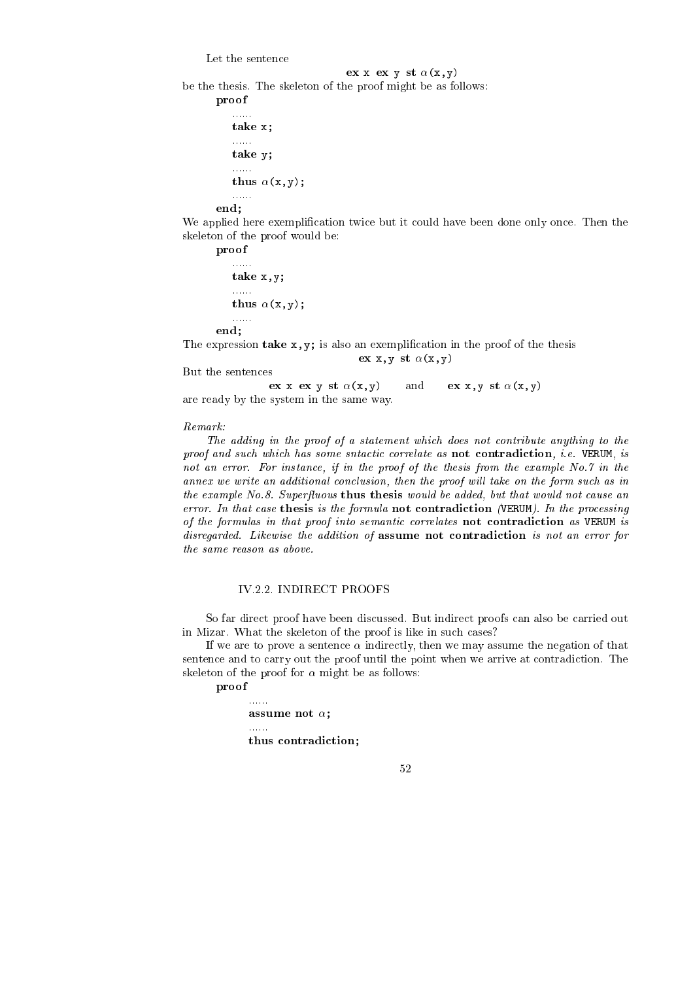Let the sentence

### experiment to the state  $\mathbf x$  and  $\mathbf x$

be the thesis. The skeleton of the proof might be as follows:

```
proof
    \sim 100 km s ^{-1}take x;
    \ldots . . . .
    t \sim t......
    t = t + 1......
```
end;

We applied here exemplification twice but it could have been done only once. Then the skeleton of the proof would be:

ex x,y st (x,y)

proof

......  $t \sim t$  $\ldots$  $t = t + 1$ ......

The expression take  $x, y$ ; is also an exemplification in the proof of the thesis

But the senten
es

end;

expectively the contract of the state  $\mathbf{v}$  and  $\mathbf{v}$ are ready by the system in the same way.

Remark:

The adding in the proof of a statement which does not contribute anything to the proof and such which has some sntactic correlate as not contradiction, i.e. VERUM, is not an error. For instance, if in the proof of the thesis from the example No.7 in the annex we write an additional conclusion, then the proof will take on the form such as in the example No.8. Superfluous thus thesis would be added, but that would not cause an error. In that case thesis is the formula not contradiction (VERUM). In the processing of the formulas in that proof into semantic correlates not contradiction as VERUM is disregarded. Likewise the addition of assume not contradiction is not an error for the same reason as above.

### IV.2.2. INDIRECT PROOFS

So far direct proof have been discussed. But indirect proofs can also be carried out in Mizar. What the skeleton of the proof is like in such cases?

If we are to prove a sentence  $\alpha$  indirectly, then we may assume the negation of that sentence and to carry out the proof until the point when we arrive at contradiction. The skeleton of the proof for  $\alpha$  might be as follows:

proof

...... assume not ;

 $\mathbf{t}$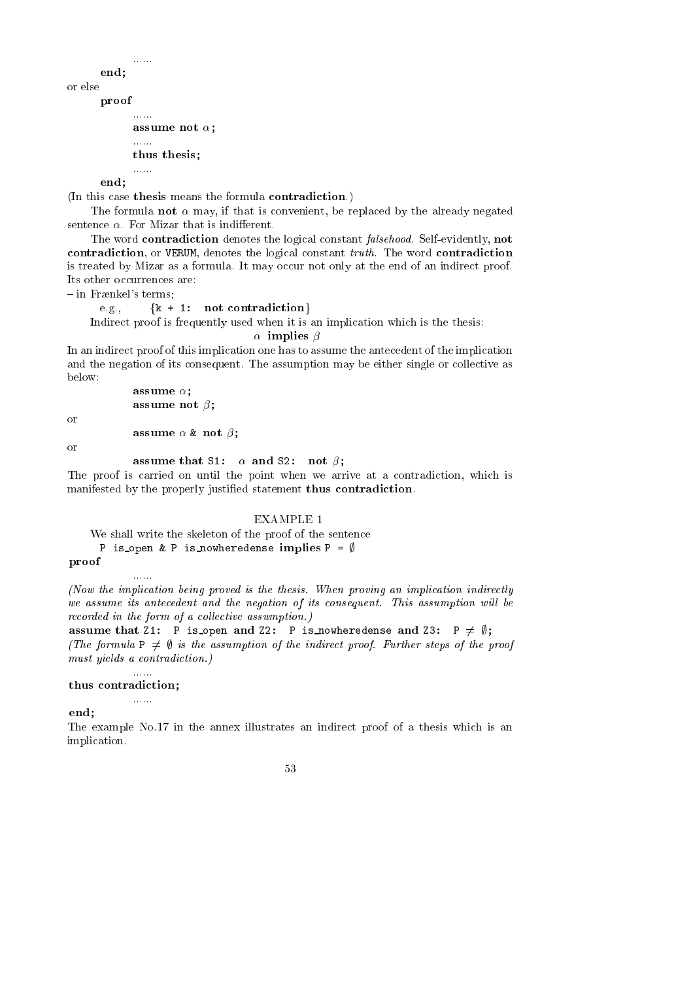end: end; and the contract of the contract of the contract of the contract of the contract of the contract of the contract of the contract of the contract of the contract of the contract of the contract of the contract of the c

or else proof

assume not ;

...... thus thesis;

......

end;

(In this case thesis means the formula contradiction.)

The formula **not**  $\alpha$  may, if that is convenient, be replaced by the already negated sentence  $\alpha$ . For Mizar that is indifferent.

The word contradiction denotes the logical constant *falsehood*. Self-evidently, not contradiction, or VERUM, denotes the logical constant truth. The word contradiction is treated by Mizar as a formula. It may occur not only at the end of an indirect proof. Its other occurrences are:

 $-$  in Frænkel's terms;

e.g.,  $\{k + 1: \text{not contradiction}\}\$ 

Indirect proof is frequently used when it is an implication which is the thesis:

 $\alpha$  implies  $\beta$ 

In an indirect proof of this implication one has to assume the antecedent of the implication and the negation of its consequent. The assumption may be either single or collective as below:

```
assume ;
assume not ;
```
 $\alpha$ r

**assume and the contract of the second second second second second second second second second second second se** 

 $\alpha$ r

### assume that S1: and S2: not ;

The proof is carried on until the point when we arrive at a contradiction, which is manifested by the properly justified statement thus contradiction.

### **EXAMPLE 1**

We shall write the skeleton of the proof of the sentence

P is open & P is nowheredense implies  $P = \emptyset$ 

proof

(Now the implication being proved is the thesis. When proving an implication indirectly we assume its antecedent and the negation of its consequent. This assumption will be recorded in the form of a collective assumption.)

assume that Z1: <sup>P</sup> is open and Z2: P is nowheredense and Z3: P 6= ;; (The formula  $P \neq \emptyset$  is the assumption of the indirect proof. Further steps of the proof must yields a contradiction.)

### thus ontradi
tion;

......

 $\frac{1}{2}$  . . . . .

......

end;

The example No.17 in the annex illustrates an indirect proof of a thesis which is an impli
ation.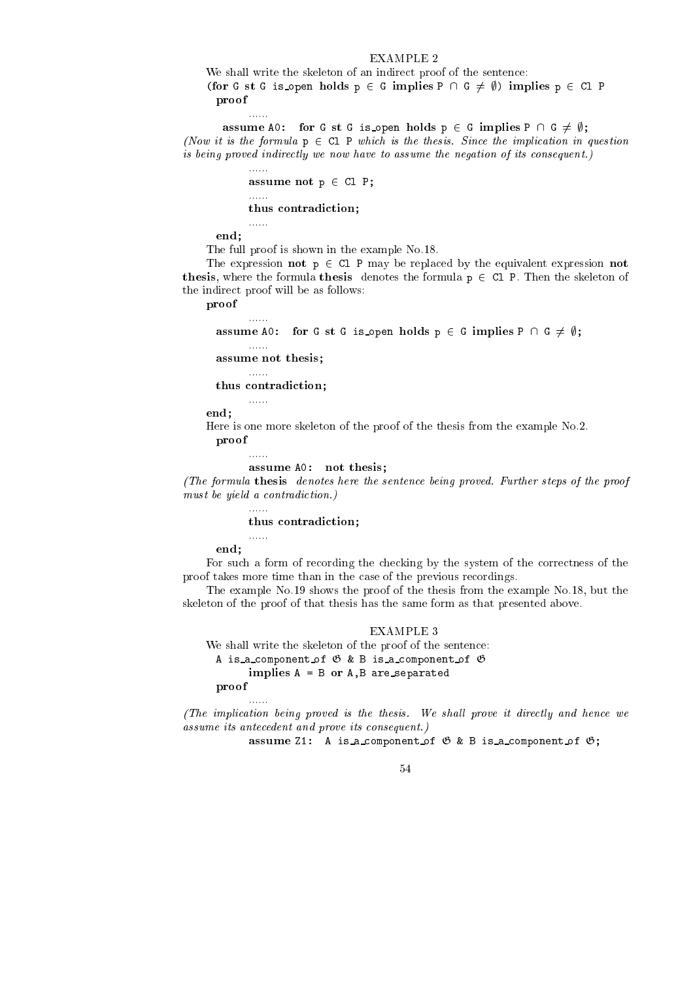### EXAMPLE 2

We shall write the skeleton of an indirect proof of the sentence: (for G st G is open holds  $p \in G$  implies  $P \cap G \neq \emptyset$ ) implies  $p \in Cl$  P proof

assume A0: for <sup>G</sup> st <sup>G</sup> is open holds p <sup>2</sup> G implies P \ G 6= ;; (Now it is the formula  $p \in Cl$  P which is the thesis. Since the implication in question is being proved indirectly we now have to assume the negation of its consequent.)

```
assume not p 2 Cl P; p 2 Cl P; p 2 Cl P; p 2 Cl P; p 2 Cl P; p 2 Cl P; p 2 Cl P; p 2 Cl P; p 2 Cl P; p 2 Cl P
......
\mathbf{t}
```
end;

......

. . . . . .

The full proof is shown in the example No.18.

The expression **not**  $p \in CL$  P may be replaced by the equivalent expression **not** thesis, where the formula thesis denotes the formula  $p \in CL$  P. Then the skeleton of the indirect proof will be as follows:

proof

assume A0: for G is open for  $\mathcal{C}$  is open holds p  $\mathcal{C}$  . The state process  $\mathcal{C}$  ,  $\mathcal{C}$  ,  $\mathcal{C}$  ,  $\mathcal{C}$  ,  $\mathcal{C}$  ,  $\mathcal{C}$  ,  $\mathcal{C}$  ,  $\mathcal{C}$  ,  $\mathcal{C}$  ,  $\mathcal{C}$  ,  $\mathcal{C}$  ,  $\mathcal{C}$  ,  $\mathcal{C$ 

assume not thesis;

......

......

......

......

thus ontradi
tion;

end;

Here is one more skeleton of the proof of the thesis from the example No.2. proof

assume A0: not thesis;

(The formula thesis denotes here the senten
e being proved. Further steps of the proof must be yield a contradiction.)

thus ontradi
tion;

end;

For such a form of recording the checking by the system of the correctness of the proof takes more time than in the case of the previous recordings.

The example No.19 shows the proof of the thesis from the example No.18, but the skeleton of the proof of that thesis has the same form as that presented above.

### EXAMPLE 3

We shall write the skeleton of the proof of the senten
e: A is a component of  $\mathfrak G$  & B is a component of  $\mathfrak G$ implies <sup>A</sup> <sup>=</sup> <sup>B</sup> or A,B are separated proof

(The implication being proved is the thesis. We shall prove it directly and hence we assume its ante
edent and prove its onsequent.)

assume Z1: A is a isometric of G  $\sim$  A is a isometric of G  $\sim$  A is a isometric of G  $\sim$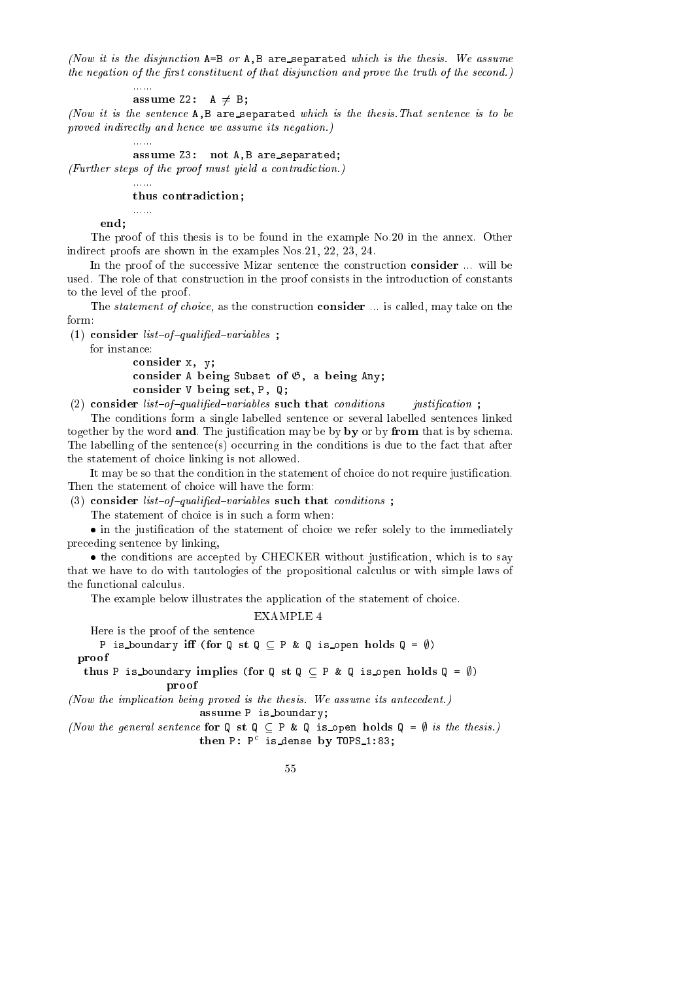(Now it is the disjunction  $A=B$  or  $A,B$  are separated which is the thesis. We assume the negation of the first constituent of that disjunction and prove the truth of the second.)

assume  $\mathcal{L} = \mathcal{L} = \mathcal{L}$ 

(Now it is the senten
e A,B are separated whi
h is the thesis.That senten
e is to be proved indire
tly and hen
e we assume its negation.)

assume Z3: not A,B are separated;

(Further steps of the proof must yield a ontradi
tion.)

 $\mathbf{t}$ 

end;

......

 $\ldots$ 

 $\ldots$  . . . .

The proof of this thesis is to be found in the example No.20 in the annex. Other indire
t proofs are shown in the examples Nos.21, 22, 23, 24.

In the proof of the successive Mizar sentence the construction **consider** ... will be used. The role of that onstru
tion in the proof onsists in the introdu
tion of onstants to the level of the proof.

The *statement of choice*, as the construction **consider** ... is called, may take on the form:

(1) consider  $list-of-qualified-variables$ ;

for instan
e:

onsider x, y; onsider A being Subset of G, a being Any; onsider V being set, P, Q;

(2) consider list-of-qualified-variables such that conditions *justification*;

The onditions form a single labelled senten
e or several labelled senten
es linked together by the word and. The justification may be by by or by from that is by schema. The labelling of the sentence(s) occurring in the conditions is due to the fact that after the statement of hoi
e linking is not allowed.

It may be so that the condition in the statement of choice do not require justification. Then the statement of choice will have the form:

(3) consider list-of-qualified-variables such that conditions;

The statement of choice is in such a form when:

in the justiments is the statement of the state of the state  $\mu$  is the immediately pre
eding senten
e by linking,

the conditions are at the conditions are at the conditions of the conditions of the condition, which is to say that we have to do with tautologies of the propositional calculus or with simple laws of the functional calculus.

The example below illustrates the application of the statement of choice.

EXAMPLE 4

Here is the proof of the senten
e

proof

P is boundary iff (for Q st Q  $\subset$  P & Q is open holds Q =  $\emptyset$ )

proof

thus P is boundary implies (for Q is  $\alpha$  -  $\alpha$  ,  $\alpha$  is open holds  $\alpha$  ,  $\beta$ 

(Now the implication being proved is the thesis. We assume its antecedent.) assume <sup>P</sup> is boundary;

(Now the general sentence for  $Q \strth q \subseteq P \& Q \text{ is open holds } Q = \emptyset$  is the thesis.) then P: P Is dense by IUPS 1:03;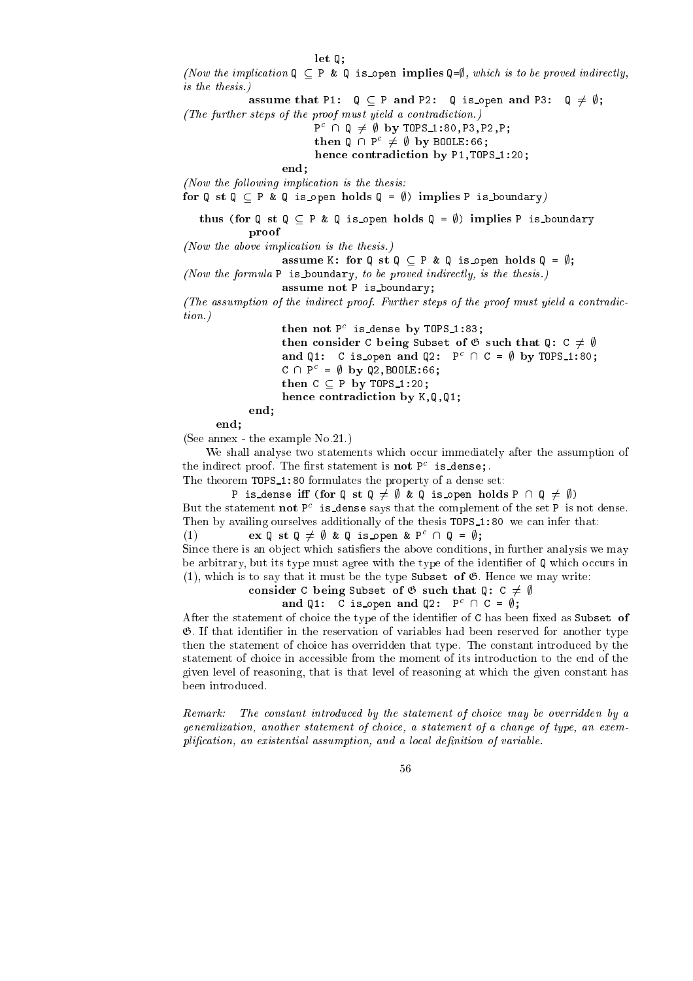$\mathcal{L}$ 

(Now the implication  $Q \subseteq P$  & Q is open implies  $Q = \emptyset$ , which is to be proved indirectly, is the thesis.)

assume that P2: Q = P and P2: Q is open pand P2: Q 6= ;;

(The further steps of the proof must yield a contradiction.)

 $P^{\sim}$   $\parallel$  W  $\neq$   $\psi$  Dy IUPS\_1:80,P3,P3,P2,P;

 $\text{then } Q \cup P^* \neq \emptyset \text{ by Boulle:66};$ 

hen
e ontradi
tion by P1,TOPS 1:20;

 $end:$ end;

(Now the following implication is the thesis:

for Q st Q P & Q is open holds Q = ;) implies P is boundary)

the state  $\mathcal{L}$  states  $\mathcal{L}$  and  $\mathcal{L}$  is a state point  $\mathcal{L}$  is a state  $\mathcal{L}$  is boundary point  $\mathcal{L}$ proof

(Now the above impli
ation is the thesis.)

assume K: for Q is Q = ; ;; q = x or Q is open holds Q = ;;

(Now the formula  $P$  is boundary, to be proved indirectly, is the thesis.)

assume not P is boundary; and P is boundary; and P is boundary; and P is boundary; and P is boundary; and P is

(The assumption of the indirect proof. Further steps of the proof must yield a contradiction.)

then not P is dense by Tups 1:03;

then onsider C being Subset of <sup>G</sup> su
h that Q: C 6= ; and  $Q1$ : C is open and  $Q2$ : P  $\Box$  C =  $\psi$  by TUPS 1:80;  $C \cap P^* = \emptyset$  by  $QZ, BUULL:00$ ;

then <sup>C</sup> <sup>P</sup> by TOPS 1:20; hen
e ontradi
tion by K,Q,Q1;

end;

end;

(See annex - the example No.21.)

We shall analyse two statements which occur immediately after the assumption of the indirect proof. The first statement is **not** P<sup>-</sup> 1s\_dense;.

The theorem TOPS 1:80 formulates the property of a dense set:

P is dense iff (for Q st Q  $\neq$   $\emptyset$  & Q is open holds P  $\cap$  Q  $\neq$   $\emptyset$ ) But the statement **not** P<sup>-</sup> is dense says that the complement of the set P-is not dense. Then by availing ourselves additionally of the thesis TOPS<sub>1</sub>:80 we can infer that:

 $(1)$  ex  $\psi$  st  $\psi \neq \psi$  &  $\psi$  is open & P<sup>-</sup>  $\Box$   $\psi$  =  $\psi$ ;

Since there is an object which satisfiers the above conditions, in further analysis we may be arbitrary, but its type must agree with the type of the identifier of  $\mathbf{Q}$  which occurs in (1), which is to say that it must be the type Subset of  $\mathfrak{G}$ . Hence we may write:

onsider C being Subset of <sup>G</sup> su
h that Q: C 6= ;

and  $Q_1$ : C is open and  $Q_2$ : P  $\Box$  C =  $\psi$ ;

After the statement of choice the type of the identifier of  $C$  has been fixed as Subset of  $\mathfrak{G}$ . If that identifier in the reservation of variables had been reserved for another type then the statement of choice has overridden that type. The constant introduced by the statement of choice in accessible from the moment of its introduction to the end of the given level of reasoning, that is that level of reasoning at whi
h the given onstant has been introdu
ed.

 $Remark.$ The constant introduced by the statement of choice may be overridden by a generalization, another statement of choice, a statement of a change of type, an exemplification, an existential assumption, and a local definition of variable.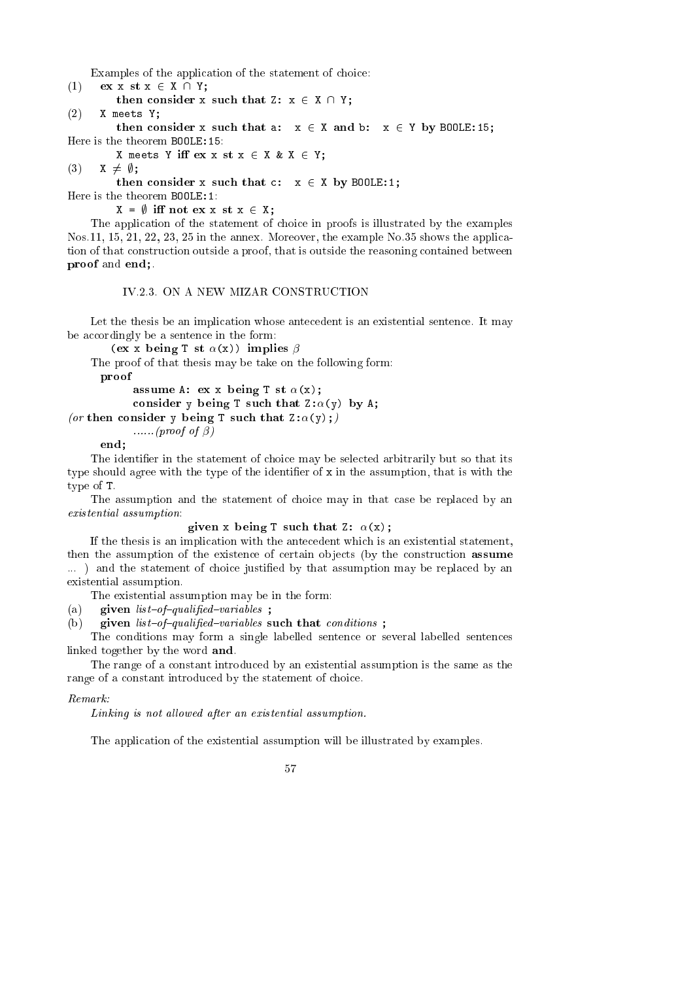Examples of the application of the statement of choice:

- (1)  $ex x st x \in X \cap Y;$
- then  $\mathcal{O}(\mathcal{A})$  such that  $\mathcal{A}(\mathcal{A})$  is  $\mathcal{A}(\mathcal{A})$  and  $\mathcal{A}(\mathcal{A})$  and  $\mathcal{A}(\mathcal{A})$  and  $\mathcal{A}(\mathcal{A})$

(2) X meets Y;

then onsider x su
h that a: x <sup>2</sup> X and b: x <sup>2</sup> Y by BOOLE:15;

X meets Y iff  $ex x st x \in X k X \in Y$ ;

$$
(3) \qquad x \neq \emptyset;
$$

then in the substitution of the substitution of the substitution of the substitution of the substitution of the

Here is the theorem BOOLE:1:

 $X = \emptyset$  iff not ex x st  $x \in X$ ;

The application of the statement of choice in proofs is illustrated by the examples Nos.11, 15, 21, 22, 23, 25 in the annex. Moreover, the example No.35 shows the application of that construction outside a proof, that is outside the reasoning contained between proof and end;.

**IV.2.3. ON A NEW MIZAR CONSTRUCTION** 

Let the thesis be an implication whose antecedent is an existential sentence. It may be accordingly be a sentence in the form:

(ex x being T st  $\alpha(x)$ ) implies  $\beta$ 

The proof of that thesis may be take on the following form:

proof

assume A: expansion  $\mathbf{r}$  assume A: expansion  $\mathbf{r}$  as  $\mathbf{r}$ onsider y by A; (y) by A; (y) by A; (y) by A; (y) by A; (y) by A; (y) by A; (y) by A; (y) by A; (y) by A; (y) b (or then consider y being T such that  $Z: \alpha(y)$ ;)

......(proof of  $\beta$ )

 $end:$ end; and the contract of the contract of the contract of the contract of the contract of the contract of the contract of the contract of the contract of the contract of the contract of the contract of the contract of the c

The identifier in the statement of choice may be selected arbitrarily but so that its type should agree with the type of the identifier of x in the assumption, that is with the type of T.

The assumption and the statement of choice may in that case be replaced by an existential assumption:

 $\mathbf{r}$ 

If the thesis is an implication with the antecedent which is an existential statement, then the assumption of the existence of certain objects (by the construction assume ...) and the statement of choice justified by that assumption may be replaced by an existential assumption.

The existential assumption may be in the form:

- (a) given  $list-of-qualified-variables$ ;
- (b) given  $list-of-qualified-variables$  such that conditions;

The onditions may form a single labelled senten
e or several labelled senten
es linked together by the word and.

The range of a onstant introdu
ed by an existential assumption is the same as the range of a constant introduced by the statement of choice.

### Remark:

Linking is not allowed after an existential assumption.

The application of the existential assumption will be illustrated by examples.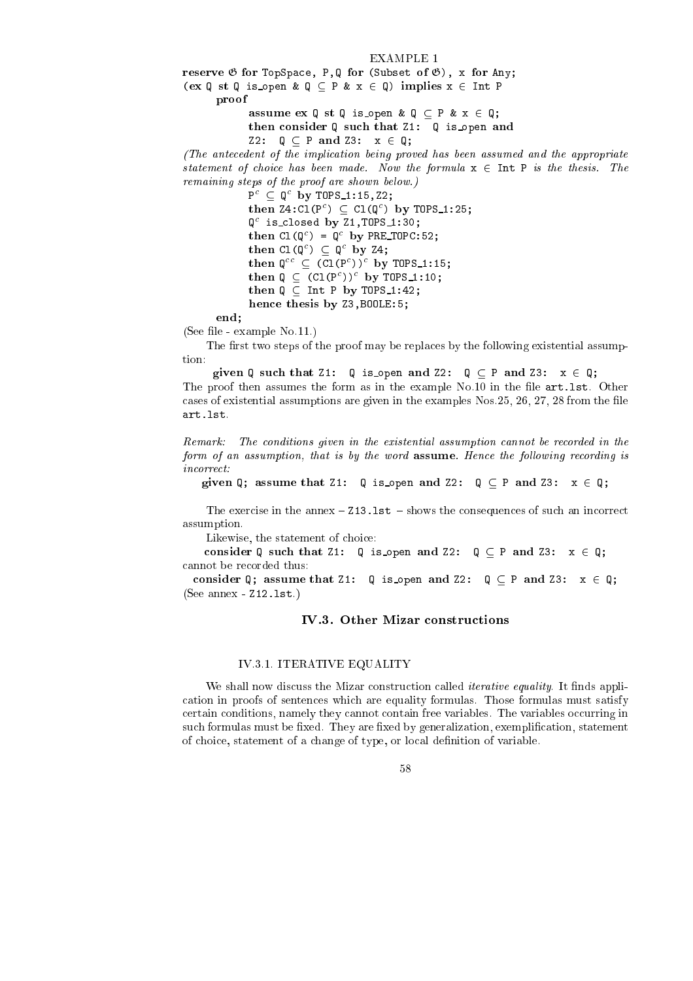### EXAMPLE 1

reserve <sup>G</sup> for TopSpa
e, P,Q for (Subset of G), x for Any; (ex  $Q$  st  $Q$  is open  $\& Q \subseteq P \& x \in Q$ ) implies  $x \in$  Int P

provided a series of the contract of the contract of the contract of the contract of

assume ex Q st Q is open & Q P & x <sup>2</sup> Q; the consider  $\tau$  such that  $\tau$  is open and  $\tau$ 

Z2:  $Q \subseteq P$  and Z3:  $x \in Q$ ;

hence the thesis by Z3, BOOLE: 5; BOOLE: 5; BOOLE: 5; BOOLE: 5; BOOLE: 5; BOOLE: 5; BOOLE: 5; BOO

(The ante
edent of the impli
ation being proved has been assumed and the appropriate statement of choice has been made. Now the formula  $x \in Int P$  is the thesis. The remaining steps of the proof are shown below.)

> P ⊂ U DY IUPS\_I:15,ZZ;  $\text{time}$   $\text{time}$   $\text{time}$  (P  $\text{time}$  )  $\text{time}$  (Q  $\text{time}$ ) by  $\text{time}$  (P  $\text{time}$ ); Q is losed by Z1,TOPS 1:30;  $\text{time} \cup \text{true}$  or  $\text{true} \cup \text{true}$  or  $\text{true} \cup \text{true}$  $\text{time}$  if  $\cup$  if  $\cup$  if  $\cup$  if  $\cup$  if  $\cup$  if  $\cup$  if  $\cup$  if  $\cup$  if  $\cup$  if  $\cup$  if  $\cup$  if  $\cup$  if  $\cup$  if  $\cup$  if  $\cup$  if  $\cup$  if  $\cup$  if  $\cup$  if  $\cup$  if  $\cup$  if  $\cup$  if  $\cup$  if  $\cup$  if  $\cup$  if  $\cup$  if  $\cup$  if  $\$ then  $Q = (C_1(P)I)$  by Turs 1:15;  $\mathsf{t}$  ruent  $\mathsf{q} \subset (\mathsf{t} \mathsf{t} \mathsf{t} \mathsf{t}) \mathsf{t}$  by  $\mathsf{t} \mathsf{u}$  rues  $\mathsf{t} \mathsf{t} \mathsf{t}$ then  $\mathcal{M}$  is the proposition of  $\mathcal{M}$  by Tops 1:42; and 1:42; and 1:42; and 1:42; and 1:42; and 1:42; and 1:42; and 1:42; and 1:42; and 1:42; and 1:42; and 1:42; and 1:42; and 1:42; and 1:42; and 1:42; and 1:42; an

end;

(See file - example No.11.)

The first two steps of the proof may be replaces by the following existential assumption:

given <sup>Q</sup> su
h that Z1: <sup>Q</sup> is open and Z2: Q P and Z3: x <sup>2</sup> Q;

The proof then assumes the form as in the example No.10 in the file  $art.1st.$  Other cases of existential assumptions are given in the examples Nos. 25, 26, 27, 28 from the file art.lst.

Remark: The conditions given in the existential assumption cannot be recorded in the form of an assumption, that is by the word assume. Hence the following recording is  $in correct$ 

given Q; assume that Z1: <sup>Q</sup> is open and Z2: Q P and Z3: x <sup>2</sup> Q;

The exercise in the annex  $-213.1st -$ shows the consequences of such an incorrect assumption.

Likewise, the statement of choice:

onsider <sup>Q</sup> su
h that Z1: <sup>Q</sup> is open and Z2: Q P and Z3: x <sup>2</sup> Q; annot be re
orded thus:

onsider Q; assume that Z1: Q is open and Z2: <sup>Q</sup> <sup>P</sup> and Z3: <sup>x</sup> <sup>2</sup> Q; (See annex - Z12.lst.)

### IV.3. Other Mizar constructions

### IV.3.1. ITERATIVE EQUALITY

We shall now discuss the Mizar construction called *iterative equality*. It finds appliation in proofs of senten
es whi
h are equality formulas. Those formulas must satisfy certain conditions, namely they cannot contain free variables. The variables occurring in such formulas must be fixed. They are fixed by generalization, exemplification, statement of hoi
e, statement of a hange of type, or lo
al denition of variable.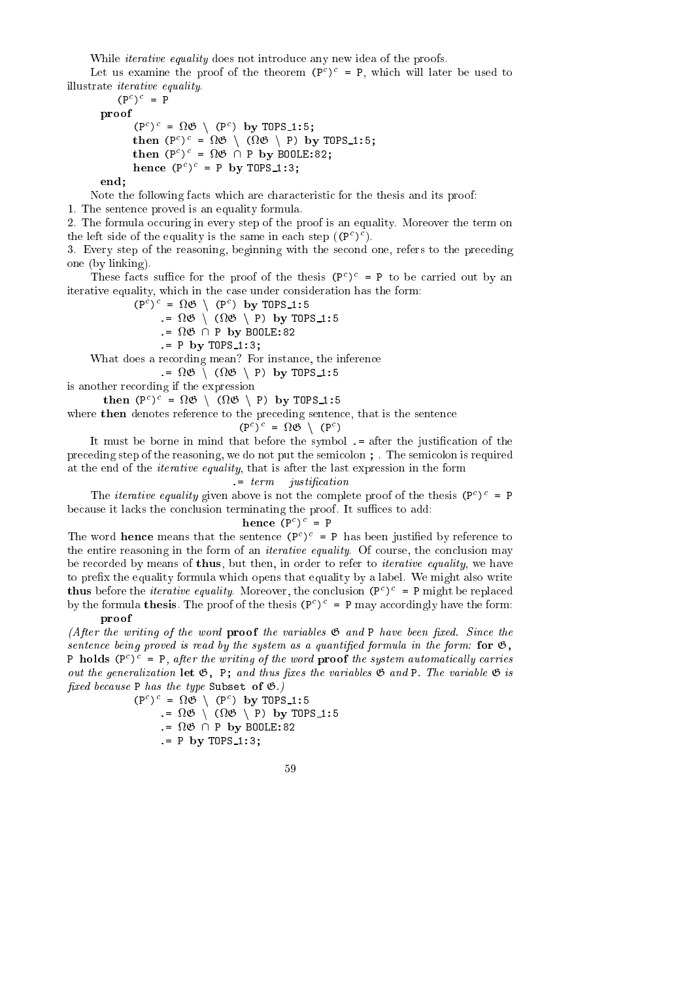While *iterative equality* does not introduce any new idea of the proofs.

Let us examine the proof of the theorem (P ) = P, whi
h will later be used to illustrate iterative equality.

```
(P^-)' = Pproof
        (Y^{\circ})^{\circ} = M \cup \cup \{Y^{\circ}\} by TOPS 1:5;
        \text{time}_{\text{H}} (P<sup>-</sup>) = \frac{1}{2} (N<sub>i</sub>O) (P) by Tups_1:5;
        \text{then } (P^*)^* = M \mathcal{O} \cup P by Boole:82;
        n = 1 by n = 1:3;
```
end;

Note the following facts which are characteristic for the thesis and its proof:

1. The senten
e proved is an equality formula.

2. The formula occuring in every step of the proof is an equality. Moreover the term on the left side of the equality is the same in each step  $((P^*)^*)$ .

3. Every step of the reasoning, beginning with the se
ond one, refers to the pre
eding one (by linking).

I nese facts sumer for the proof of the thesis  $(P^*)^* = P$  to be carried out by an iterative equality, which in the case under consideration has the form:

> $(P^{\circ})^{\circ} = M \cup \cup (P^{\circ})$  by TUPS 1:5 .= <sup>G</sup> <sup>n</sup> ( <sup>G</sup> <sup>n</sup> P) by TOPS 1:5 .= <sup>G</sup> \ P by BOOLE:82  $= P$  by TOPS 1:3;

What does a recording mean? For instance, the inference

.= <sup>G</sup> <sup>n</sup> ( <sup>G</sup> <sup>n</sup> P) by TOPS 1:5

is another re
ording if the expression

 $\text{timen}$  (P<sup>-</sup>) =  $\frac{1}{2}$  (D)  $\frac{1}{2}$  (D)  $\frac{1}{2}$  (P)  $\frac{1}{2}$  (P)  $\frac{1}{2}$ 

where then denotes reference to the preceding sentence, that is the sentence

$$
(\mathbf{P}^c)^c = \Omega \mathfrak{G} \setminus (\mathbf{P}^c)
$$

It must be borne in mind that before the symbol  $=$  after the justification of the preceding step of the reasoning, we do not put the semicolon ; The semicolon is required at the end of the iterative equality, that is after the last expression in the form

### $:= term$  *justification*

I he *iterative equality* given above is not the complete proof of the thesis  $(P^*)^* = P$ because it lacks the conclusion terminating the proof. It suffices to add:

 $n = r$ 

The word **hence** means that the sentence (P<sup>-</sup>) = P has been justified by reference to the entire reasoning in the form of an *iterative equality*. Of course, the conclusion may be recorded by means of thus, but then, in order to refer to *iterative equality*, we have to prefix the equality formula which opens that equality by a label. We might also write **thus** before the *nerative equality*. Moreover, the conclusion  $(P_1) = P_1$  might be replaced by the formula thesis. The proof of the thesis  $(P_+)^- = P_+$  may accordingly have the form: proof

(After the writing of the word proof the variables  $\mathfrak{G}$  and P have been fixed. Since the sentence being proved is read by the system as a quantified formula in the form: for  $\mathfrak{G}$ , P **holds** (P<sup>-</sup>)<sup>-</sup> = P, after the writing of the word **proof** the system automatically carries out the generalization let  $\mathfrak{G}$ , P; and thus fixes the variables  $\mathfrak{G}$  and P. The variable  $\mathfrak{G}$  is fixed because P has the type Subset of  $\mathfrak{G}$ .)

> $(P^*)^* = MQ + (P^*)$  by TUPS 1:5 .= <sup>G</sup> <sup>n</sup> ( <sup>G</sup> <sup>n</sup> P) by TOPS 1:5 . For  $P$  by BOOLE's  $P$  by BOOLE's  $P$  $= P$  by TOPS 1:3;

$$
^{59}
$$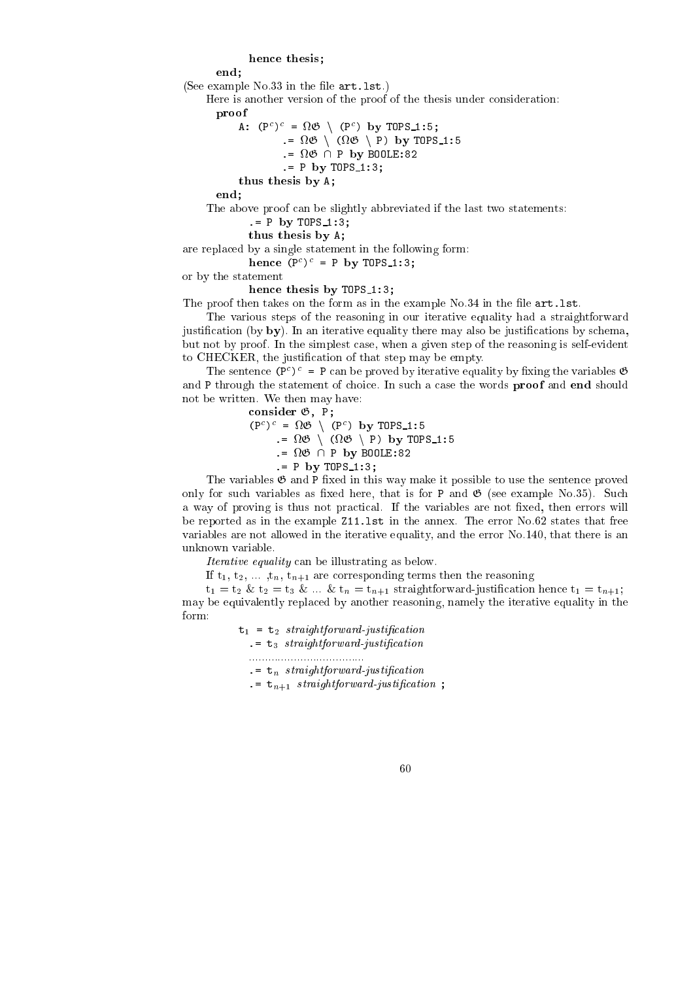### hence the theoretical control of the theoretical control of the theoretical control of the theoretical control of the theoretical control of the theoretical control of the theoretical control of the theoretical control of

#### end: end; and the contract of the contract of the contract of the contract of the contract of the contract of the contract of the contract of the contract of the contract of the contract of the contract of the contract of the c

(See example  $No.33$  in the file  $art.1st.$ )

Here is another version of the proof of the thesis under onsideration:

proof

A: (P ) = 170 / (P ) DY IUPS 1:5; .= <sup>G</sup> <sup>n</sup> ( <sup>G</sup> <sup>n</sup> P) by TOPS 1:5 . . . . . . <u>.</u> . . . . . . .  $. = P$  by TOPS 1:3;

thus the single parameter  $\mathbf{r}$  and  $\mathbf{r}$ 

end;

The above proof can be slightly abbreviated if the last two statements:

- $= P$  by TOPS\_1:3;
- thus the size of the sixth state of the sixth sixth state of the sixth sixth sixth sixth sixth sixth sixth sixth sixth sixth sixth sixth sixth sixth sixth sixth sixth sixth sixth sixth sixth sixth sixth sixth sixth sixth s

are repla
ed by a single statement in the following form:

 $n = 1$ ;  $n = 1$ ;  $n = 1$ ;  $n = 2$ ;

or by the statement

hen
e thesis by TOPS 1:3;

The proof then takes on the form as in the example No.34 in the file  $art.$  lst.

The various steps of the reasoning in our iterative equality had a straightforward justification (by  $by$ ). In an iterative equality there may also be justifications by schema, but not by proof. In the simplest ase, when a given step of the reasoning is self-evident to CHECKER, the justification of that step may be empty.

I ne sentence (P<sup>-</sup>) = P can be proved by iterative equality by fixing the variables  $\phi$ and P through the statement of choice. In such a case the words **proof** and end should not be written. We then may have:

onsider G, P;

 $(P^*)^* = MQ + (P^*)$  by TUPS 1:5 .= <sup>G</sup> <sup>n</sup> ( <sup>G</sup> <sup>n</sup> P) by TOPS 1:5 . . . . . . . <u>.</u> . . . . . . . . .  $P$  by TOPS 1:3:

The variables  $\mathfrak G$  and  $P$  fixed in this way make it possible to use the sentence proved only for such variables as fixed here, that is for P and  $\mathfrak{G}$  (see example No.35). Such a way of proving is thus not practical. If the variables are not fixed, then errors will be reported as in the example Z11.lst in the annex. The error No.62 states that free variables are not allowed in the iterative equality, and the error No.140, that there is an unknown variable.

Iterative equality an be illustrating as below.

If  $t_1, t_2, \ldots, t_n, t_{n+1}$  are corresponding terms then the reasoning

 $t_1 = t_2 \& t_2 = t_3 \& \dots \& t_n = t_{n+1}$  straightforward-justification hence  $t_1 = t_{n+1}$ ; may be equivalently repla
ed by another reasoning, namely the iterative equality in the  $form.$ 

 $t_1 = t_2$  straightforward-justification

 $\cdot$  =  $t_3$  straightforward-justification

....................................

 $\cdot$  =  $\mathbf{t}_n$  straightforward-justification

 $t_{n+1}$  straightforward-justification;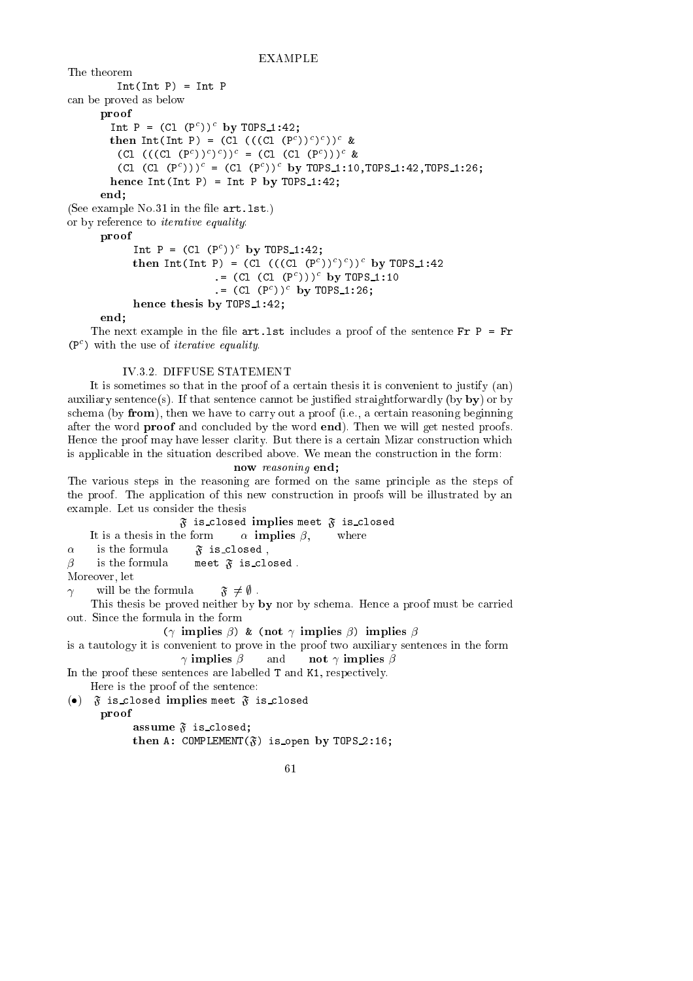### EXAMPLE

The theorem  $Int(int P) = Int P$ an be proved as below proof INT  $P = (U1 (P<sup>+</sup>))$  by IUPS\_I:42; then  $Int(int P) = (CL ((CL (P))')')$  & (CI (((CI (P<sup>-</sup>))<sup>-</sup>)<sup>-</sup>)')' = (CI (CI (P<sup>-</sup>)))' &  $($ Ul  $(P^*)$ ))' =  $(U_1 \t(P^*))$ ' by IUPS\_I:IV,IUPS\_I:42,IUPS\_I:20; hen
e Int(Int P) = Int P by TOPS 1:42; end; (See example  $No.31$  in the file  $art.1st.$ ) or by referen
e to iterative equality: proof INL  $P = (U1 (P))$  by IUPS 1:42;  $\text{time in } \text{true}$  is (c) and (((CI (P))) )) by  $\text{true}$  is  $\text{true}$ .= (Cl (Cl (P ))) by TOPS 1:10 .= (Cl (P )) by TOPS 1:26;

end;

The next example in the file  $art.lst$  includes a proof of the sentence  $Fr P = Fr$ (P ) with the use of iterative equality.

### IV.3.2. DIFFUSE STATEMENT

hen
e thesis by TOPS 1:42;

It is sometimes so that in the proof of a certain thesis it is convenient to justify (an) auxiliary sentence(s). If that sentence cannot be justified straightforwardly (by by) or by schema (by from), then we have to carry out a proof (i.e., a certain reasoning beginning after the word proof and on
luded by the word end). Then we will get nested proofs. Hence the proof may have lesser clarity. But there is a certain Mizar construction which is applicable in the situation described above. We mean the construction in the form:

now reasoning end; The various steps in the reasoning are formed on the same principle as the steps of the proof. The appli
ation of this new onstru
tion in proofs will be illustrated by an example. Let us onsider the thesis

 $\mathfrak F$  is closed implies meet  $\mathfrak F$  is closed It is a thesis in the form  $\alpha$  **implies**  $\beta$ , where  $\alpha$  is the formula  $\tilde{\mathfrak{F}}$  is closed,

 $\beta$  is the formula meet  $\mathfrak F$  is closed.

Moreover, let

 $\gamma$  will be the formula  $\mathfrak{F} \neq \emptyset$ .

This the sis be proved neither by by nor by schema. Hence a proof must be carried out. Sin
e the formula in the form

 $(\gamma \text{ implies } \beta) \& (\text{not } \gamma \text{ implies } \beta) \text{ implies } \beta$ 

is a tautology it is onvenient to prove in the proof two auxiliary senten
es in the form  $\gamma$  implies  $\beta$  and not  $\gamma$  implies  $\beta$ 

In the proof these sentences are labelled T and K1, respectively.

Here is the proof of the senten
e:

(•)  $\tilde{\mathfrak{F}}$  is closed implies meet  $\tilde{\mathfrak{F}}$  is closed

provided a series of the contract of the contract of the contract of the contract of

assume F is a lose of the first contract of the first contract of the first contract of the first contract of then  $\mathbf{C}$  is open by Tops 2:16;  $\mathbf{C}$  is open by Tops 2:16;  $\mathbf{C}$ 

$$
^{61}
$$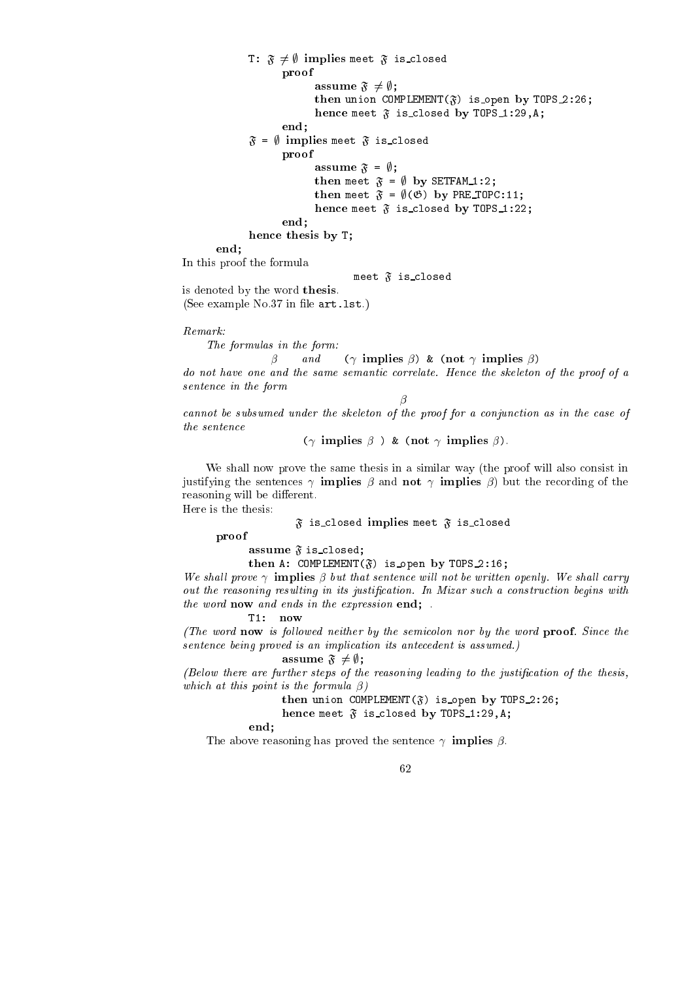provided a series of the contract of the contract of the contract of the contract of assume F 6= in the first state of the first state of the first state of the first state of the first state of then union  $\mathbf{F}$  is open by Tops 2:26;  $\mathbf{F}$  is open by Tops 2:26;  $\mathbf{F}$ hen
e meet <sup>F</sup> is losed by TOPS 1:29,A; end;  $\mathfrak{F} = \emptyset$  implies meet  $\mathfrak{F}$  is closed proof assume <sup>F</sup> = ;; then meet  $\mathbf{r}$  and  $\mathbf{r}$  and  $\mathbf{r}$  and  $\mathbf{r}$  and  $\mathbf{r}$ then meet  $\mathbf{F}$  is presented by Presentation by Presentation by Presentation by Presentation by Presentation hen
e meet <sup>F</sup> is losed by TOPS 1:22; end; hen
e thesis by T; end; In this proof the formula meet  $\mathfrak{F}$  is closed is denoted by the word thesis. (See example No.37 in file art. 1st.) Remark: The formulas in the form:  $\beta$  and  $(\gamma \text{ implies } \beta)$  & (not  $\gamma$  implies  $\beta$ ) do not have one and the same semantic correlate. Hence the skeleton of the proof of a sentence in the form  $\beta$ cannot be subsumed under the skeleton of the proof for a conjunction as in the case of the senten
e

T:  $\mathfrak{F} \neq \emptyset$  implies meet  $\mathfrak{F}$  is closed

 $(\gamma \text{ implies } \beta) \& (\text{not } \gamma \text{ implies } \beta).$ 

We shall now prove the same thesis in a similar way (the proof will also consist in justifying the sentences  $\gamma$  **implies**  $\beta$  and **not**  $\gamma$  **implies**  $\beta$ ) but the recording of the reasoning will be different.

Here is the thesis:

 $\mathfrak F$  is closed implies meet  $\mathfrak F$  is closed

proof

assume <sup>F</sup> is losed;

then A: COMPLEMENT(F) is open by TOPS 2:16;

We shall prove  $\gamma$  implies  $\beta$  but that sentence will not be written openly. We shall carry out the reasoning resulting in its justification. In Mizar such a construction begins with the word now and ends in the expression end;

T1: now

(The word now is followed neither by the semicolon nor by the word  $\mathbf{proof}$ . Since the sentence being proved is an implication its antecedent is assumed.)

 $+$   $+$   $+$   $+$   $+$ 

 $(Below$  there are further steps of the reasoning leading to the justification of the thesis, which at this point is the formula  $\beta$ )

then union COMPLEMENT(F) is open by TOPS 2:26;

hen
e meet <sup>F</sup> is losed by TOPS 1:29,A;

end;

The above reasoning has proved the sentence  $\gamma$  implies  $\beta$ .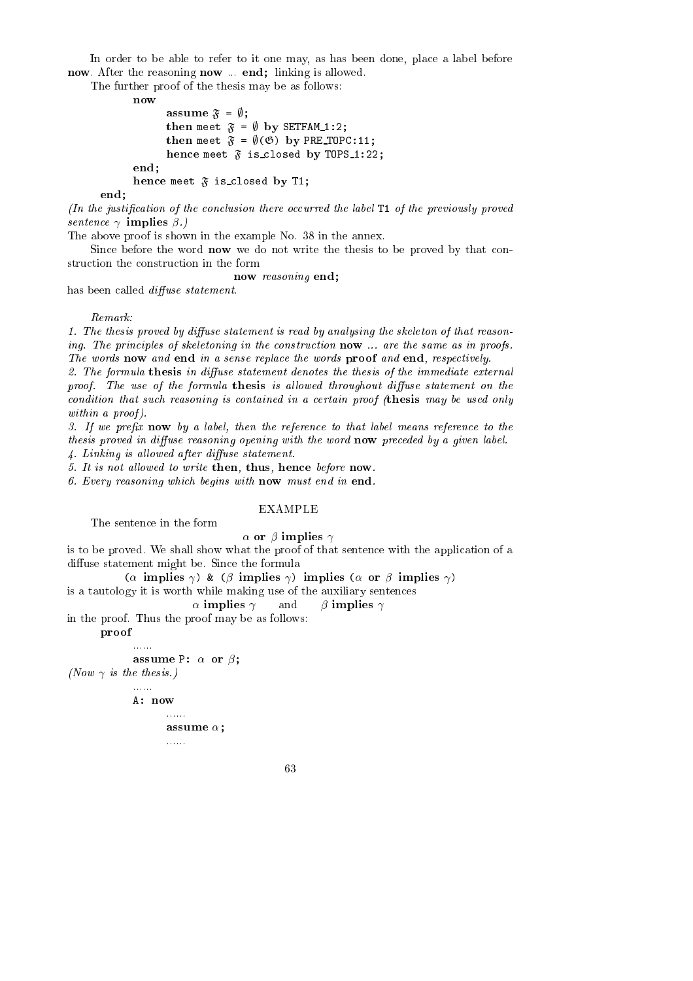In order to be able to refer to it one may, as has been done, place a label before now. After the reasoning now ... end; linking is allowed.

The further proof of the thesis may be as follows:

 $now$ 

```
assume F = ;;
                              the meet \ldots , by Setting in the setting of \alphathe meet \alpha and \beta of \alpha by President in the President of the President in the President of the President in the President of the President in the President of the President in the President of the President in the P
                              hen
e meet F is 
losed by TOPS 1:22;
end:
  end; and the contract of the contract of the contract of the contract of the contract of the contract of the contract of the contract of the contract of the contract of the contract of the contract of the contract of the c
  hence the meet for the meeting of the meeting of the meeting of the meeting of the meeting of the meeting of the meeting of the meeting of the meeting of the meeting of the meeting of the meeting of the meeting of the meet
```
end;

 $(n)$  the justification of the conclusion there occurred the label T1 of the previously proved sentence  $\gamma$  implies  $\beta$ .)

The above proof is shown in the example No. 38 in the annex.

Since before the word **now** we do not write the thesis to be proved by that construction the construction in the form

now reasoning end;

has been called *diffuse statement*.

1. The thesis proved by diffuse statement is read by analysing the skeleton of that reasoning. The principles of skeletoning in the construction now ... are the same as in proofs. The words now and end in a sense replace the words proof and end, respectively.

2. The formula thesis in diffuse statement denotes the thesis of the immediate external proof. The use of the formula thesis is allowed throughout diffuse statement on the condition that such reasoning is contained in a certain proof (thesis may be used only within a proof).

3. If we prefix  $\mathbf{n}$  ow by a label, then the reference to that label means reference to the thesis proved in diffuse reasoning opening with the word  $now$  preceded by a given label.

 $\lambda$ . Linking is allowed after diffuse statement.

5. It is not allowed to write then, thus, hence before now.

6. Every reasoning whi
h begins with now must end in end.

### EXAMPLE

The senten
e in the form

 $\alpha$  or  $\beta$  implies  $\gamma$ 

is to be proved. We shall show what the proof of that sentence with the application of a diffuse statement might be. Since the formula

( $\alpha$  implies  $\gamma$ ) & ( $\beta$  implies  $\gamma$ ) implies ( $\alpha$  or  $\beta$  implies  $\gamma$ )

is a tautology it is worth while making use of the auxiliary senten
es

 $\alpha$  implies  $\gamma$  and  $\beta$  implies  $\gamma$ 

in the proof. Thus the proof may be as follows:

provided a series of the contract of the contract of the contract of the contract of

```
assume P:  or ;
(Now \gamma is the thesis.)
```
 $A: now$ A: now

......

```
......
assume ;
......
```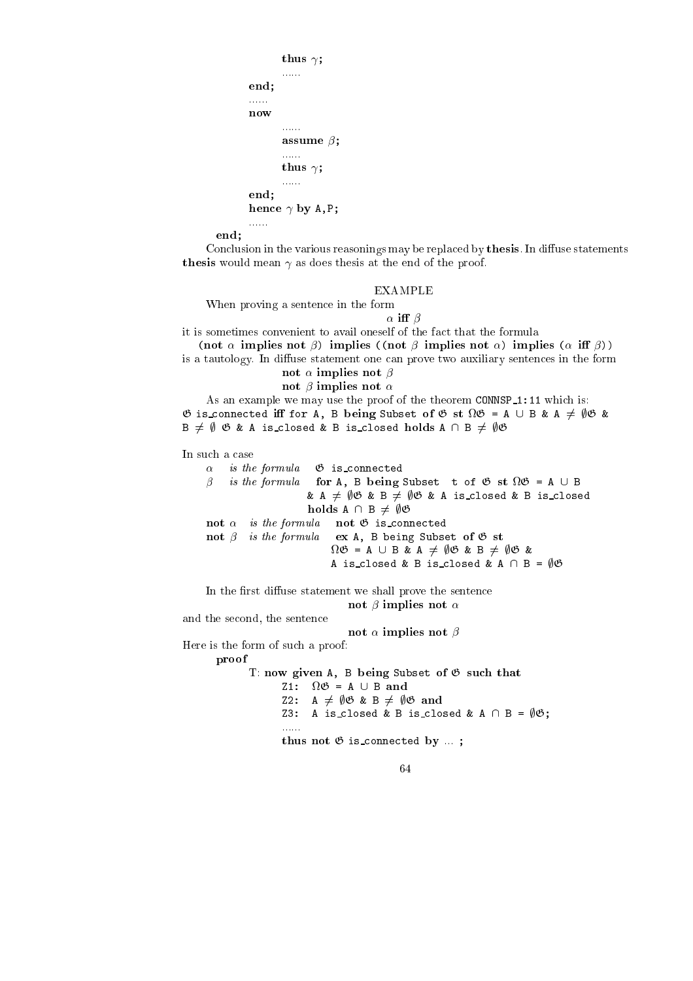```
thus 
;
          \ldots . . . .
end;
......
nowala alalah
          \sim \sim \sim \sim \sim \sim \sim......
          thus 
;
          ......
end;
hen
e 
 by A,P;
alara d
```
end;

Conclusion in the various reasonings may be replaced by thesis. In diffuse statements thesis would mean as does thesis at the end of the proof.

### EXAMPLE

When proving a senten
e in the form

 $\alpha$  iff  $\beta$ 

it is sometimes convenient to avail oneself of the fact that the formula (not  $\alpha$  implies not  $\beta$ ) implies ((not  $\beta$  implies not  $\alpha$ ) implies ( $\alpha$  iff  $\beta$ ))

is a tautology. In diffuse statement one can prove two auxiliary sentences in the form

not implied to a second the second of  $\mathcal{P}$ and in a second contract of the

As an example we may use the proof of the theorem CONNSP<sub>1</sub>:11 which is:  $\blacksquare$  is the A, B being Subset of G st  $\blacksquare$  and  $\blacksquare$  $B \neq \emptyset$   $\emptyset$  & A is\_closed & B is\_closed holds  $A \cap B \neq \emptyset$  $\emptyset$ 

In such a case  $\alpha$ is the formula  $\mathfrak G$  is connected is the formula formula for  $\mathcal{A}$  is  $\mathcal{A}$  and  $\mathcal{A}$  subset to  $\mathcal{A}$  . The formula formula formula & A  $\neq$   $\emptyset$   $\emptyset$  & B  $\neq$   $\emptyset$  $\emptyset$  & A is\_closed & B is\_closed holds A  $\,$  6  $\,$  6  $\,$  6  $\,$  6  $\,$  6  $\,$  6  $\,$  6  $\,$  6  $\,$  6  $\,$  6  $\,$  6  $\,$  6  $\,$  6  $\,$  6  $\,$  6  $\,$  6  $\,$  6  $\,$  6  $\,$  6  $\,$  6  $\,$  6  $\,$  6  $\,$  6  $\,$  6  $\,$  6  $\,$  6  $\,$  6  $\,$  6  $\,$  6  $\,$  6  $\,$ not is the formula note to general note that **not**  $\beta$  is the formula ex A, B being Subset of  $\mathfrak G$  st ... . . . . . . . . . . . . . . . . . A is\_closed & B is\_closed & A  $\cap$  B =  $\emptyset$  $\emptyset$ 

In the first diffuse statement we shall prove the sentence not in the implication of the state of the state of the state of the state of the state of the state of the st

and the se
ond, the senten
e

not implies the contract of the contract of the contract of the contract of the contract of the contract of th

Here is the form of su
h a proof: proof

> T: now given A, B being Subset of  $\mathfrak G$  such that Z2: A  $\neq$   $\emptyset$  & B  $\neq$   $\emptyset$  & and Z3: A is\_closed & B is\_closed & A  $\cap$  B =  $\emptyset$  $\emptyset$ ; thus not G is given by ... it is a set of the connection of the connection of the connection of the connection of the connection of the connection of the connection of the connection of the connection of the connection of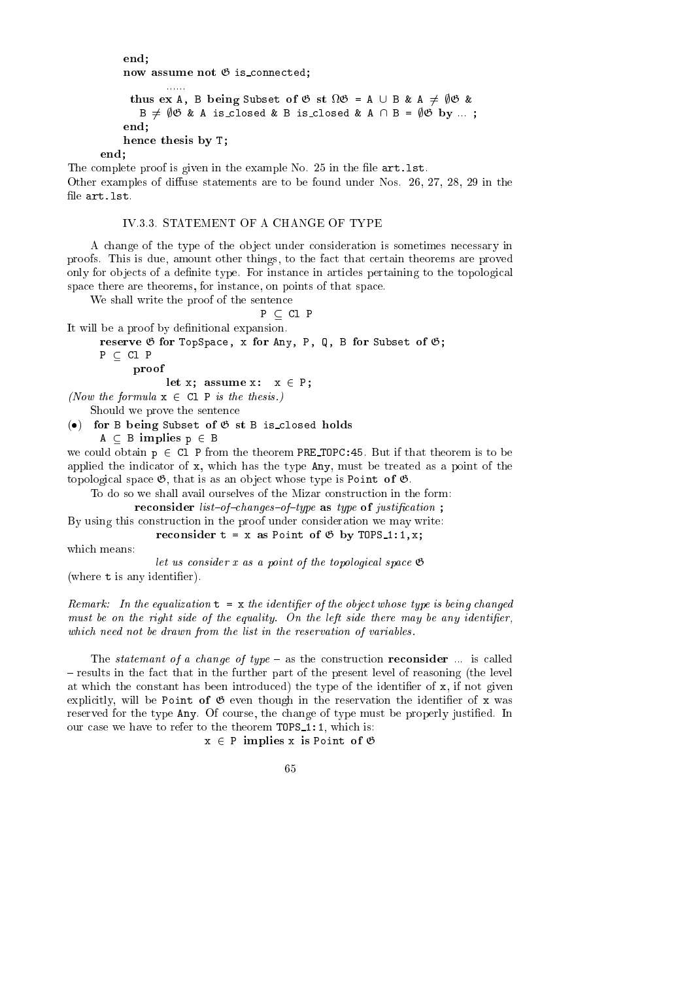```
end;
 now assume not G is a summer not G is a summer not G is a summer not G is a summer not G is a summer not G is
```

```
thus experimental the subset of S states of S subset of G subset of G subset of G subset of G and G and G and G and G and G and G and G and G and G and G and G and G and G and G and
      B \neq \emptyset & A is_closed & B is_closed & A \cap B = \emptyset & by ...;
end;
```
end;

The complete proof is given in the example No. 25 in the file art. 1st. Other examples of diffuse statements are to be found under Nos.  $26, 27, 28, 29$  in the file art. 1st.

### IV.3.3. STATEMENT OF A CHANGE OF TYPE

A change of the type of the object under consideration is sometimes necessary in proofs. This is due, amount other things, to the fa
t that ertain theorems are proved only for objects of a definite type. For instance in articles pertaining to the topological space there are theorems, for instance, on points of that space.

We shall write the proof of the sentence

$$
P\,\subseteq\,C1\,P
$$

It will be a proof by definitional expansion.

hen
e thesis by T;

e, x for any any, for the form  $\mathcal{A}$  , any  $\mathcal{A}$  for  $\mathcal{A}$  and  $\mathcal{A}$  for  $\mathcal{A}$ 

 $P \subset C1$  P

proof

let x; assume x: x <sup>2</sup> P;

(Now the formula  $x \in CL$  P is the thesis.)

Should we prove the senten
e

 $\bullet$  for B being Subset of  $\mathfrak G$  st B is closed holds  $A \subseteq B$  implies  $p \in B$ 

we could obtain  $p \in CL$  P from the theorem PRE TOPC: 45. But if that theorem is to be applied the indicator of x, which has the type Any, must be treated as a point of the topological space  $\mathfrak{G}$ , that is as an object whose type is Point of  $\mathfrak{G}$ .

re t = x as Point of G by Tops 1:1, and the Point of G by Tops 1:1, x;

To do so we shall avail ourselves of the Mizar construction in the form:

restanting in the state of interest and interest in the function  $\mathbf{y}$ 

By using this construction in the proof under consideration we may write:

which means:

let us consider x as a point of the topological space  $\mathfrak{G}$ (where  $t$  is any identifier).

Remark: In the equalization  $t = x$  the identifier of the object whose type is being changed must be on the right side of the equality. On the left side there may be any identifier, which need not be drawn from the list in the reservation of variables.

The *statemant of a change of type*  $-$  as the construction **reconsider** ... is called - results in the fact that in the further part of the present level of reasoning (the level at which the constant has been introduced) the type of the identifier of x, if not given explicitly, will be Point of  $\mathfrak G$  even though in the reservation the identifier of x was reserved for the type Any. Of course, the change of type must be properly justified. In our case we have to refer to the theorem TOPS\_1:1, which is:

 $x \in P$  implies x is Point of  $\emptyset$ 

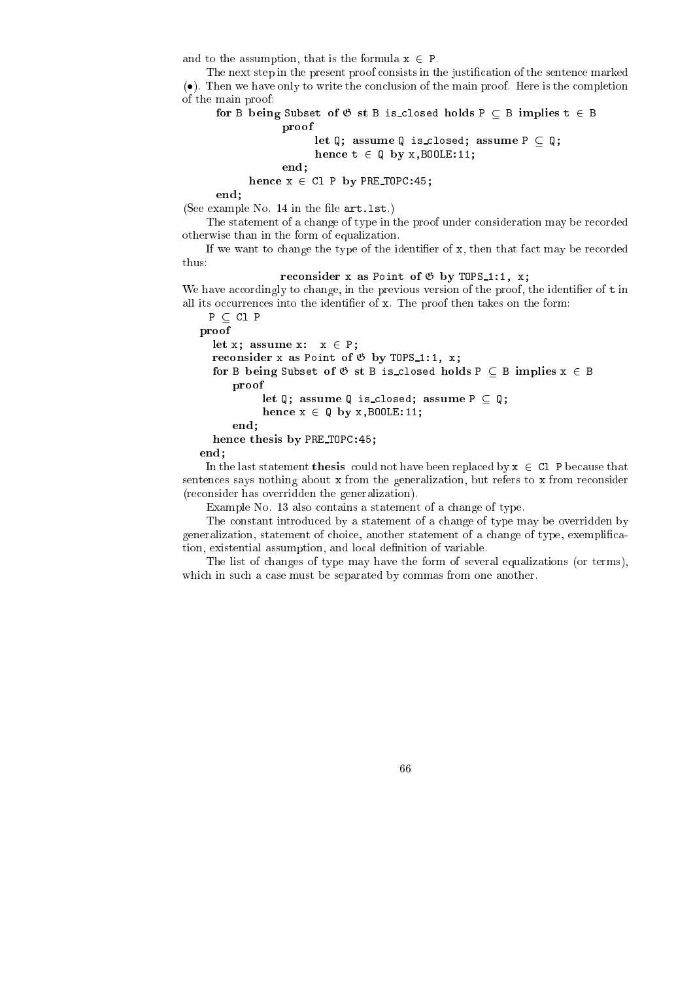and to the assumption, that is the formula  $x \in P$ .

The next step in the present proof consists in the justification of the sentence marked (). Then we have only to write the on
lusion of the main proof. Here is the ompletion of the main proof:

```
for B being Subset of G st B is 
losed holds P  B implies t 2 B
           proof
                let Q; assume Q is 
losed; assume P  Q;
```

```
hen
e t 2 Q by x,BOOLE:11;
```
end;

hence a set of the set of the set of the set of the set of the set of the set of the set of the set of the set

end;

(See example No.  $14$  in the file  $art.$  lst.)

hen
e thesis by PRE TOPC:45;

The statement of a change of type in the proof under consideration may be recorded otherwise than in the form of equalization.

If we want to change the type of the identifier of  $x$ , then that fact may be recorded thus:

re
onsider <sup>x</sup> as Point of <sup>G</sup> by TOPS 1:1, x;

We have accordingly to change, in the previous version of the proof, the identifier of  $t$  in all its occurrences into the identifier of x. The proof then takes on the form:

 $P \subset C1$  P

```
proof
  let x; assume x: x 2 P;
  re
onsider x as Point of G by TOPS 1:1, x;
  for B being Subset of G st B is 
losed holds P  B implies x 2 B
     proof
          let Q; assume Q is 
losed; assume P  Q;
          hen
e x 2 Q by x,BOOLE:11;
     end;
```
end;

In the last statement **thesis** could not have been replaced by  $x \in C1$  P because that sentences says nothing about x from the generalization, but refers to x from reconsider (re
onsider has overridden the generalization).

Example No. 13 also contains a statement of a change of type.

The onstant introdu
ed by a statement of a hange of type may be overridden by generalization, statement of hoi
e, another statement of a hange of type, exempli
ation, existential assumption, and local definition of variable.

The list of hanges of type may have the form of several equalizations (or terms), which in such a case must be separated by commas from one another.

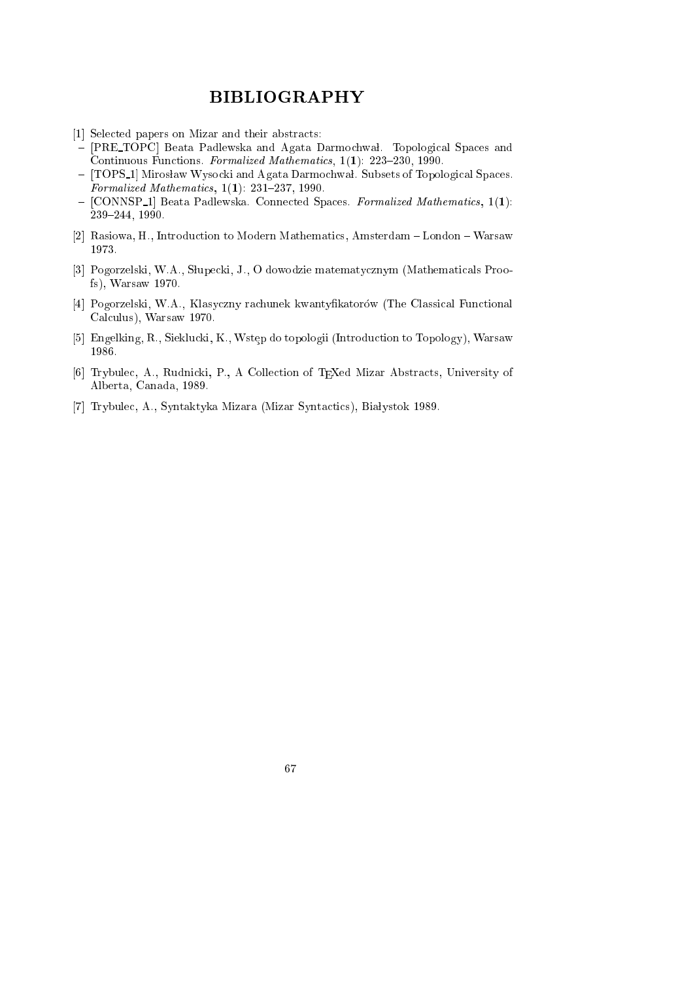### BIBLIOGRAPHY

- [1] Selected papers on Mizar and their abstracts:
- [PRE TOPC] Beata Padlewska and Agata Darmochwal. Topological Spaces and Continuous Functions. Formalized Mathematics, 1(1): 223-230, 1990.
- [TOPS\_1] Mirosław Wysocki and Agata Darmochwał. Subsets of Topological Spaces. Formalized Mathematics,  $1(1)$ : 231-237, 1990.
- [CONNSP<sub>1</sub>] Beata Padlewska. Connected Spaces. Formalized Mathematics, 1(1): 239-244, 1990.
- [2] Rasiowa, H., Introduction to Modern Mathematics, Amsterdam London Warsaw 1973.
- [3] Pogorzelski, W.A., Słupecki, J., O dowodzie matematycznym (Mathematicals Proofs), Warsaw 1970.
- [4] Pogorzelski, W.A., Klasyczny rachunek kwantyfikatorów (The Classical Functional Calculus), Warsaw 1970.
- [5] Engelking, R., Sieklucki, K., Wstep do topologii (Introduction to Topology), Warsaw 1986.
- [6] Trybulec, A., Rudnicki, P., A Collection of TEXed Mizar Abstracts, University of Alberta, Canada, 1989.
- [7] Trybulec, A., Syntaktyka Mizara (Mizar Syntactics), Białystok 1989.